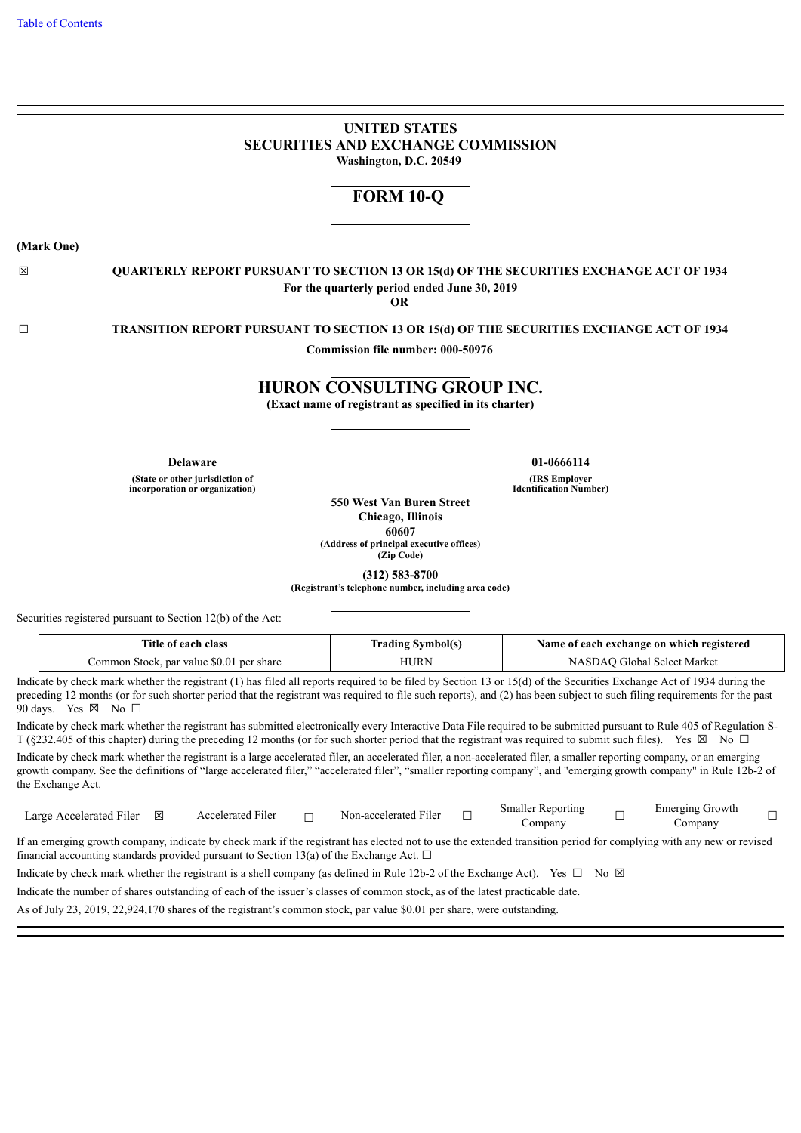# **UNITED STATES SECURITIES AND EXCHANGE COMMISSION Washington, D.C. 20549**

# **FORM 10-Q**

**(Mark One)**

# ☒ **QUARTERLY REPORT PURSUANT TO SECTION 13 OR 15(d) OF THE SECURITIES EXCHANGE ACT OF 1934 For the quarterly period ended June 30, 2019**

**OR**

☐ **TRANSITION REPORT PURSUANT TO SECTION 13 OR 15(d) OF THE SECURITIES EXCHANGE ACT OF 1934**

**Commission file number: 000-50976**

# **HURON CONSULTING GROUP INC.**

**(Exact name of registrant as specified in its charter)**

**Delaware 01-0666114 (State or other jurisdiction of incorporation or organization)**

**(IRS Employer Identification Number)**

**550 West Van Buren Street Chicago, Illinois 60607 (Address of principal executive offices) (Zip Code)**

**(312) 583-8700**

**(Registrant's telephone number, including area code)**

Securities registered pursuant to Section 12(b) of the Act:

| ∍ıtle<br>class.<br>ot each-                           | Symbol(s)<br>tradıng | t each exchange on which registered<br>Name of |
|-------------------------------------------------------|----------------------|------------------------------------------------|
| . par value \$0.01<br>. Stock.<br>per share<br>∠ommon | HURN                 | i Select Market<br>t itobal -<br>'SDAU         |

Indicate by check mark whether the registrant (1) has filed all reports required to be filed by Section 13 or 15(d) of the Securities Exchange Act of 1934 during the preceding 12 months (or for such shorter period that the registrant was required to file such reports), and (2) has been subject to such filing requirements for the past 90 days. Yes  $\boxtimes$  No  $\Box$ 

Indicate by check mark whether the registrant has submitted electronically every Interactive Data File required to be submitted pursuant to Rule 405 of Regulation S-T (§232.405 of this chapter) during the preceding 12 months (or for such shorter period that the registrant was required to submit such files). Yes  $\boxtimes$  No  $\Box$ Indicate by check mark whether the registrant is a large accelerated filer, an accelerated filer, a non-accelerated filer, a smaller reporting company, or an emerging growth company. See the definitions of "large accelerated filer," "accelerated filer", "smaller reporting company", and "emerging growth company" in Rule 12b-2 of the Exchange Act.

| Large Accelerated Filer                                                                                                                                                                                                                                              | 冈 | Accelerated Filer | Non-accelerated Filer | <b>Smaller Reporting</b><br>Company | Emerging Growth<br>Company | $\Box$ |
|----------------------------------------------------------------------------------------------------------------------------------------------------------------------------------------------------------------------------------------------------------------------|---|-------------------|-----------------------|-------------------------------------|----------------------------|--------|
| If an emerging growth company, indicate by check mark if the registrant has elected not to use the extended transition period for complying with any new or revised<br>financial accounting standards provided pursuant to Section 13(a) of the Exchange Act. $\Box$ |   |                   |                       |                                     |                            |        |
|                                                                                                                                                                                                                                                                      |   |                   |                       |                                     |                            |        |

Indicate by check mark whether the registrant is a shell company (as defined in Rule 12b-2 of the Exchange Act). Yes  $\Box$  No  $\boxtimes$ 

Indicate the number of shares outstanding of each of the issuer's classes of common stock, as of the latest practicable date.

As of July 23, 2019, 22,924,170 shares of the registrant's common stock, par value \$0.01 per share, were outstanding.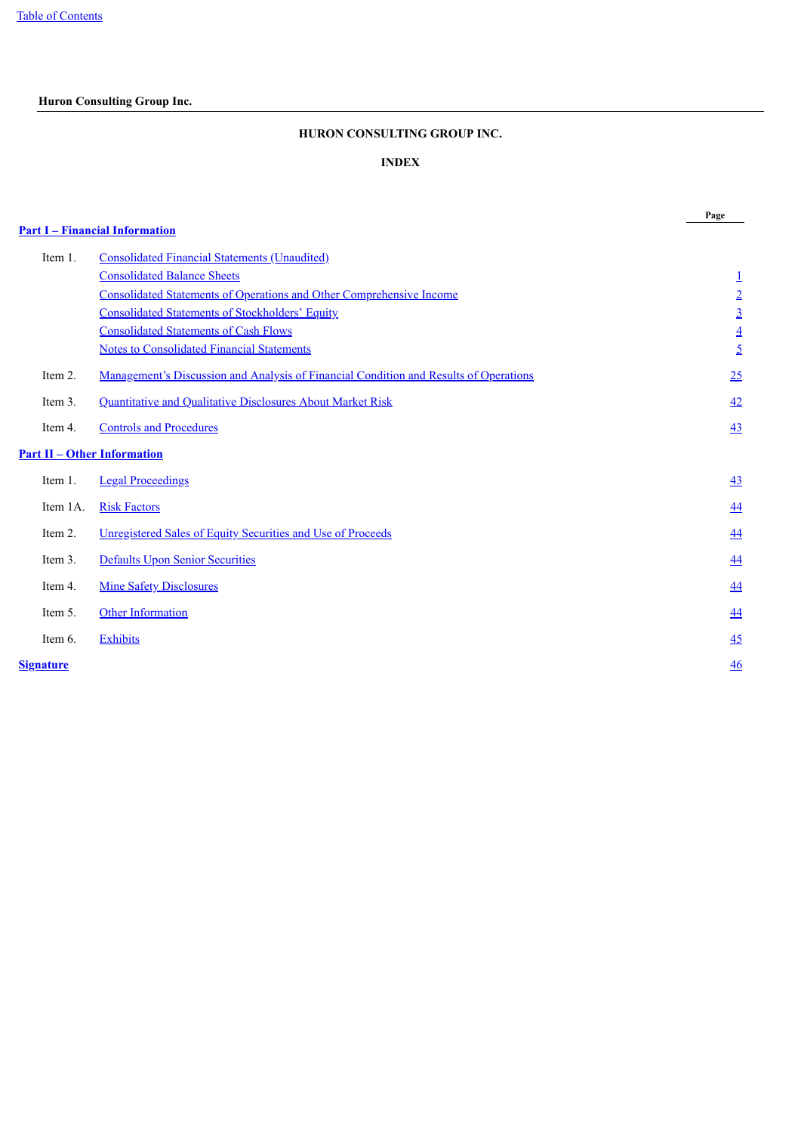# <span id="page-1-0"></span>**Huron Consulting Group Inc.**

# **HURON CONSULTING GROUP INC.**

# **INDEX**

**Page**

|                  | <b>Part I - Financial Information</b>                                                        |                |
|------------------|----------------------------------------------------------------------------------------------|----------------|
| Item 1.          | <b>Consolidated Financial Statements (Unaudited)</b>                                         |                |
|                  | <b>Consolidated Balance Sheets</b>                                                           |                |
|                  | <b>Consolidated Statements of Operations and Other Comprehensive Income</b>                  | $\overline{2}$ |
|                  | <b>Consolidated Statements of Stockholders' Equity</b>                                       | $\overline{3}$ |
|                  | <b>Consolidated Statements of Cash Flows</b>                                                 | $\overline{4}$ |
|                  | <b>Notes to Consolidated Financial Statements</b>                                            | $\overline{5}$ |
| Item 2.          | <u>Management's Discussion and Analysis of Financial Condition and Results of Operations</u> | 25             |
| Item 3.          | Quantitative and Qualitative Disclosures About Market Risk                                   | 42             |
| Item 4.          | <b>Controls and Procedures</b>                                                               | 43             |
|                  | <b>Part II - Other Information</b>                                                           |                |
| Item 1.          | <b>Legal Proceedings</b>                                                                     | $\frac{43}{2}$ |
| Item 1A.         | <b>Risk Factors</b>                                                                          | 44             |
| Item 2.          | Unregistered Sales of Equity Securities and Use of Proceeds                                  | 44             |
| Item 3.          | <b>Defaults Upon Senior Securities</b>                                                       | 44             |
| Item 4.          | <b>Mine Safety Disclosures</b>                                                               | <u>44</u>      |
| Item 5.          | <b>Other Information</b>                                                                     | 44             |
| Item 6.          | <b>Exhibits</b>                                                                              | 45             |
| <b>Signature</b> |                                                                                              | 46             |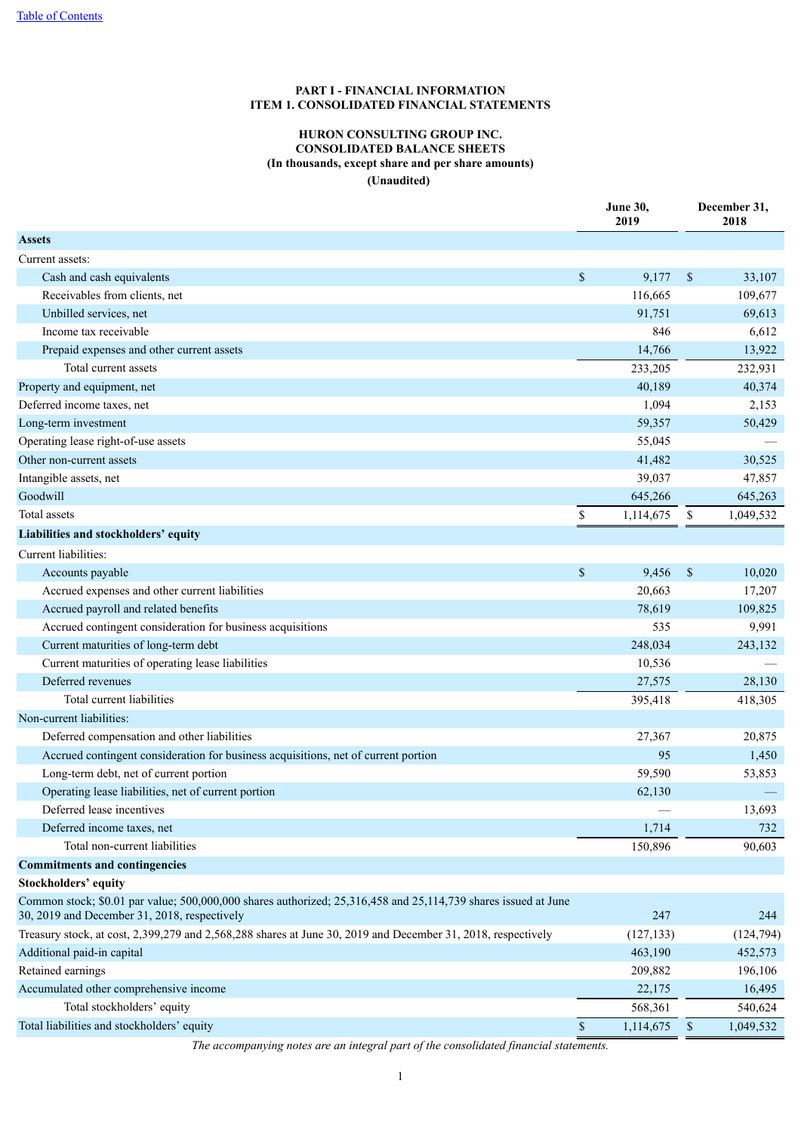# **PART I - FINANCIAL INFORMATION ITEM 1. CONSOLIDATED FINANCIAL STATEMENTS**

# **HURON CONSULTING GROUP INC. CONSOLIDATED BALANCE SHEETS (In thousands, except share and per share amounts) (Unaudited)**

<span id="page-2-2"></span><span id="page-2-1"></span><span id="page-2-0"></span>

|                                                                                                                                                                |      | <b>June 30,</b><br>2019 |                    | December 31,<br>2018 |
|----------------------------------------------------------------------------------------------------------------------------------------------------------------|------|-------------------------|--------------------|----------------------|
| <b>Assets</b>                                                                                                                                                  |      |                         |                    |                      |
| Current assets:                                                                                                                                                |      |                         |                    |                      |
| Cash and cash equivalents                                                                                                                                      | $\$$ | 9,177                   | $\mathbb{S}$       | 33,107               |
| Receivables from clients, net                                                                                                                                  |      | 116,665                 |                    | 109,677              |
| Unbilled services, net                                                                                                                                         |      | 91,751                  |                    | 69,613               |
| Income tax receivable                                                                                                                                          |      | 846                     |                    | 6,612                |
| Prepaid expenses and other current assets                                                                                                                      |      | 14,766                  |                    | 13,922               |
| Total current assets                                                                                                                                           |      | 233,205                 |                    | 232,931              |
| Property and equipment, net                                                                                                                                    |      | 40,189                  |                    | 40,374               |
| Deferred income taxes, net                                                                                                                                     |      | 1,094                   |                    | 2,153                |
| Long-term investment                                                                                                                                           |      | 59,357                  |                    | 50,429               |
| Operating lease right-of-use assets                                                                                                                            |      | 55,045                  |                    |                      |
| Other non-current assets                                                                                                                                       |      | 41,482                  |                    | 30,525               |
| Intangible assets, net                                                                                                                                         |      | 39,037                  |                    | 47,857               |
| Goodwill                                                                                                                                                       |      | 645,266                 |                    | 645,263              |
| Total assets                                                                                                                                                   | $\$$ | 1,114,675               | \$                 | 1,049,532            |
| Liabilities and stockholders' equity                                                                                                                           |      |                         |                    |                      |
| Current liabilities:                                                                                                                                           |      |                         |                    |                      |
| Accounts payable                                                                                                                                               | $\$$ | 9,456                   | $\mathbf{\hat{s}}$ | 10,020               |
| Accrued expenses and other current liabilities                                                                                                                 |      | 20,663                  |                    | 17,207               |
| Accrued payroll and related benefits                                                                                                                           |      | 78,619                  |                    | 109,825              |
| Accrued contingent consideration for business acquisitions                                                                                                     |      | 535                     |                    | 9,991                |
| Current maturities of long-term debt                                                                                                                           |      | 248,034                 |                    | 243,132              |
| Current maturities of operating lease liabilities                                                                                                              |      | 10,536                  |                    |                      |
| Deferred revenues                                                                                                                                              |      | 27,575                  |                    | 28,130               |
| Total current liabilities                                                                                                                                      |      | 395,418                 |                    | 418,305              |
| Non-current liabilities:                                                                                                                                       |      |                         |                    |                      |
| Deferred compensation and other liabilities                                                                                                                    |      | 27,367                  |                    | 20,875               |
| Accrued contingent consideration for business acquisitions, net of current portion                                                                             |      | 95                      |                    | 1,450                |
| Long-term debt, net of current portion                                                                                                                         |      | 59,590                  |                    | 53,853               |
| Operating lease liabilities, net of current portion                                                                                                            |      | 62,130                  |                    |                      |
| Deferred lease incentives                                                                                                                                      |      |                         |                    | 13,693               |
| Deferred income taxes, net                                                                                                                                     |      | 1,714                   |                    | 732                  |
| Total non-current liabilities                                                                                                                                  |      | 150,896                 |                    | 90,603               |
| <b>Commitments and contingencies</b>                                                                                                                           |      |                         |                    |                      |
| <b>Stockholders' equity</b>                                                                                                                                    |      |                         |                    |                      |
| Common stock; \$0.01 par value; 500,000,000 shares authorized; 25,316,458 and 25,114,739 shares issued at June<br>30, 2019 and December 31, 2018, respectively |      | 247                     |                    | 244                  |
| Treasury stock, at cost, 2,399,279 and 2,568,288 shares at June 30, 2019 and December 31, 2018, respectively                                                   |      | (127, 133)              |                    | (124, 794)           |
| Additional paid-in capital                                                                                                                                     |      | 463,190                 |                    | 452,573              |
| Retained earnings                                                                                                                                              |      | 209,882                 |                    | 196,106              |
| Accumulated other comprehensive income                                                                                                                         |      | 22,175                  |                    | 16,495               |
| Total stockholders' equity                                                                                                                                     |      | 568,361                 |                    | 540,624              |
| Total liabilities and stockholders' equity                                                                                                                     | $\$$ | 1,114,675               | $\mathbb S$        | 1,049,532            |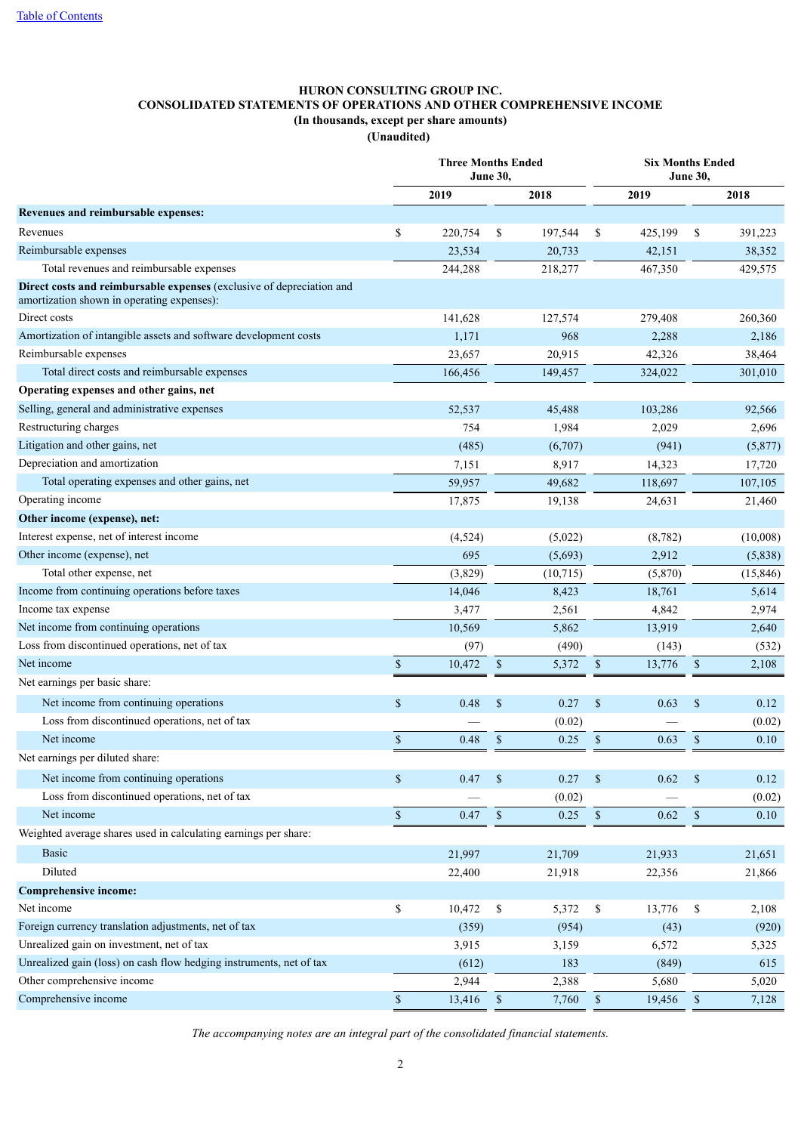# <span id="page-3-0"></span>**HURON CONSULTING GROUP INC. CONSOLIDATED STATEMENTS OF OPERATIONS AND OTHER COMPREHENSIVE INCOME (In thousands, except per share amounts)**

**(Unaudited)**

|                                                                                                                     | <b>Three Months Ended</b><br><b>June 30,</b> |          |              |           |               | <b>Six Months Ended</b><br><b>June 30,</b> |               |           |  |
|---------------------------------------------------------------------------------------------------------------------|----------------------------------------------|----------|--------------|-----------|---------------|--------------------------------------------|---------------|-----------|--|
|                                                                                                                     |                                              | 2019     |              | 2018      |               | 2019                                       |               | 2018      |  |
| Revenues and reimbursable expenses:                                                                                 |                                              |          |              |           |               |                                            |               |           |  |
| Revenues                                                                                                            | \$                                           | 220,754  | \$           | 197,544   | S             | 425,199                                    | <sup>\$</sup> | 391,223   |  |
| Reimbursable expenses                                                                                               |                                              | 23,534   |              | 20,733    |               | 42,151                                     |               | 38,352    |  |
| Total revenues and reimbursable expenses                                                                            |                                              | 244,288  |              | 218,277   |               | 467,350                                    |               | 429,575   |  |
| Direct costs and reimbursable expenses (exclusive of depreciation and<br>amortization shown in operating expenses): |                                              |          |              |           |               |                                            |               |           |  |
| Direct costs                                                                                                        |                                              | 141,628  |              | 127,574   |               | 279,408                                    |               | 260,360   |  |
| Amortization of intangible assets and software development costs                                                    |                                              | 1,171    |              | 968       |               | 2,288                                      |               | 2,186     |  |
| Reimbursable expenses                                                                                               |                                              | 23,657   |              | 20,915    |               | 42,326                                     |               | 38,464    |  |
| Total direct costs and reimbursable expenses                                                                        |                                              | 166,456  |              | 149,457   |               | 324,022                                    |               | 301,010   |  |
| Operating expenses and other gains, net                                                                             |                                              |          |              |           |               |                                            |               |           |  |
| Selling, general and administrative expenses                                                                        |                                              | 52,537   |              | 45,488    |               | 103,286                                    |               | 92,566    |  |
| Restructuring charges                                                                                               |                                              | 754      |              | 1,984     |               | 2,029                                      |               | 2,696     |  |
| Litigation and other gains, net                                                                                     |                                              | (485)    |              | (6,707)   |               | (941)                                      |               | (5, 877)  |  |
| Depreciation and amortization                                                                                       |                                              | 7,151    |              | 8,917     |               | 14,323                                     |               | 17,720    |  |
| Total operating expenses and other gains, net                                                                       |                                              | 59,957   |              | 49,682    |               | 118,697                                    |               | 107,105   |  |
| Operating income                                                                                                    |                                              | 17,875   |              | 19,138    |               | 24,631                                     |               | 21,460    |  |
| Other income (expense), net:                                                                                        |                                              |          |              |           |               |                                            |               |           |  |
| Interest expense, net of interest income                                                                            |                                              | (4, 524) |              | (5,022)   |               | (8, 782)                                   |               | (10,008)  |  |
| Other income (expense), net                                                                                         |                                              | 695      |              | (5,693)   |               | 2,912                                      |               | (5,838)   |  |
| Total other expense, net                                                                                            |                                              | (3,829)  |              | (10, 715) |               | (5,870)                                    |               | (15, 846) |  |
| Income from continuing operations before taxes                                                                      |                                              | 14,046   |              | 8,423     |               | 18,761                                     |               | 5,614     |  |
| Income tax expense                                                                                                  |                                              | 3,477    |              | 2,561     |               | 4,842                                      |               | 2,974     |  |
| Net income from continuing operations                                                                               |                                              | 10,569   |              | 5,862     |               | 13,919                                     |               | 2,640     |  |
| Loss from discontinued operations, net of tax                                                                       |                                              | (97)     |              | (490)     |               | (143)                                      |               | (532)     |  |
| Net income                                                                                                          | $\mathbb{S}$                                 | 10,472   | $\mathbb{S}$ | 5,372     | $\mathcal{S}$ | 13,776                                     | $\mathbb{S}$  | 2,108     |  |
| Net earnings per basic share:                                                                                       |                                              |          |              |           |               |                                            |               |           |  |
| Net income from continuing operations                                                                               | $\mathbb{S}$                                 | 0.48     | \$           | 0.27      | $\mathbb{S}$  | 0.63                                       | \$            | 0.12      |  |
| Loss from discontinued operations, net of tax                                                                       |                                              |          |              | (0.02)    |               |                                            |               | (0.02)    |  |
| Net income                                                                                                          | $\mathbb{S}$                                 | 0.48     | $\mathbb{S}$ | 0.25      | $\mathbb S$   | 0.63                                       | $\mathbb S$   | 0.10      |  |
| Net earnings per diluted share:                                                                                     |                                              |          |              |           |               |                                            |               |           |  |
| Net income from continuing operations                                                                               | $\mathbb{S}$                                 | 0.47     | $\mathbb{S}$ | 0.27      | $\mathcal{S}$ | 0.62                                       | $\mathbb{S}$  | 0.12      |  |
| Loss from discontinued operations, net of tax                                                                       |                                              |          |              | (0.02)    |               |                                            |               | (0.02)    |  |
| Net income                                                                                                          | $\mathbb S$                                  | 0.47     | $\mathbb{S}$ | 0.25      | $\mathbb{S}$  | 0.62                                       | $\mathbb{S}$  | 0.10      |  |
| Weighted average shares used in calculating earnings per share:                                                     |                                              |          |              |           |               |                                            |               |           |  |
| <b>Basic</b>                                                                                                        |                                              | 21,997   |              | 21,709    |               | 21,933                                     |               | 21,651    |  |
| Diluted                                                                                                             |                                              | 22,400   |              | 21,918    |               | 22,356                                     |               | 21,866    |  |
| <b>Comprehensive income:</b>                                                                                        |                                              |          |              |           |               |                                            |               |           |  |
| Net income                                                                                                          | \$                                           | 10,472   | $\mathbb S$  | 5,372     | \$            | 13,776                                     | \$            | 2,108     |  |
| Foreign currency translation adjustments, net of tax                                                                |                                              | (359)    |              | (954)     |               | (43)                                       |               | (920)     |  |
| Unrealized gain on investment, net of tax                                                                           |                                              | 3,915    |              | 3,159     |               | 6,572                                      |               | 5,325     |  |
| Unrealized gain (loss) on cash flow hedging instruments, net of tax                                                 |                                              | (612)    |              | 183       |               | (849)                                      |               | 615       |  |
| Other comprehensive income                                                                                          |                                              | 2,944    |              | 2,388     |               | 5,680                                      |               | 5,020     |  |
| Comprehensive income                                                                                                | $\mathbb S$                                  | 13,416   | $\mathbb{S}$ | 7,760     | $\mathbb{S}$  | 19,456                                     | $\mathbb{S}$  | 7,128     |  |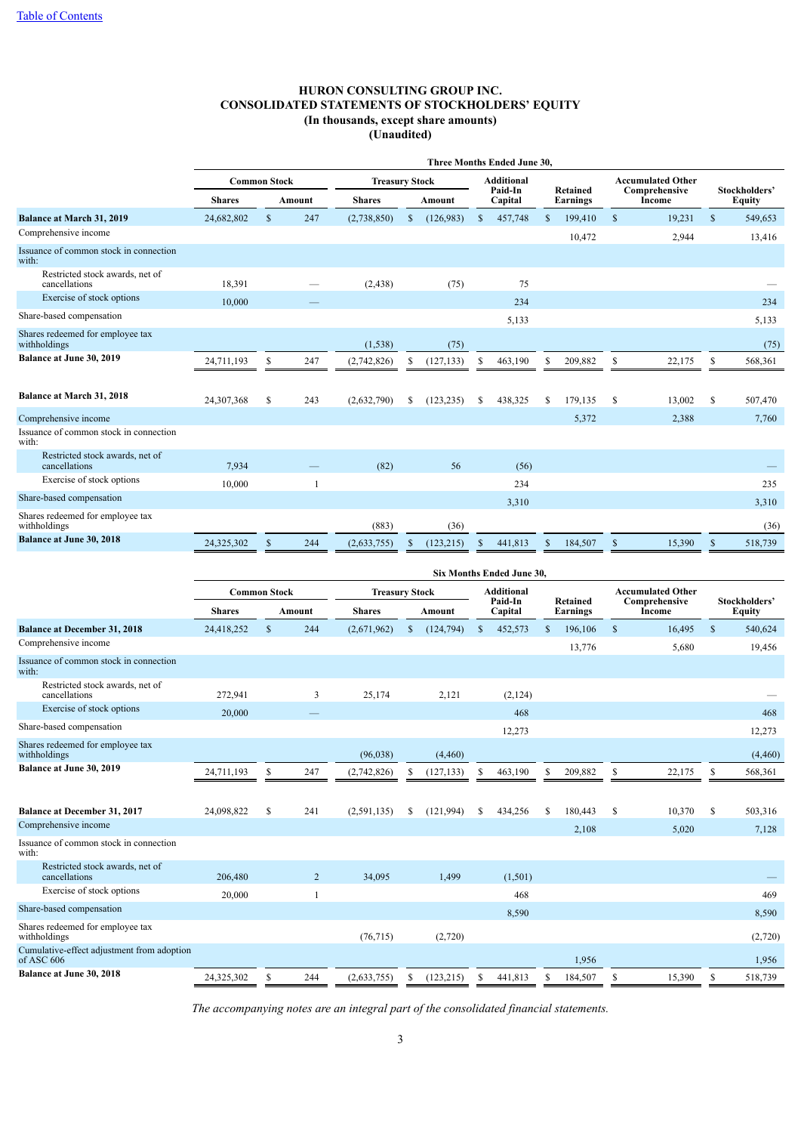## **HURON CONSULTING GROUP INC. CONSOLIDATED STATEMENTS OF STOCKHOLDERS' EQUITY (In thousands, except share amounts) (Unaudited)**

<span id="page-4-0"></span>

|                                                          | Three Months Ended June 30,          |               |        |                                        |              |            |              |                                  |    |                                    |              |                                                     |              |               |
|----------------------------------------------------------|--------------------------------------|---------------|--------|----------------------------------------|--------------|------------|--------------|----------------------------------|----|------------------------------------|--------------|-----------------------------------------------------|--------------|---------------|
|                                                          | <b>Common Stock</b><br><b>Shares</b> |               |        | <b>Treasury Stock</b><br><b>Shares</b> |              |            |              | <b>Additional</b><br>Paid-In     |    | <b>Retained</b><br><b>Earnings</b> |              | <b>Accumulated Other</b><br>Comprehensive<br>Income |              | Stockholders' |
|                                                          |                                      |               | Amount |                                        |              | Amount     |              | Capital                          |    |                                    |              |                                                     |              | <b>Equity</b> |
| <b>Balance at March 31, 2019</b><br>Comprehensive income | 24,682,802                           | $\mathbb{S}$  | 247    | (2,738,850)                            | $\mathbf{s}$ | (126,983)  | $\mathbf{s}$ | 457,748                          | \$ | 199,410                            | $\mathbb{S}$ | 19,231                                              | $\mathbf{s}$ | 549,653       |
|                                                          |                                      |               |        |                                        |              |            |              |                                  |    | 10,472                             |              | 2,944                                               |              | 13,416        |
| Issuance of common stock in connection<br>with:          |                                      |               |        |                                        |              |            |              |                                  |    |                                    |              |                                                     |              |               |
| Restricted stock awards, net of<br>cancellations         | 18,391                               |               |        | (2, 438)                               |              | (75)       |              | 75                               |    |                                    |              |                                                     |              |               |
| Exercise of stock options                                | 10,000                               |               |        |                                        |              |            |              | 234                              |    |                                    |              |                                                     |              | 234           |
| Share-based compensation                                 |                                      |               |        |                                        |              |            |              | 5,133                            |    |                                    |              |                                                     |              | 5,133         |
| Shares redeemed for employee tax<br>withholdings         |                                      |               |        | (1, 538)                               |              | (75)       |              |                                  |    |                                    |              |                                                     |              | (75)          |
| Balance at June 30, 2019                                 | 24,711,193                           | S             | 247    | (2,742,826)                            | S            | (127, 133) | \$           | 463,190                          | S  | 209,882                            | $\mathbb{S}$ | 22,175                                              | \$           | 568,361       |
| Balance at March 31, 2018                                | 24,307,368                           | \$            | 243    | (2,632,790)                            | S            | (123, 235) | \$           | 438,325                          | \$ | 179,135                            | S            | 13,002                                              | \$           | 507,470       |
| Comprehensive income                                     |                                      |               |        |                                        |              |            |              |                                  |    | 5,372                              |              | 2,388                                               |              | 7,760         |
| Issuance of common stock in connection<br>with:          |                                      |               |        |                                        |              |            |              |                                  |    |                                    |              |                                                     |              |               |
| Restricted stock awards, net of<br>cancellations         | 7.934                                |               |        | (82)                                   |              | 56         |              | (56)                             |    |                                    |              |                                                     |              |               |
| Exercise of stock options                                | 10,000                               |               |        |                                        |              |            |              | 234                              |    |                                    |              |                                                     |              | 235           |
| Share-based compensation                                 |                                      |               |        |                                        |              |            |              | 3,310                            |    |                                    |              |                                                     |              | 3,310         |
| Shares redeemed for employee tax<br>withholdings         |                                      |               |        | (883)                                  |              | (36)       |              |                                  |    |                                    |              |                                                     |              | (36)          |
| <b>Balance at June 30, 2018</b>                          | 24,325,302                           | $\mathsf{\$}$ | 244    | (2,633,755)                            | S            | (123, 215) | \$           | 441,813                          | S  | 184,507                            | $\mathbf S$  | 15,390                                              | \$           | 518,739       |
|                                                          |                                      |               |        |                                        |              |            |              | <b>Six Months Ended June 30.</b> |    |                                    |              |                                                     |              |               |

| <b>Additional</b><br><b>Accumulated Other</b><br><b>Common Stock</b><br><b>Treasury Stock</b><br>Paid-In<br><b>Retained</b><br>Stockholders'<br>Comprehensive<br><b>Shares</b><br><b>Shares</b><br>Capital<br>Earnings<br>Income<br><b>Equity</b><br>Amount<br>Amount<br>24,418,252<br>244<br>(2,671,962)<br>(124, 794)<br>452,573<br>196,106<br>16,495<br>\$<br>540,624<br><b>Balance at December 31, 2018</b><br>$\mathbb{S}$<br>\$<br>$\mathbb{S}$<br>S<br>S<br>Comprehensive income<br>13,776<br>5,680<br>19,456<br>Issuance of common stock in connection<br>with:<br>Restricted stock awards, net of<br>272,941<br>3<br>25,174<br>2,121<br>cancellations<br>(2,124)<br>Exercise of stock options<br>20,000<br>468<br>468<br>Share-based compensation<br>12,273<br>12,273<br>Shares redeemed for employee tax<br>(96,038)<br>withholdings<br>(4,460)<br>(4, 460)<br>Balance at June 30, 2019<br>24,711,193<br>247<br>463,190<br>209,882<br>22,175<br>S<br>(2,742,826)<br>(127, 133)<br>568,361<br><sup>\$</sup><br>S<br>S<br>24,098,822<br>S<br>241<br>(2,591,135)<br>(121, 994)<br>180,443<br><sup>\$</sup><br>10,370<br>\$<br>503,316<br><b>Balance at December 31, 2017</b><br>S<br>\$<br>434,256<br>-S<br>Comprehensive income<br>2,108<br>5,020<br>7,128<br>Issuance of common stock in connection<br>with:<br>Restricted stock awards, net of<br>cancellations<br>206,480<br>2<br>34,095<br>1,499<br>(1,501)<br>Exercise of stock options<br>20,000<br>468<br>469<br>$\mathbf{1}$<br>Share-based compensation<br>8,590<br>8,590<br>Shares redeemed for employee tax<br>(76, 715)<br>(2,720)<br>withholdings<br>Cumulative-effect adjustment from adoption<br>of ASC 606<br>1,956<br>1,956<br>Balance at June 30, 2018<br>15,390<br>24,325,302<br>244<br>(2,633,755)<br>(123, 215)<br>441,813<br>184,507<br>\$<br>518,739<br>S<br>S<br><sup>\$</sup><br>S | этх толину писа запезу. |  |  |  |  |  |  |  |  |  |  |  |         |
|---------------------------------------------------------------------------------------------------------------------------------------------------------------------------------------------------------------------------------------------------------------------------------------------------------------------------------------------------------------------------------------------------------------------------------------------------------------------------------------------------------------------------------------------------------------------------------------------------------------------------------------------------------------------------------------------------------------------------------------------------------------------------------------------------------------------------------------------------------------------------------------------------------------------------------------------------------------------------------------------------------------------------------------------------------------------------------------------------------------------------------------------------------------------------------------------------------------------------------------------------------------------------------------------------------------------------------------------------------------------------------------------------------------------------------------------------------------------------------------------------------------------------------------------------------------------------------------------------------------------------------------------------------------------------------------------------------------------------------------------------------------------------------------------------------------------------------------------------------------------|-------------------------|--|--|--|--|--|--|--|--|--|--|--|---------|
|                                                                                                                                                                                                                                                                                                                                                                                                                                                                                                                                                                                                                                                                                                                                                                                                                                                                                                                                                                                                                                                                                                                                                                                                                                                                                                                                                                                                                                                                                                                                                                                                                                                                                                                                                                                                                                                                     |                         |  |  |  |  |  |  |  |  |  |  |  |         |
|                                                                                                                                                                                                                                                                                                                                                                                                                                                                                                                                                                                                                                                                                                                                                                                                                                                                                                                                                                                                                                                                                                                                                                                                                                                                                                                                                                                                                                                                                                                                                                                                                                                                                                                                                                                                                                                                     |                         |  |  |  |  |  |  |  |  |  |  |  |         |
|                                                                                                                                                                                                                                                                                                                                                                                                                                                                                                                                                                                                                                                                                                                                                                                                                                                                                                                                                                                                                                                                                                                                                                                                                                                                                                                                                                                                                                                                                                                                                                                                                                                                                                                                                                                                                                                                     |                         |  |  |  |  |  |  |  |  |  |  |  |         |
|                                                                                                                                                                                                                                                                                                                                                                                                                                                                                                                                                                                                                                                                                                                                                                                                                                                                                                                                                                                                                                                                                                                                                                                                                                                                                                                                                                                                                                                                                                                                                                                                                                                                                                                                                                                                                                                                     |                         |  |  |  |  |  |  |  |  |  |  |  |         |
|                                                                                                                                                                                                                                                                                                                                                                                                                                                                                                                                                                                                                                                                                                                                                                                                                                                                                                                                                                                                                                                                                                                                                                                                                                                                                                                                                                                                                                                                                                                                                                                                                                                                                                                                                                                                                                                                     |                         |  |  |  |  |  |  |  |  |  |  |  |         |
|                                                                                                                                                                                                                                                                                                                                                                                                                                                                                                                                                                                                                                                                                                                                                                                                                                                                                                                                                                                                                                                                                                                                                                                                                                                                                                                                                                                                                                                                                                                                                                                                                                                                                                                                                                                                                                                                     |                         |  |  |  |  |  |  |  |  |  |  |  |         |
|                                                                                                                                                                                                                                                                                                                                                                                                                                                                                                                                                                                                                                                                                                                                                                                                                                                                                                                                                                                                                                                                                                                                                                                                                                                                                                                                                                                                                                                                                                                                                                                                                                                                                                                                                                                                                                                                     |                         |  |  |  |  |  |  |  |  |  |  |  |         |
|                                                                                                                                                                                                                                                                                                                                                                                                                                                                                                                                                                                                                                                                                                                                                                                                                                                                                                                                                                                                                                                                                                                                                                                                                                                                                                                                                                                                                                                                                                                                                                                                                                                                                                                                                                                                                                                                     |                         |  |  |  |  |  |  |  |  |  |  |  |         |
|                                                                                                                                                                                                                                                                                                                                                                                                                                                                                                                                                                                                                                                                                                                                                                                                                                                                                                                                                                                                                                                                                                                                                                                                                                                                                                                                                                                                                                                                                                                                                                                                                                                                                                                                                                                                                                                                     |                         |  |  |  |  |  |  |  |  |  |  |  |         |
|                                                                                                                                                                                                                                                                                                                                                                                                                                                                                                                                                                                                                                                                                                                                                                                                                                                                                                                                                                                                                                                                                                                                                                                                                                                                                                                                                                                                                                                                                                                                                                                                                                                                                                                                                                                                                                                                     |                         |  |  |  |  |  |  |  |  |  |  |  |         |
|                                                                                                                                                                                                                                                                                                                                                                                                                                                                                                                                                                                                                                                                                                                                                                                                                                                                                                                                                                                                                                                                                                                                                                                                                                                                                                                                                                                                                                                                                                                                                                                                                                                                                                                                                                                                                                                                     |                         |  |  |  |  |  |  |  |  |  |  |  |         |
|                                                                                                                                                                                                                                                                                                                                                                                                                                                                                                                                                                                                                                                                                                                                                                                                                                                                                                                                                                                                                                                                                                                                                                                                                                                                                                                                                                                                                                                                                                                                                                                                                                                                                                                                                                                                                                                                     |                         |  |  |  |  |  |  |  |  |  |  |  |         |
|                                                                                                                                                                                                                                                                                                                                                                                                                                                                                                                                                                                                                                                                                                                                                                                                                                                                                                                                                                                                                                                                                                                                                                                                                                                                                                                                                                                                                                                                                                                                                                                                                                                                                                                                                                                                                                                                     |                         |  |  |  |  |  |  |  |  |  |  |  |         |
|                                                                                                                                                                                                                                                                                                                                                                                                                                                                                                                                                                                                                                                                                                                                                                                                                                                                                                                                                                                                                                                                                                                                                                                                                                                                                                                                                                                                                                                                                                                                                                                                                                                                                                                                                                                                                                                                     |                         |  |  |  |  |  |  |  |  |  |  |  |         |
|                                                                                                                                                                                                                                                                                                                                                                                                                                                                                                                                                                                                                                                                                                                                                                                                                                                                                                                                                                                                                                                                                                                                                                                                                                                                                                                                                                                                                                                                                                                                                                                                                                                                                                                                                                                                                                                                     |                         |  |  |  |  |  |  |  |  |  |  |  |         |
|                                                                                                                                                                                                                                                                                                                                                                                                                                                                                                                                                                                                                                                                                                                                                                                                                                                                                                                                                                                                                                                                                                                                                                                                                                                                                                                                                                                                                                                                                                                                                                                                                                                                                                                                                                                                                                                                     |                         |  |  |  |  |  |  |  |  |  |  |  |         |
|                                                                                                                                                                                                                                                                                                                                                                                                                                                                                                                                                                                                                                                                                                                                                                                                                                                                                                                                                                                                                                                                                                                                                                                                                                                                                                                                                                                                                                                                                                                                                                                                                                                                                                                                                                                                                                                                     |                         |  |  |  |  |  |  |  |  |  |  |  | (2,720) |
|                                                                                                                                                                                                                                                                                                                                                                                                                                                                                                                                                                                                                                                                                                                                                                                                                                                                                                                                                                                                                                                                                                                                                                                                                                                                                                                                                                                                                                                                                                                                                                                                                                                                                                                                                                                                                                                                     |                         |  |  |  |  |  |  |  |  |  |  |  |         |
|                                                                                                                                                                                                                                                                                                                                                                                                                                                                                                                                                                                                                                                                                                                                                                                                                                                                                                                                                                                                                                                                                                                                                                                                                                                                                                                                                                                                                                                                                                                                                                                                                                                                                                                                                                                                                                                                     |                         |  |  |  |  |  |  |  |  |  |  |  |         |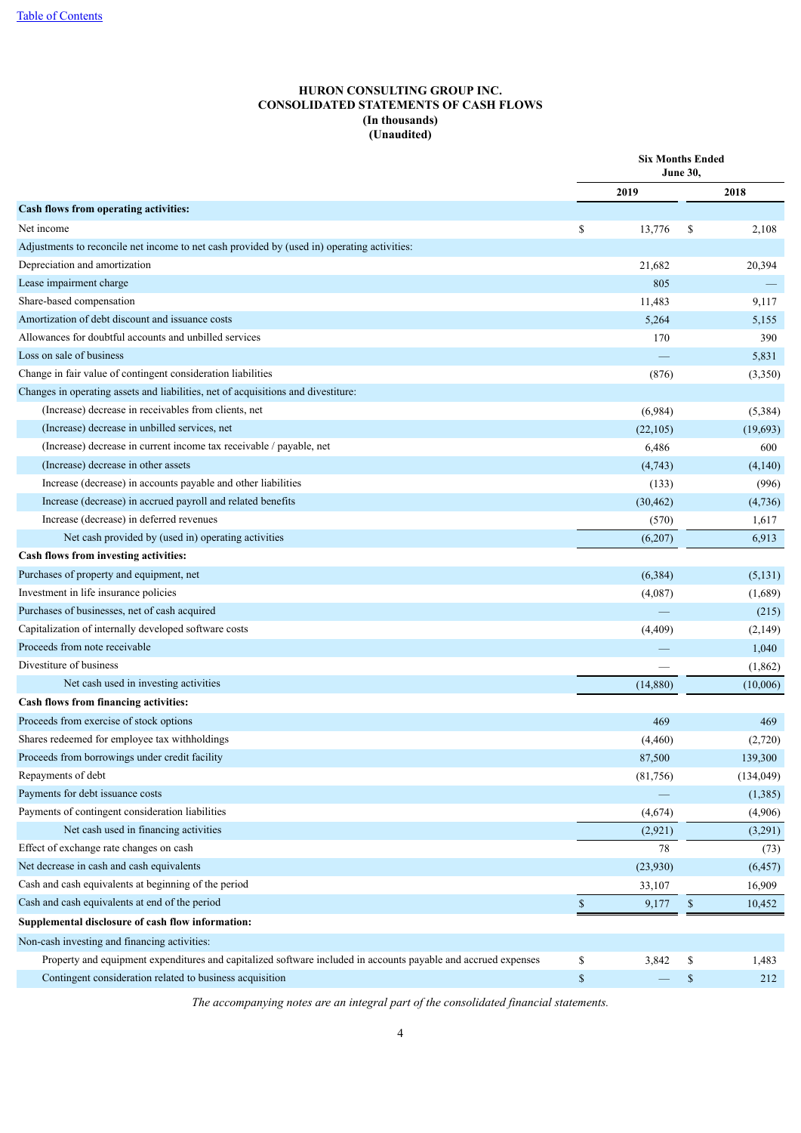# **HURON CONSULTING GROUP INC. CONSOLIDATED STATEMENTS OF CASH FLOWS (In thousands) (Unaudited)**

<span id="page-5-0"></span>

|                                                                                                                | <b>Six Months Ended</b><br><b>June 30,</b> |           |               |            |
|----------------------------------------------------------------------------------------------------------------|--------------------------------------------|-----------|---------------|------------|
|                                                                                                                |                                            | 2019      |               | 2018       |
| Cash flows from operating activities:                                                                          |                                            |           |               |            |
| Net income                                                                                                     | \$                                         | 13,776    | \$            | 2,108      |
| Adjustments to reconcile net income to net cash provided by (used in) operating activities:                    |                                            |           |               |            |
| Depreciation and amortization                                                                                  |                                            | 21,682    |               | 20,394     |
| Lease impairment charge                                                                                        |                                            | 805       |               |            |
| Share-based compensation                                                                                       |                                            | 11,483    |               | 9,117      |
| Amortization of debt discount and issuance costs                                                               |                                            | 5,264     |               | 5,155      |
| Allowances for doubtful accounts and unbilled services                                                         |                                            | 170       |               | 390        |
| Loss on sale of business                                                                                       |                                            |           |               | 5,831      |
| Change in fair value of contingent consideration liabilities                                                   |                                            | (876)     |               | (3,350)    |
| Changes in operating assets and liabilities, net of acquisitions and divestiture:                              |                                            |           |               |            |
| (Increase) decrease in receivables from clients, net                                                           |                                            | (6,984)   |               | (5,384)    |
| (Increase) decrease in unbilled services, net                                                                  |                                            | (22,105)  |               | (19,693)   |
| (Increase) decrease in current income tax receivable / payable, net                                            |                                            | 6,486     |               | 600        |
| (Increase) decrease in other assets                                                                            |                                            | (4,743)   |               | (4,140)    |
| Increase (decrease) in accounts payable and other liabilities                                                  |                                            | (133)     |               | (996)      |
| Increase (decrease) in accrued payroll and related benefits                                                    |                                            | (30, 462) |               | (4,736)    |
| Increase (decrease) in deferred revenues                                                                       |                                            | (570)     |               | 1,617      |
| Net cash provided by (used in) operating activities                                                            |                                            | (6,207)   |               | 6,913      |
| Cash flows from investing activities:                                                                          |                                            |           |               |            |
| Purchases of property and equipment, net                                                                       |                                            | (6,384)   |               | (5,131)    |
| Investment in life insurance policies                                                                          |                                            | (4,087)   |               | (1,689)    |
| Purchases of businesses, net of cash acquired                                                                  |                                            |           |               | (215)      |
| Capitalization of internally developed software costs                                                          |                                            | (4,409)   |               | (2,149)    |
| Proceeds from note receivable                                                                                  |                                            |           |               | 1,040      |
| Divestiture of business                                                                                        |                                            |           |               | (1, 862)   |
| Net cash used in investing activities                                                                          |                                            | (14,880)  |               | (10,006)   |
| Cash flows from financing activities:                                                                          |                                            |           |               |            |
| Proceeds from exercise of stock options                                                                        |                                            | 469       |               | 469        |
| Shares redeemed for employee tax withholdings                                                                  |                                            | (4,460)   |               | (2,720)    |
| Proceeds from borrowings under credit facility                                                                 |                                            | 87,500    |               | 139,300    |
| Repayments of debt                                                                                             |                                            | (81,756)  |               | (134, 049) |
| Payments for debt issuance costs                                                                               |                                            |           |               | (1,385)    |
| Payments of contingent consideration liabilities                                                               |                                            | (4,674)   |               | (4,906)    |
| Net cash used in financing activities                                                                          |                                            | (2,921)   |               | (3,291)    |
| Effect of exchange rate changes on cash                                                                        |                                            | 78        |               | (73)       |
| Net decrease in cash and cash equivalents                                                                      |                                            | (23,930)  |               | (6, 457)   |
| Cash and cash equivalents at beginning of the period                                                           |                                            | 33,107    |               | 16,909     |
| Cash and cash equivalents at end of the period                                                                 | $\mathbb{S}$                               | 9,177     | ${\mathbb S}$ | 10,452     |
| Supplemental disclosure of cash flow information:                                                              |                                            |           |               |            |
|                                                                                                                |                                            |           |               |            |
| Non-cash investing and financing activities:                                                                   |                                            |           |               |            |
| Property and equipment expenditures and capitalized software included in accounts payable and accrued expenses | \$                                         | 3,842     | \$            | 1,483      |
| Contingent consideration related to business acquisition                                                       | $\mathbb{S}$                               |           | $\mathbb{S}$  | 212        |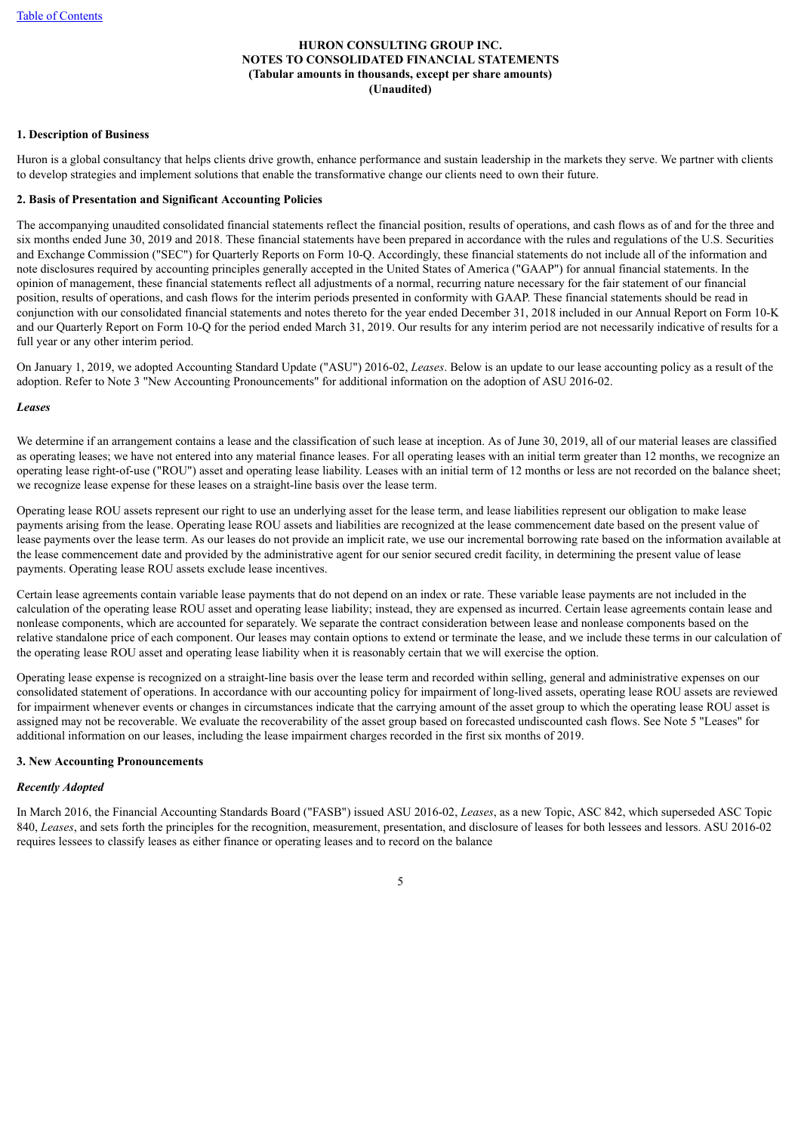### <span id="page-6-0"></span>**1. Description of Business**

Huron is a global consultancy that helps clients drive growth, enhance performance and sustain leadership in the markets they serve. We partner with clients to develop strategies and implement solutions that enable the transformative change our clients need to own their future.

#### **2. Basis of Presentation and Significant Accounting Policies**

The accompanying unaudited consolidated financial statements reflect the financial position, results of operations, and cash flows as of and for the three and six months ended June 30, 2019 and 2018. These financial statements have been prepared in accordance with the rules and regulations of the U.S. Securities and Exchange Commission ("SEC") for Quarterly Reports on Form 10-Q. Accordingly, these financial statements do not include all of the information and note disclosures required by accounting principles generally accepted in the United States of America ("GAAP") for annual financial statements. In the opinion of management, these financial statements reflect all adjustments of a normal, recurring nature necessary for the fair statement of our financial position, results of operations, and cash flows for the interim periods presented in conformity with GAAP. These financial statements should be read in conjunction with our consolidated financial statements and notes thereto for the year ended December 31, 2018 included in our Annual Report on Form 10-K and our Quarterly Report on Form 10-Q for the period ended March 31, 2019. Our results for any interim period are not necessarily indicative of results for a full year or any other interim period.

On January 1, 2019, we adopted Accounting Standard Update ("ASU") 2016-02, *Leases*. Below is an update to our lease accounting policy as a result of the adoption. Refer to Note 3 "New Accounting Pronouncements" for additional information on the adoption of ASU 2016-02.

#### *Leases*

We determine if an arrangement contains a lease and the classification of such lease at inception. As of June 30, 2019, all of our material leases are classified as operating leases; we have not entered into any material finance leases. For all operating leases with an initial term greater than 12 months, we recognize an operating lease right-of-use ("ROU") asset and operating lease liability. Leases with an initial term of 12 months or less are not recorded on the balance sheet; we recognize lease expense for these leases on a straight-line basis over the lease term.

Operating lease ROU assets represent our right to use an underlying asset for the lease term, and lease liabilities represent our obligation to make lease payments arising from the lease. Operating lease ROU assets and liabilities are recognized at the lease commencement date based on the present value of lease payments over the lease term. As our leases do not provide an implicit rate, we use our incremental borrowing rate based on the information available at the lease commencement date and provided by the administrative agent for our senior secured credit facility, in determining the present value of lease payments. Operating lease ROU assets exclude lease incentives.

Certain lease agreements contain variable lease payments that do not depend on an index or rate. These variable lease payments are not included in the calculation of the operating lease ROU asset and operating lease liability; instead, they are expensed as incurred. Certain lease agreements contain lease and nonlease components, which are accounted for separately. We separate the contract consideration between lease and nonlease components based on the relative standalone price of each component. Our leases may contain options to extend or terminate the lease, and we include these terms in our calculation of the operating lease ROU asset and operating lease liability when it is reasonably certain that we will exercise the option.

Operating lease expense is recognized on a straight-line basis over the lease term and recorded within selling, general and administrative expenses on our consolidated statement of operations. In accordance with our accounting policy for impairment of long-lived assets, operating lease ROU assets are reviewed for impairment whenever events or changes in circumstances indicate that the carrying amount of the asset group to which the operating lease ROU asset is assigned may not be recoverable. We evaluate the recoverability of the asset group based on forecasted undiscounted cash flows. See Note 5 "Leases" for additional information on our leases, including the lease impairment charges recorded in the first six months of 2019.

#### **3. New Accounting Pronouncements**

### *Recently Adopted*

In March 2016, the Financial Accounting Standards Board ("FASB") issued ASU 2016-02, *Leases*, as a new Topic, ASC 842, which superseded ASC Topic 840, *Leases*, and sets forth the principles for the recognition, measurement, presentation, and disclosure of leases for both lessees and lessors. ASU 2016-02 requires lessees to classify leases as either finance or operating leases and to record on the balance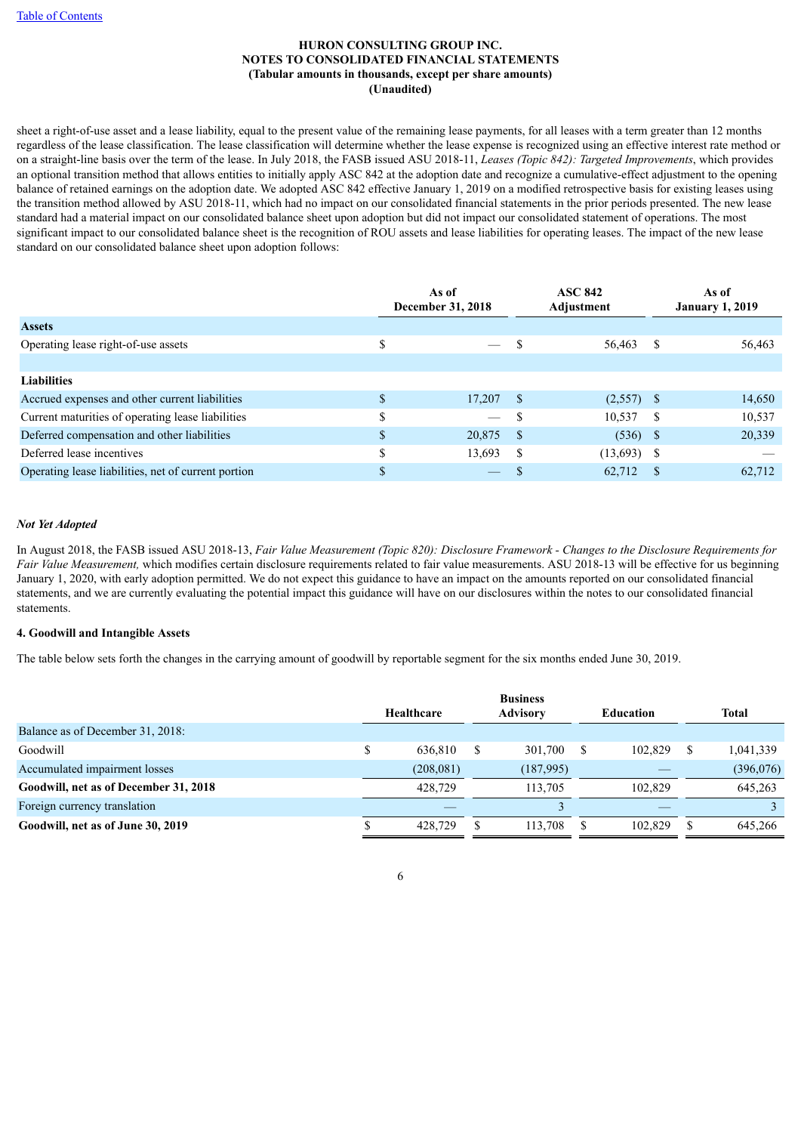sheet a right-of-use asset and a lease liability, equal to the present value of the remaining lease payments, for all leases with a term greater than 12 months regardless of the lease classification. The lease classification will determine whether the lease expense is recognized using an effective interest rate method or on a straight-line basis over the term of the lease. In July 2018, the FASB issued ASU 2018-11, *Leases (Topic 842): Targeted Improvements*, which provides an optional transition method that allows entities to initially apply ASC 842 at the adoption date and recognize a cumulative-effect adjustment to the opening balance of retained earnings on the adoption date. We adopted ASC 842 effective January 1, 2019 on a modified retrospective basis for existing leases using the transition method allowed by ASU 2018-11, which had no impact on our consolidated financial statements in the prior periods presented. The new lease standard had a material impact on our consolidated balance sheet upon adoption but did not impact our consolidated statement of operations. The most significant impact to our consolidated balance sheet is the recognition of ROU assets and lease liabilities for operating leases. The impact of the new lease standard on our consolidated balance sheet upon adoption follows:

|                                                     | As of<br>December 31, 2018      |     | <b>ASC 842</b><br>Adjustment | As of<br><b>January 1, 2019</b> |        |  |
|-----------------------------------------------------|---------------------------------|-----|------------------------------|---------------------------------|--------|--|
| <b>Assets</b>                                       |                                 |     |                              |                                 |        |  |
| Operating lease right-of-use assets                 | \$                              |     | 56,463                       |                                 | 56,463 |  |
|                                                     |                                 |     |                              |                                 |        |  |
| <b>Liabilities</b>                                  |                                 |     |                              |                                 |        |  |
| Accrued expenses and other current liabilities      | 17,207                          | -S  | $(2,557)$ \$                 |                                 | 14,650 |  |
| Current maturities of operating lease liabilities   | $\hspace{0.1mm}-\hspace{0.1mm}$ |     | 10,537                       | - \$                            | 10,537 |  |
| Deferred compensation and other liabilities         | 20,875                          | -S  | $(536)$ \$                   |                                 | 20,339 |  |
| Deferred lease incentives                           | 13,693                          | \$. | $(13,693)$ \$                |                                 |        |  |
| Operating lease liabilities, net of current portion |                                 |     | 62,712                       |                                 | 62,712 |  |

### *Not Yet Adopted*

In August 2018, the FASB issued ASU 2018-13, Fair Value Measurement (Topic 820): Disclosure Framework - Changes to the Disclosure Requirements for *Fair Value Measurement,* which modifies certain disclosure requirements related to fair value measurements. ASU 2018-13 will be effective for us beginning January 1, 2020, with early adoption permitted. We do not expect this guidance to have an impact on the amounts reported on our consolidated financial statements, and we are currently evaluating the potential impact this guidance will have on our disclosures within the notes to our consolidated financial statements.

### **4. Goodwill and Intangible Assets**

The table below sets forth the changes in the carrying amount of goodwill by reportable segment for the six months ended June 30, 2019.

|                                       | <b>Healthcare</b> | <b>Business</b><br><b>Advisory</b> |   | Education |   | <b>Total</b> |
|---------------------------------------|-------------------|------------------------------------|---|-----------|---|--------------|
| Balance as of December 31, 2018:      |                   |                                    |   |           |   |              |
| Goodwill                              | \$<br>636.810     | 301,700                            | S | 102.829   | S | 1,041,339    |
| Accumulated impairment losses         | (208, 081)        | (187,995)                          |   |           |   | (396,076)    |
| Goodwill, net as of December 31, 2018 | 428.729           | 113.705                            |   | 102.829   |   | 645,263      |
| Foreign currency translation          |                   |                                    |   |           |   |              |
| Goodwill, net as of June 30, 2019     | 428.729           | 113.708                            | S | 102.829   |   | 645.266      |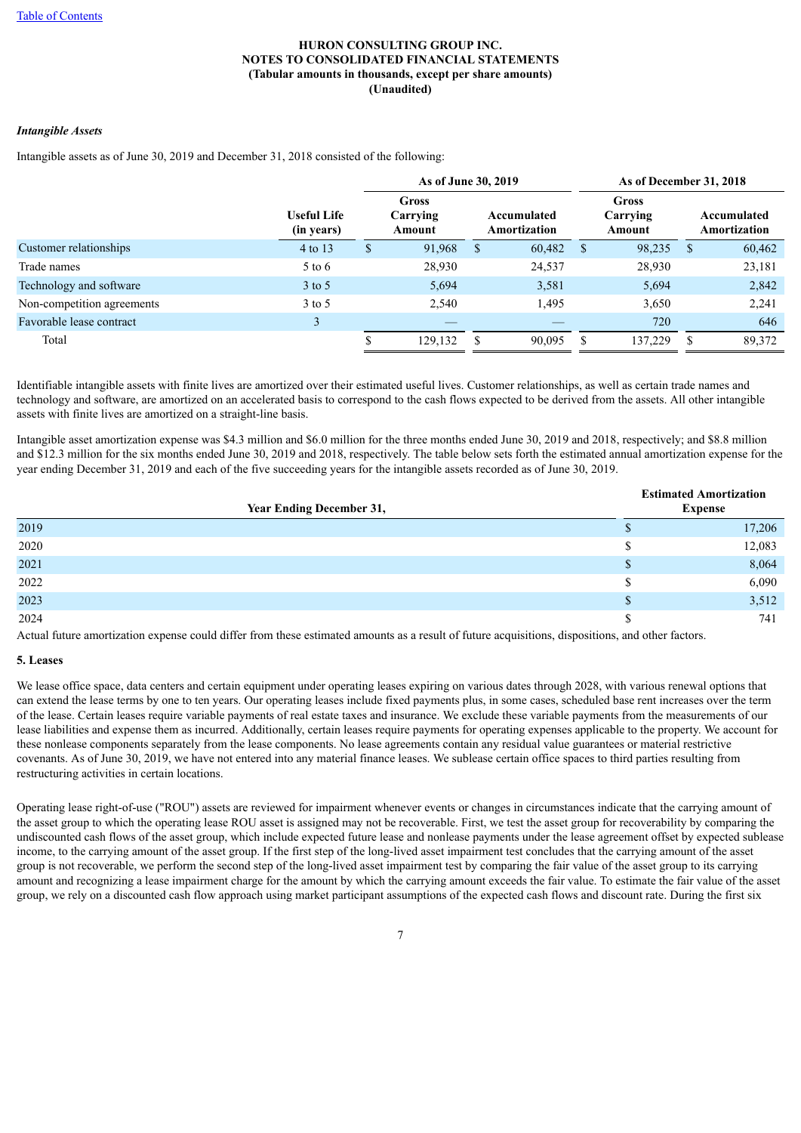## *Intangible Assets*

Intangible assets as of June 30, 2019 and December 31, 2018 consisted of the following:

|                            |                                  | As of June 30, 2019                |   |                             |   | As of December 31, 2018     |    |                             |
|----------------------------|----------------------------------|------------------------------------|---|-----------------------------|---|-----------------------------|----|-----------------------------|
|                            | <b>Useful Life</b><br>(in years) | <b>Gross</b><br>Carrying<br>Amount |   | Accumulated<br>Amortization |   | Gross<br>Carrying<br>Amount |    | Accumulated<br>Amortization |
| Customer relationships     | 4 to 13                          | \$<br>91,968                       | S | 60,482                      | S | 98,235                      | -S | 60,462                      |
| Trade names                | $5$ to 6                         | 28,930                             |   | 24,537                      |   | 28,930                      |    | 23,181                      |
| Technology and software    | $3$ to 5                         | 5,694                              |   | 3,581                       |   | 5,694                       |    | 2,842                       |
| Non-competition agreements | $3$ to $5$                       | 2,540                              |   | 1,495                       |   | 3,650                       |    | 2,241                       |
| Favorable lease contract   | 3                                |                                    |   |                             |   | 720                         |    | 646                         |
| Total                      |                                  | 129,132                            |   | 90,095                      | S | 137,229                     | -S | 89,372                      |

Identifiable intangible assets with finite lives are amortized over their estimated useful lives. Customer relationships, as well as certain trade names and technology and software, are amortized on an accelerated basis to correspond to the cash flows expected to be derived from the assets. All other intangible assets with finite lives are amortized on a straight-line basis.

Intangible asset amortization expense was \$4.3 million and \$6.0 million for the three months ended June 30, 2019 and 2018, respectively; and \$8.8 million and \$12.3 million for the six months ended June 30, 2019 and 2018, respectively. The table below sets forth the estimated annual amortization expense for the year ending December 31, 2019 and each of the five succeeding years for the intangible assets recorded as of June 30, 2019.

|                                 |                | <b>Estimated Amortization</b> |
|---------------------------------|----------------|-------------------------------|
| <b>Year Ending December 31,</b> | <b>Expense</b> |                               |
| 2019                            |                | 17,206                        |
| 2020                            |                | 12,083                        |
| 2021                            |                | 8,064                         |
| 2022                            |                | 6,090                         |
| 2023                            |                | 3,512                         |
| 2024                            |                | 741                           |

Actual future amortization expense could differ from these estimated amounts as a result of future acquisitions, dispositions, and other factors.

## **5. Leases**

We lease office space, data centers and certain equipment under operating leases expiring on various dates through 2028, with various renewal options that can extend the lease terms by one to ten years. Our operating leases include fixed payments plus, in some cases, scheduled base rent increases over the term of the lease. Certain leases require variable payments of real estate taxes and insurance. We exclude these variable payments from the measurements of our lease liabilities and expense them as incurred. Additionally, certain leases require payments for operating expenses applicable to the property. We account for these nonlease components separately from the lease components. No lease agreements contain any residual value guarantees or material restrictive covenants. As of June 30, 2019, we have not entered into any material finance leases. We sublease certain office spaces to third parties resulting from restructuring activities in certain locations.

Operating lease right-of-use ("ROU") assets are reviewed for impairment whenever events or changes in circumstances indicate that the carrying amount of the asset group to which the operating lease ROU asset is assigned may not be recoverable. First, we test the asset group for recoverability by comparing the undiscounted cash flows of the asset group, which include expected future lease and nonlease payments under the lease agreement offset by expected sublease income, to the carrying amount of the asset group. If the first step of the long-lived asset impairment test concludes that the carrying amount of the asset group is not recoverable, we perform the second step of the long-lived asset impairment test by comparing the fair value of the asset group to its carrying amount and recognizing a lease impairment charge for the amount by which the carrying amount exceeds the fair value. To estimate the fair value of the asset group, we rely on a discounted cash flow approach using market participant assumptions of the expected cash flows and discount rate. During the first six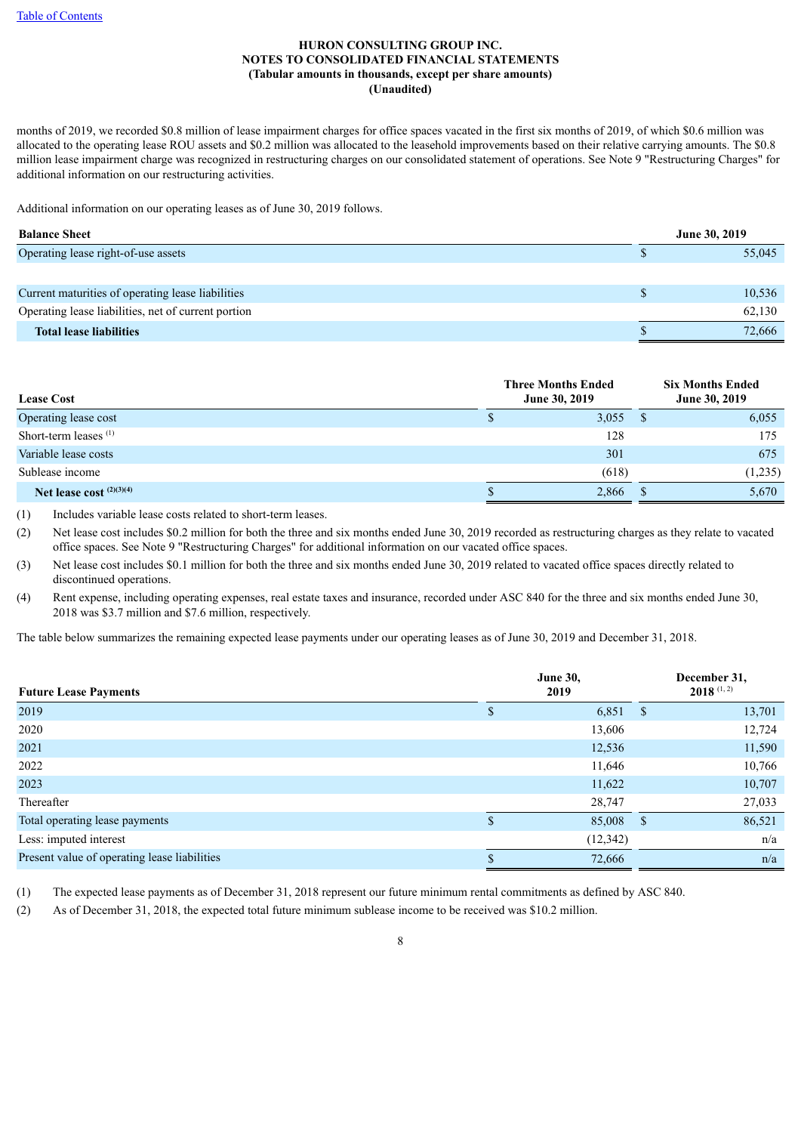months of 2019, we recorded \$0.8 million of lease impairment charges for office spaces vacated in the first six months of 2019, of which \$0.6 million was allocated to the operating lease ROU assets and \$0.2 million was allocated to the leasehold improvements based on their relative carrying amounts. The \$0.8 million lease impairment charge was recognized in restructuring charges on our consolidated statement of operations. See Note 9 "Restructuring Charges" for additional information on our restructuring activities.

Additional information on our operating leases as of June 30, 2019 follows.

| <b>Balance Sheet</b>                                |  | June 30, 2019 |
|-----------------------------------------------------|--|---------------|
| Operating lease right-of-use assets                 |  | 55,045        |
|                                                     |  |               |
| Current maturities of operating lease liabilities   |  | 10,536        |
| Operating lease liabilities, net of current portion |  | 62,130        |
| <b>Total lease liabilities</b>                      |  | 72,666        |

| <b>Lease Cost</b>          | <b>Three Months Ended</b><br>June 30, 2019 |       |              | <b>Six Months Ended</b><br>June 30, 2019 |  |  |
|----------------------------|--------------------------------------------|-------|--------------|------------------------------------------|--|--|
| Operating lease cost       |                                            | 3,055 | <sup>S</sup> | 6,055                                    |  |  |
| Short-term leases $(1)$    |                                            | 128   |              | 175                                      |  |  |
| Variable lease costs       |                                            | 301   |              | 675                                      |  |  |
| Sublease income            |                                            | (618) |              | (1,235)                                  |  |  |
| Net lease cost $(2)(3)(4)$ |                                            | 2,866 |              | 5,670                                    |  |  |

(1) Includes variable lease costs related to short-term leases.

(2) Net lease cost includes \$0.2 million for both the three and six months ended June 30, 2019 recorded as restructuring charges as they relate to vacated office spaces. See Note 9 "Restructuring Charges" for additional information on our vacated office spaces.

(3) Net lease cost includes \$0.1 million for both the three and six months ended June 30, 2019 related to vacated office spaces directly related to discontinued operations.

(4) Rent expense, including operating expenses, real estate taxes and insurance, recorded under ASC 840 for the three and six months ended June 30, 2018 was \$3.7 million and \$7.6 million, respectively.

The table below summarizes the remaining expected lease payments under our operating leases as of June 30, 2019 and December 31, 2018.

| <b>Future Lease Payments</b>                 |   | <b>June 30,</b><br>2019 | December 31,<br>$2018$ <sup>(1,2)</sup> |        |  |
|----------------------------------------------|---|-------------------------|-----------------------------------------|--------|--|
| 2019                                         | P | $6,851$ \$              |                                         | 13,701 |  |
| 2020                                         |   | 13,606                  |                                         | 12,724 |  |
| 2021                                         |   | 12,536                  |                                         | 11,590 |  |
| 2022                                         |   | 11,646                  |                                         | 10,766 |  |
| 2023                                         |   | 11,622                  |                                         | 10,707 |  |
| Thereafter                                   |   | 28,747                  |                                         | 27,033 |  |
| Total operating lease payments               | S | 85,008                  | <sup>S</sup>                            | 86,521 |  |
| Less: imputed interest                       |   | (12, 342)               |                                         | n/a    |  |
| Present value of operating lease liabilities |   | 72,666                  |                                         | n/a    |  |

(1) The expected lease payments as of December 31, 2018 represent our future minimum rental commitments as defined by ASC 840.

(2) As of December 31, 2018, the expected total future minimum sublease income to be received was \$10.2 million.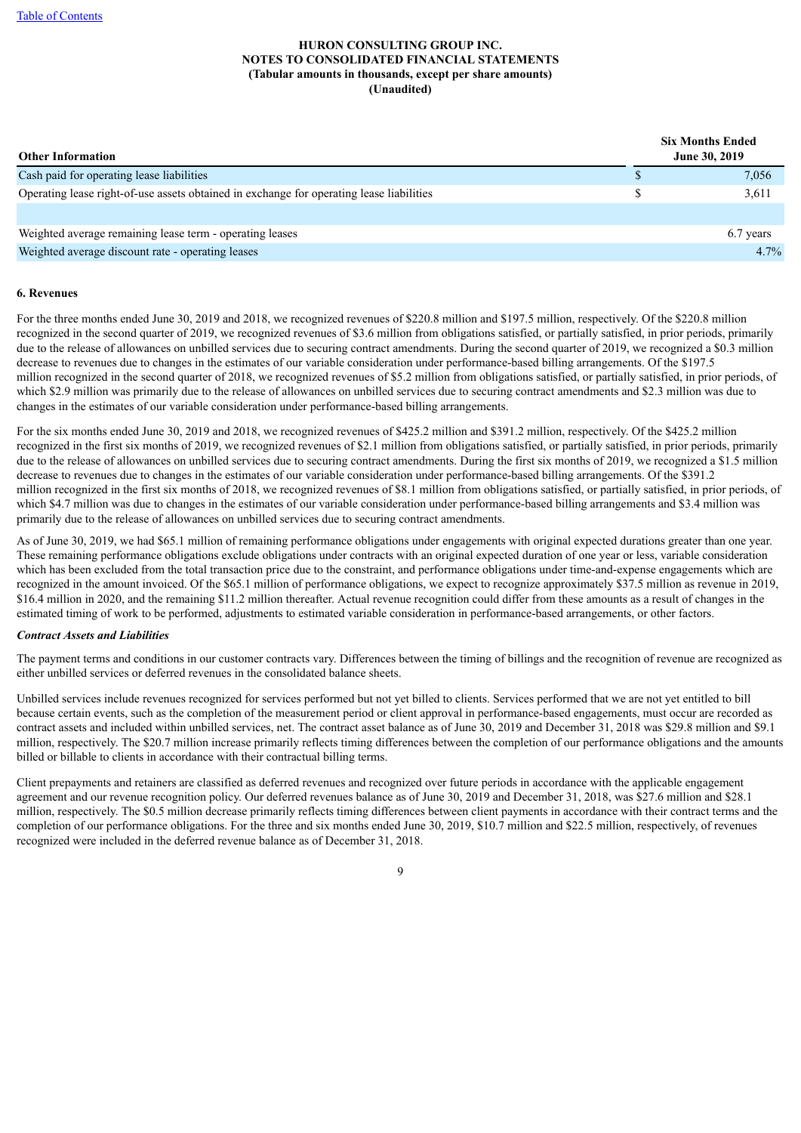| <b>Other Information</b>                                                                 | <b>Six Months Ended</b><br>June 30, 2019 |
|------------------------------------------------------------------------------------------|------------------------------------------|
| Cash paid for operating lease liabilities                                                | 7,056                                    |
| Operating lease right-of-use assets obtained in exchange for operating lease liabilities | 3,611                                    |
|                                                                                          |                                          |
| Weighted average remaining lease term - operating leases                                 | 6.7 years                                |
| Weighted average discount rate - operating leases                                        | $4.7\%$                                  |

### **6. Revenues**

For the three months ended June 30, 2019 and 2018, we recognized revenues of \$220.8 million and \$197.5 million, respectively. Of the \$220.8 million recognized in the second quarter of 2019, we recognized revenues of \$3.6 million from obligations satisfied, or partially satisfied, in prior periods, primarily due to the release of allowances on unbilled services due to securing contract amendments. During the second quarter of 2019, we recognized a \$0.3 million decrease to revenues due to changes in the estimates of our variable consideration under performance-based billing arrangements. Of the \$197.5 million recognized in the second quarter of 2018, we recognized revenues of \$5.2 million from obligations satisfied, or partially satisfied, in prior periods, of which \$2.9 million was primarily due to the release of allowances on unbilled services due to securing contract amendments and \$2.3 million was due to changes in the estimates of our variable consideration under performance-based billing arrangements.

For the six months ended June 30, 2019 and 2018, we recognized revenues of \$425.2 million and \$391.2 million, respectively. Of the \$425.2 million recognized in the first six months of 2019, we recognized revenues of \$2.1 million from obligations satisfied, or partially satisfied, in prior periods, primarily due to the release of allowances on unbilled services due to securing contract amendments. During the first six months of 2019, we recognized a \$1.5 million decrease to revenues due to changes in the estimates of our variable consideration under performance-based billing arrangements. Of the \$391.2 million recognized in the first six months of 2018, we recognized revenues of \$8.1 million from obligations satisfied, or partially satisfied, in prior periods, of which \$4.7 million was due to changes in the estimates of our variable consideration under performance-based billing arrangements and \$3.4 million was primarily due to the release of allowances on unbilled services due to securing contract amendments.

As of June 30, 2019, we had \$65.1 million of remaining performance obligations under engagements with original expected durations greater than one year. These remaining performance obligations exclude obligations under contracts with an original expected duration of one year or less, variable consideration which has been excluded from the total transaction price due to the constraint, and performance obligations under time-and-expense engagements which are recognized in the amount invoiced. Of the \$65.1 million of performance obligations, we expect to recognize approximately \$37.5 million as revenue in 2019, \$16.4 million in 2020, and the remaining \$11.2 million thereafter. Actual revenue recognition could differ from these amounts as a result of changes in the estimated timing of work to be performed, adjustments to estimated variable consideration in performance-based arrangements, or other factors.

### *Contract Assets and Liabilities*

The payment terms and conditions in our customer contracts vary. Differences between the timing of billings and the recognition of revenue are recognized as either unbilled services or deferred revenues in the consolidated balance sheets.

Unbilled services include revenues recognized for services performed but not yet billed to clients. Services performed that we are not yet entitled to bill because certain events, such as the completion of the measurement period or client approval in performance-based engagements, must occur are recorded as contract assets and included within unbilled services, net. The contract asset balance as of June 30, 2019 and December 31, 2018 was \$29.8 million and \$9.1 million, respectively. The \$20.7 million increase primarily reflects timing differences between the completion of our performance obligations and the amounts billed or billable to clients in accordance with their contractual billing terms.

Client prepayments and retainers are classified as deferred revenues and recognized over future periods in accordance with the applicable engagement agreement and our revenue recognition policy. Our deferred revenues balance as of June 30, 2019 and December 31, 2018, was \$27.6 million and \$28.1 million, respectively. The \$0.5 million decrease primarily reflects timing differences between client payments in accordance with their contract terms and the completion of our performance obligations. For the three and six months ended June 30, 2019, \$10.7 million and \$22.5 million, respectively, of revenues recognized were included in the deferred revenue balance as of December 31, 2018.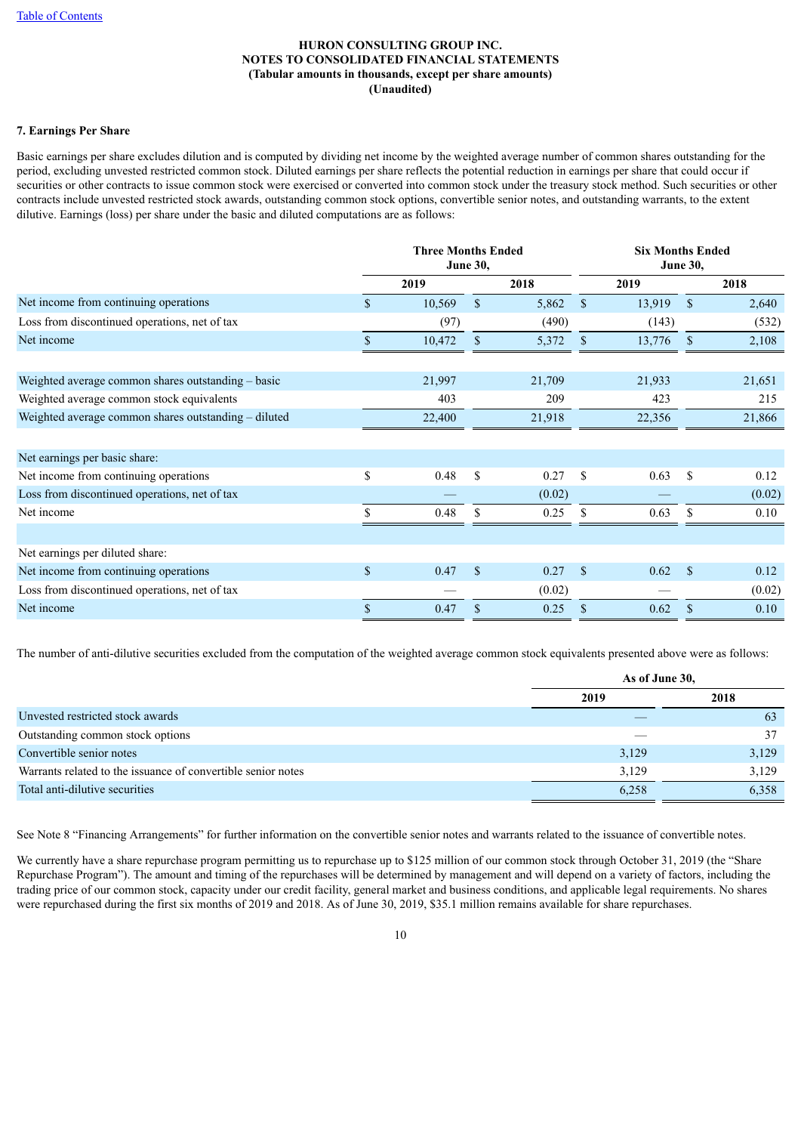# **7. Earnings Per Share**

Basic earnings per share excludes dilution and is computed by dividing net income by the weighted average number of common shares outstanding for the period, excluding unvested restricted common stock. Diluted earnings per share reflects the potential reduction in earnings per share that could occur if securities or other contracts to issue common stock were exercised or converted into common stock under the treasury stock method. Such securities or other contracts include unvested restricted stock awards, outstanding common stock options, convertible senior notes, and outstanding warrants, to the extent dilutive. Earnings (loss) per share under the basic and diluted computations are as follows:

|                                                      |                           | <b>Three Months Ended</b><br><b>June 30,</b> |               |        |                    | <b>Six Months Ended</b><br><b>June 30,</b> |                    |        |  |  |
|------------------------------------------------------|---------------------------|----------------------------------------------|---------------|--------|--------------------|--------------------------------------------|--------------------|--------|--|--|
|                                                      |                           | 2018<br>2019                                 |               |        |                    | 2019                                       | 2018               |        |  |  |
| Net income from continuing operations                | $\boldsymbol{\mathsf{S}}$ | 10,569                                       | $\mathcal{S}$ | 5,862  | $\mathcal{S}$      | 13,919                                     | - S                | 2,640  |  |  |
| Loss from discontinued operations, net of tax        |                           | (97)                                         |               | (490)  |                    | (143)                                      |                    | (532)  |  |  |
| Net income                                           | $\mathbf S$               | 10,472                                       | $\mathbb{S}$  | 5,372  | \$                 | 13,776                                     | $\mathbf{\hat{s}}$ | 2,108  |  |  |
|                                                      |                           |                                              |               |        |                    |                                            |                    |        |  |  |
| Weighted average common shares outstanding - basic   |                           | 21,997                                       |               | 21,709 |                    | 21,933                                     |                    | 21,651 |  |  |
| Weighted average common stock equivalents            |                           | 403                                          |               | 209    |                    | 423                                        |                    | 215    |  |  |
| Weighted average common shares outstanding - diluted |                           | 22,400                                       |               | 21,918 |                    | 22,356                                     |                    | 21,866 |  |  |
| Net earnings per basic share:                        |                           |                                              |               |        |                    |                                            |                    |        |  |  |
| Net income from continuing operations                | \$                        | 0.48                                         | \$            | 0.27   | \$                 | 0.63                                       | $\mathbf S$        | 0.12   |  |  |
| Loss from discontinued operations, net of tax        |                           |                                              |               | (0.02) |                    |                                            |                    | (0.02) |  |  |
| Net income                                           | \$                        | 0.48                                         | S             | 0.25   | \$                 | 0.63                                       | \$                 | 0.10   |  |  |
|                                                      |                           |                                              |               |        |                    |                                            |                    |        |  |  |
| Net earnings per diluted share:                      |                           |                                              |               |        |                    |                                            |                    |        |  |  |
| Net income from continuing operations                | \$                        | 0.47                                         | $\mathbb{S}$  | 0.27   | $\mathbf{\hat{s}}$ | 0.62                                       | -\$                | 0.12   |  |  |
| Loss from discontinued operations, net of tax        |                           |                                              |               | (0.02) |                    |                                            |                    | (0.02) |  |  |
| Net income                                           | $\mathbf S$               | 0.47                                         |               | 0.25   | $\mathcal{S}$      | 0.62                                       | $\mathbf{\hat{S}}$ | 0.10   |  |  |

The number of anti-dilutive securities excluded from the computation of the weighted average common stock equivalents presented above were as follows:

|                                                              | As of June 30, |       |  |  |
|--------------------------------------------------------------|----------------|-------|--|--|
|                                                              | 2019           | 2018  |  |  |
| Unvested restricted stock awards                             |                | 63    |  |  |
| Outstanding common stock options                             |                | 37    |  |  |
| Convertible senior notes                                     | 3,129          | 3,129 |  |  |
| Warrants related to the issuance of convertible senior notes | 3.129          | 3,129 |  |  |
| Total anti-dilutive securities                               | 6,258          | 6,358 |  |  |

See Note 8 "Financing Arrangements" for further information on the convertible senior notes and warrants related to the issuance of convertible notes.

We currently have a share repurchase program permitting us to repurchase up to \$125 million of our common stock through October 31, 2019 (the "Share Repurchase Program"). The amount and timing of the repurchases will be determined by management and will depend on a variety of factors, including the trading price of our common stock, capacity under our credit facility, general market and business conditions, and applicable legal requirements. No shares were repurchased during the first six months of 2019 and 2018. As of June 30, 2019, \$35.1 million remains available for share repurchases.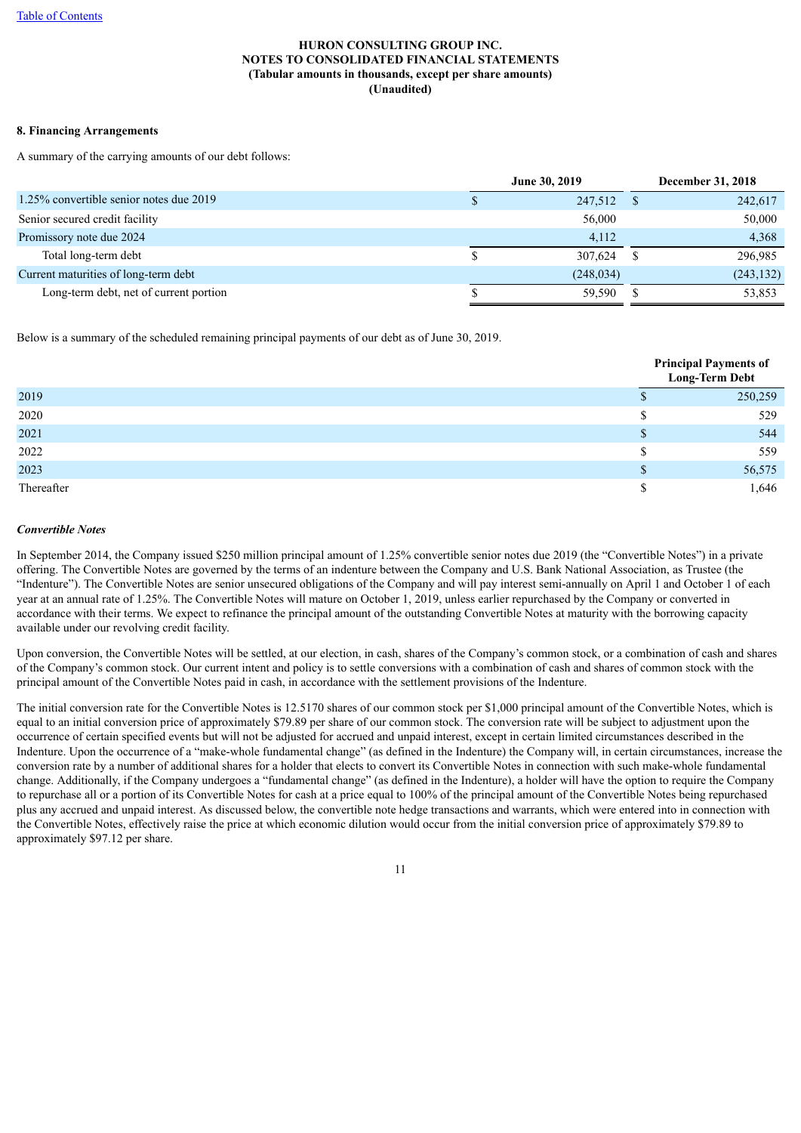# **8. Financing Arrangements**

A summary of the carrying amounts of our debt follows:

|                                         | June 30, 2019 | December 31, 2018 |
|-----------------------------------------|---------------|-------------------|
| 1.25% convertible senior notes due 2019 | 247,512       | 242,617<br>-S     |
| Senior secured credit facility          | 56,000        | 50,000            |
| Promissory note due 2024                | 4.112         | 4,368             |
| Total long-term debt                    | 307.624       | 296,985           |
| Current maturities of long-term debt    | (248, 034)    | (243, 132)        |
| Long-term debt, net of current portion  | 59.590        | 53,853            |

Below is a summary of the scheduled remaining principal payments of our debt as of June 30, 2019.

|            | <b>Principal Payments of</b><br><b>Long-Term Debt</b> |
|------------|-------------------------------------------------------|
| 2019       | 250,259                                               |
| 2020       | 529                                                   |
| 2021       | 544                                                   |
| 2022       | 559                                                   |
| 2023       | 56,575                                                |
| Thereafter | 1,646                                                 |

### *Convertible Notes*

In September 2014, the Company issued \$250 million principal amount of 1.25% convertible senior notes due 2019 (the "Convertible Notes") in a private offering. The Convertible Notes are governed by the terms of an indenture between the Company and U.S. Bank National Association, as Trustee (the "Indenture"). The Convertible Notes are senior unsecured obligations of the Company and will pay interest semi-annually on April 1 and October 1 of each year at an annual rate of 1.25%. The Convertible Notes will mature on October 1, 2019, unless earlier repurchased by the Company or converted in accordance with their terms. We expect to refinance the principal amount of the outstanding Convertible Notes at maturity with the borrowing capacity available under our revolving credit facility.

Upon conversion, the Convertible Notes will be settled, at our election, in cash, shares of the Company's common stock, or a combination of cash and shares of the Company's common stock. Our current intent and policy is to settle conversions with a combination of cash and shares of common stock with the principal amount of the Convertible Notes paid in cash, in accordance with the settlement provisions of the Indenture.

The initial conversion rate for the Convertible Notes is 12.5170 shares of our common stock per \$1,000 principal amount of the Convertible Notes, which is equal to an initial conversion price of approximately \$79.89 per share of our common stock. The conversion rate will be subject to adjustment upon the occurrence of certain specified events but will not be adjusted for accrued and unpaid interest, except in certain limited circumstances described in the Indenture. Upon the occurrence of a "make-whole fundamental change" (as defined in the Indenture) the Company will, in certain circumstances, increase the conversion rate by a number of additional shares for a holder that elects to convert its Convertible Notes in connection with such make-whole fundamental change. Additionally, if the Company undergoes a "fundamental change" (as defined in the Indenture), a holder will have the option to require the Company to repurchase all or a portion of its Convertible Notes for cash at a price equal to 100% of the principal amount of the Convertible Notes being repurchased plus any accrued and unpaid interest. As discussed below, the convertible note hedge transactions and warrants, which were entered into in connection with the Convertible Notes, effectively raise the price at which economic dilution would occur from the initial conversion price of approximately \$79.89 to approximately \$97.12 per share.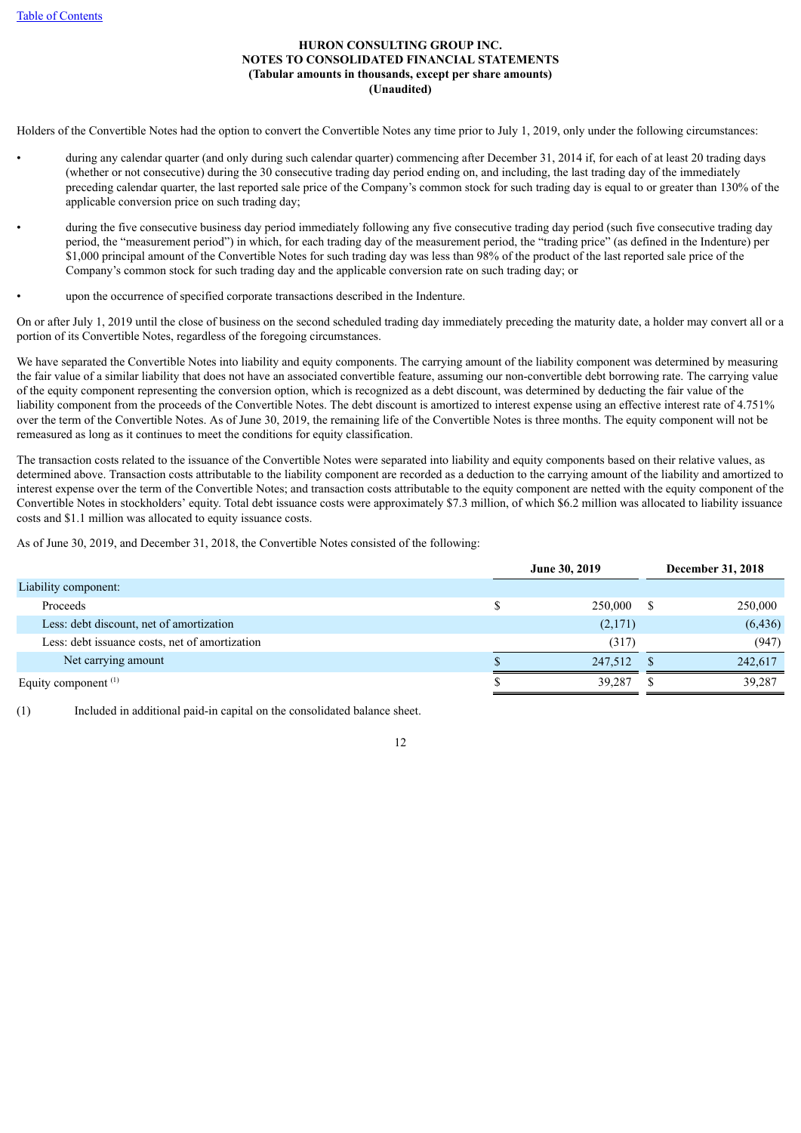Holders of the Convertible Notes had the option to convert the Convertible Notes any time prior to July 1, 2019, only under the following circumstances:

- during any calendar quarter (and only during such calendar quarter) commencing after December 31, 2014 if, for each of at least 20 trading days (whether or not consecutive) during the 30 consecutive trading day period ending on, and including, the last trading day of the immediately preceding calendar quarter, the last reported sale price of the Company's common stock for such trading day is equal to or greater than 130% of the applicable conversion price on such trading day;
- during the five consecutive business day period immediately following any five consecutive trading day period (such five consecutive trading day period, the "measurement period") in which, for each trading day of the measurement period, the "trading price" (as defined in the Indenture) per \$1,000 principal amount of the Convertible Notes for such trading day was less than 98% of the product of the last reported sale price of the Company's common stock for such trading day and the applicable conversion rate on such trading day; or
	- upon the occurrence of specified corporate transactions described in the Indenture.

On or after July 1, 2019 until the close of business on the second scheduled trading day immediately preceding the maturity date, a holder may convert all or a portion of its Convertible Notes, regardless of the foregoing circumstances.

We have separated the Convertible Notes into liability and equity components. The carrying amount of the liability component was determined by measuring the fair value of a similar liability that does not have an associated convertible feature, assuming our non-convertible debt borrowing rate. The carrying value of the equity component representing the conversion option, which is recognized as a debt discount, was determined by deducting the fair value of the liability component from the proceeds of the Convertible Notes. The debt discount is amortized to interest expense using an effective interest rate of 4.751% over the term of the Convertible Notes. As of June 30, 2019, the remaining life of the Convertible Notes is three months. The equity component will not be remeasured as long as it continues to meet the conditions for equity classification.

The transaction costs related to the issuance of the Convertible Notes were separated into liability and equity components based on their relative values, as determined above. Transaction costs attributable to the liability component are recorded as a deduction to the carrying amount of the liability and amortized to interest expense over the term of the Convertible Notes; and transaction costs attributable to the equity component are netted with the equity component of the Convertible Notes in stockholders' equity. Total debt issuance costs were approximately \$7.3 million, of which \$6.2 million was allocated to liability issuance costs and \$1.1 million was allocated to equity issuance costs.

As of June 30, 2019, and December 31, 2018, the Convertible Notes consisted of the following:

|                                                | June 30, 2019 |         |  | December 31, 2018 |  |  |
|------------------------------------------------|---------------|---------|--|-------------------|--|--|
| Liability component:                           |               |         |  |                   |  |  |
| Proceeds                                       |               | 250,000 |  | 250,000           |  |  |
| Less: debt discount, net of amortization       |               | (2,171) |  | (6, 436)          |  |  |
| Less: debt issuance costs, net of amortization |               | (317)   |  | (947)             |  |  |
| Net carrying amount                            |               | 247.512 |  | 242,617           |  |  |
| Equity component $(1)$                         |               | 39,287  |  | 39,287            |  |  |

(1) Included in additional paid-in capital on the consolidated balance sheet.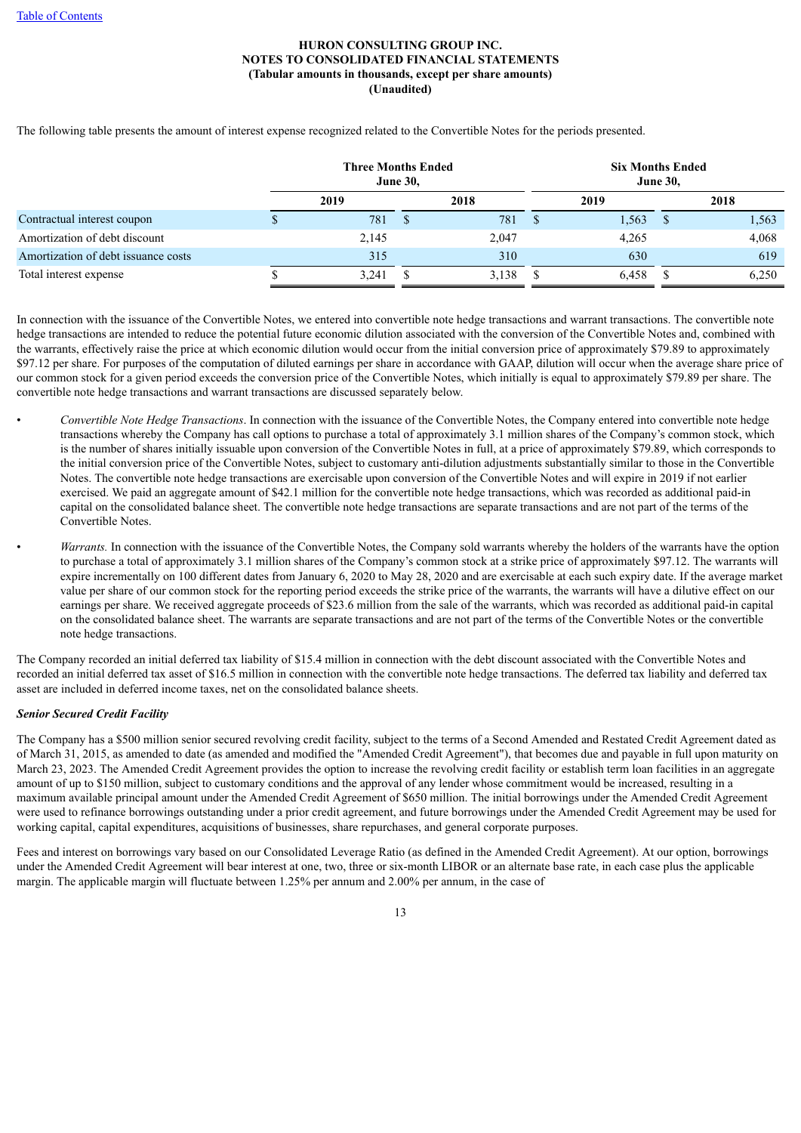The following table presents the amount of interest expense recognized related to the Convertible Notes for the periods presented.

|                                     | <b>Three Months Ended</b><br><b>June 30,</b> |   |       | <b>Six Months Ended</b><br><b>June 30,</b> |  |       |  |
|-------------------------------------|----------------------------------------------|---|-------|--------------------------------------------|--|-------|--|
|                                     | 2019                                         |   | 2018  | 2019                                       |  | 2018  |  |
| Contractual interest coupon         | 781                                          | S | 781   | 1,563                                      |  | 1,563 |  |
| Amortization of debt discount       | 2,145                                        |   | 2,047 | 4,265                                      |  | 4,068 |  |
| Amortization of debt issuance costs | 315                                          |   | 310   | 630                                        |  | 619   |  |
| Total interest expense              | 3,241                                        |   | 3,138 | 6,458                                      |  | 6,250 |  |

In connection with the issuance of the Convertible Notes, we entered into convertible note hedge transactions and warrant transactions. The convertible note hedge transactions are intended to reduce the potential future economic dilution associated with the conversion of the Convertible Notes and, combined with the warrants, effectively raise the price at which economic dilution would occur from the initial conversion price of approximately \$79.89 to approximately \$97.12 per share. For purposes of the computation of diluted earnings per share in accordance with GAAP, dilution will occur when the average share price of our common stock for a given period exceeds the conversion price of the Convertible Notes, which initially is equal to approximately \$79.89 per share. The convertible note hedge transactions and warrant transactions are discussed separately below.

• *Convertible Note Hedge Transactions*. In connection with the issuance of the Convertible Notes, the Company entered into convertible note hedge transactions whereby the Company has call options to purchase a total of approximately 3.1 million shares of the Company's common stock, which is the number of shares initially issuable upon conversion of the Convertible Notes in full, at a price of approximately \$79.89, which corresponds to the initial conversion price of the Convertible Notes, subject to customary anti-dilution adjustments substantially similar to those in the Convertible Notes. The convertible note hedge transactions are exercisable upon conversion of the Convertible Notes and will expire in 2019 if not earlier exercised. We paid an aggregate amount of \$42.1 million for the convertible note hedge transactions, which was recorded as additional paid-in capital on the consolidated balance sheet. The convertible note hedge transactions are separate transactions and are not part of the terms of the Convertible Notes.

*Warrants*. In connection with the issuance of the Convertible Notes, the Company sold warrants whereby the holders of the warrants have the option to purchase a total of approximately 3.1 million shares of the Company's common stock at a strike price of approximately \$97.12. The warrants will expire incrementally on 100 different dates from January 6, 2020 to May 28, 2020 and are exercisable at each such expiry date. If the average market value per share of our common stock for the reporting period exceeds the strike price of the warrants, the warrants will have a dilutive effect on our earnings per share. We received aggregate proceeds of \$23.6 million from the sale of the warrants, which was recorded as additional paid-in capital on the consolidated balance sheet. The warrants are separate transactions and are not part of the terms of the Convertible Notes or the convertible note hedge transactions.

The Company recorded an initial deferred tax liability of \$15.4 million in connection with the debt discount associated with the Convertible Notes and recorded an initial deferred tax asset of \$16.5 million in connection with the convertible note hedge transactions. The deferred tax liability and deferred tax asset are included in deferred income taxes, net on the consolidated balance sheets.

# *Senior Secured Credit Facility*

The Company has a \$500 million senior secured revolving credit facility, subject to the terms of a Second Amended and Restated Credit Agreement dated as of March 31, 2015, as amended to date (as amended and modified the "Amended Credit Agreement"), that becomes due and payable in full upon maturity on March 23, 2023. The Amended Credit Agreement provides the option to increase the revolving credit facility or establish term loan facilities in an aggregate amount of up to \$150 million, subject to customary conditions and the approval of any lender whose commitment would be increased, resulting in a maximum available principal amount under the Amended Credit Agreement of \$650 million. The initial borrowings under the Amended Credit Agreement were used to refinance borrowings outstanding under a prior credit agreement, and future borrowings under the Amended Credit Agreement may be used for working capital, capital expenditures, acquisitions of businesses, share repurchases, and general corporate purposes.

Fees and interest on borrowings vary based on our Consolidated Leverage Ratio (as defined in the Amended Credit Agreement). At our option, borrowings under the Amended Credit Agreement will bear interest at one, two, three or six-month LIBOR or an alternate base rate, in each case plus the applicable margin. The applicable margin will fluctuate between 1.25% per annum and 2.00% per annum, in the case of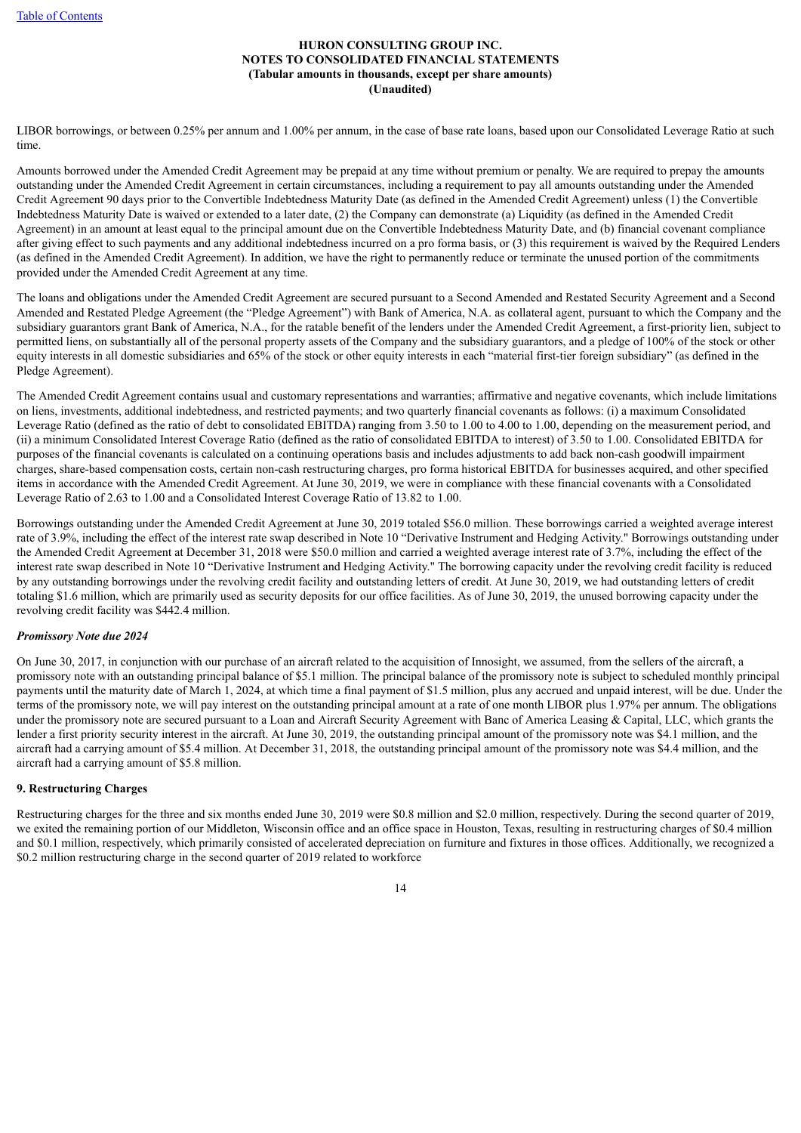LIBOR borrowings, or between 0.25% per annum and 1.00% per annum, in the case of base rate loans, based upon our Consolidated Leverage Ratio at such time.

Amounts borrowed under the Amended Credit Agreement may be prepaid at any time without premium or penalty. We are required to prepay the amounts outstanding under the Amended Credit Agreement in certain circumstances, including a requirement to pay all amounts outstanding under the Amended Credit Agreement 90 days prior to the Convertible Indebtedness Maturity Date (as defined in the Amended Credit Agreement) unless (1) the Convertible Indebtedness Maturity Date is waived or extended to a later date, (2) the Company can demonstrate (a) Liquidity (as defined in the Amended Credit Agreement) in an amount at least equal to the principal amount due on the Convertible Indebtedness Maturity Date, and (b) financial covenant compliance after giving effect to such payments and any additional indebtedness incurred on a pro forma basis, or (3) this requirement is waived by the Required Lenders (as defined in the Amended Credit Agreement). In addition, we have the right to permanently reduce or terminate the unused portion of the commitments provided under the Amended Credit Agreement at any time.

The loans and obligations under the Amended Credit Agreement are secured pursuant to a Second Amended and Restated Security Agreement and a Second Amended and Restated Pledge Agreement (the "Pledge Agreement") with Bank of America, N.A. as collateral agent, pursuant to which the Company and the subsidiary guarantors grant Bank of America, N.A., for the ratable benefit of the lenders under the Amended Credit Agreement, a first-priority lien, subject to permitted liens, on substantially all of the personal property assets of the Company and the subsidiary guarantors, and a pledge of 100% of the stock or other equity interests in all domestic subsidiaries and 65% of the stock or other equity interests in each "material first-tier foreign subsidiary" (as defined in the Pledge Agreement).

The Amended Credit Agreement contains usual and customary representations and warranties; affirmative and negative covenants, which include limitations on liens, investments, additional indebtedness, and restricted payments; and two quarterly financial covenants as follows: (i) a maximum Consolidated Leverage Ratio (defined as the ratio of debt to consolidated EBITDA) ranging from 3.50 to 1.00 to 4.00 to 1.00, depending on the measurement period, and (ii) a minimum Consolidated Interest Coverage Ratio (defined as the ratio of consolidated EBITDA to interest) of 3.50 to 1.00. Consolidated EBITDA for purposes of the financial covenants is calculated on a continuing operations basis and includes adjustments to add back non-cash goodwill impairment charges, share-based compensation costs, certain non-cash restructuring charges, pro forma historical EBITDA for businesses acquired, and other specified items in accordance with the Amended Credit Agreement. At June 30, 2019, we were in compliance with these financial covenants with a Consolidated Leverage Ratio of 2.63 to 1.00 and a Consolidated Interest Coverage Ratio of 13.82 to 1.00.

Borrowings outstanding under the Amended Credit Agreement at June 30, 2019 totaled \$56.0 million. These borrowings carried a weighted average interest rate of 3.9%, including the effect of the interest rate swap described in Note 10 "Derivative Instrument and Hedging Activity." Borrowings outstanding under the Amended Credit Agreement at December 31, 2018 were \$50.0 million and carried a weighted average interest rate of 3.7%, including the effect of the interest rate swap described in Note 10 "Derivative Instrument and Hedging Activity." The borrowing capacity under the revolving credit facility is reduced by any outstanding borrowings under the revolving credit facility and outstanding letters of credit. At June 30, 2019, we had outstanding letters of credit totaling \$1.6 million, which are primarily used as security deposits for our office facilities. As of June 30, 2019, the unused borrowing capacity under the revolving credit facility was \$442.4 million.

### *Promissory Note due 2024*

On June 30, 2017, in conjunction with our purchase of an aircraft related to the acquisition of Innosight, we assumed, from the sellers of the aircraft, a promissory note with an outstanding principal balance of \$5.1 million. The principal balance of the promissory note is subject to scheduled monthly principal payments until the maturity date of March 1, 2024, at which time a final payment of \$1.5 million, plus any accrued and unpaid interest, will be due. Under the terms of the promissory note, we will pay interest on the outstanding principal amount at a rate of one month LIBOR plus 1.97% per annum. The obligations under the promissory note are secured pursuant to a Loan and Aircraft Security Agreement with Banc of America Leasing & Capital, LLC, which grants the lender a first priority security interest in the aircraft. At June 30, 2019, the outstanding principal amount of the promissory note was \$4.1 million, and the aircraft had a carrying amount of \$5.4 million. At December 31, 2018, the outstanding principal amount of the promissory note was \$4.4 million, and the aircraft had a carrying amount of \$5.8 million.

# **9. Restructuring Charges**

Restructuring charges for the three and six months ended June 30, 2019 were \$0.8 million and \$2.0 million, respectively. During the second quarter of 2019, we exited the remaining portion of our Middleton, Wisconsin office and an office space in Houston, Texas, resulting in restructuring charges of \$0.4 million and \$0.1 million, respectively, which primarily consisted of accelerated depreciation on furniture and fixtures in those offices. Additionally, we recognized a \$0.2 million restructuring charge in the second quarter of 2019 related to workforce

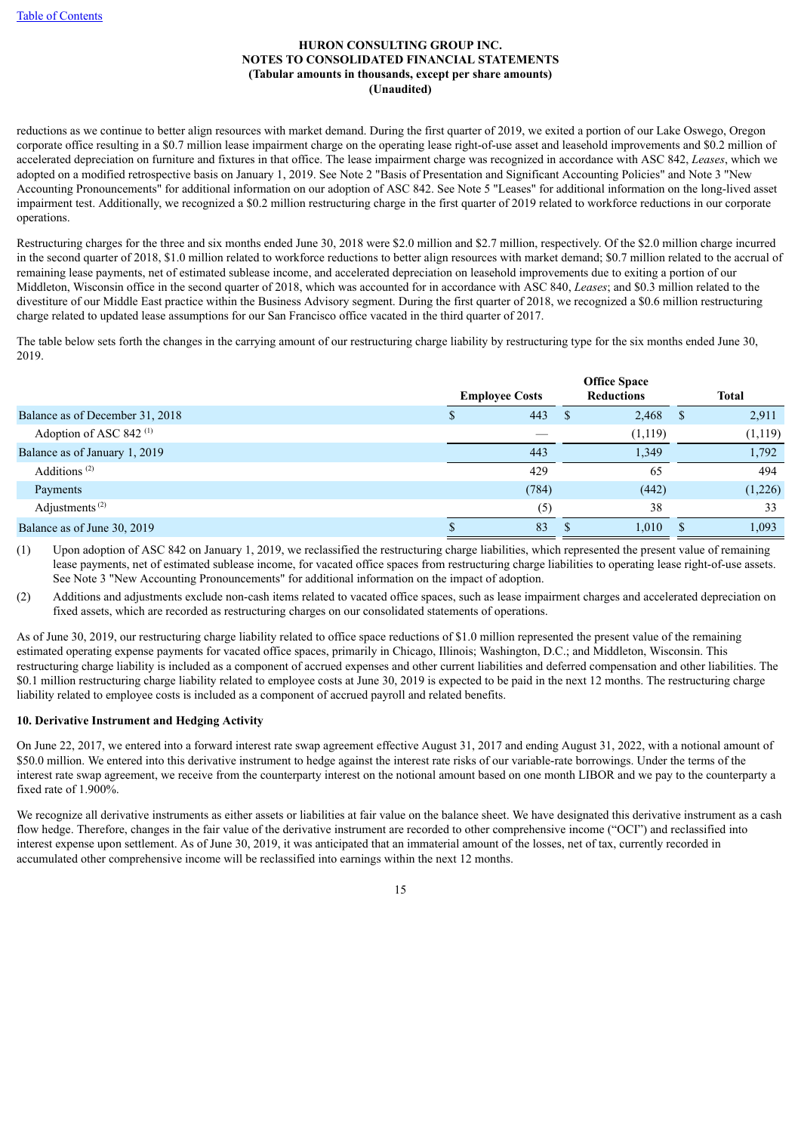reductions as we continue to better align resources with market demand. During the first quarter of 2019, we exited a portion of our Lake Oswego, Oregon corporate office resulting in a \$0.7 million lease impairment charge on the operating lease right-of-use asset and leasehold improvements and \$0.2 million of accelerated depreciation on furniture and fixtures in that office. The lease impairment charge was recognized in accordance with ASC 842, *Leases*, which we adopted on a modified retrospective basis on January 1, 2019. See Note 2 "Basis of Presentation and Significant Accounting Policies" and Note 3 "New Accounting Pronouncements" for additional information on our adoption of ASC 842. See Note 5 "Leases" for additional information on the long-lived asset impairment test. Additionally, we recognized a \$0.2 million restructuring charge in the first quarter of 2019 related to workforce reductions in our corporate operations.

Restructuring charges for the three and six months ended June 30, 2018 were \$2.0 million and \$2.7 million, respectively. Of the \$2.0 million charge incurred in the second quarter of 2018, \$1.0 million related to workforce reductions to better align resources with market demand; \$0.7 million related to the accrual of remaining lease payments, net of estimated sublease income, and accelerated depreciation on leasehold improvements due to exiting a portion of our Middleton, Wisconsin office in the second quarter of 2018, which was accounted for in accordance with ASC 840, *Leases*; and \$0.3 million related to the divestiture of our Middle East practice within the Business Advisory segment. During the first quarter of 2018, we recognized a \$0.6 million restructuring charge related to updated lease assumptions for our San Francisco office vacated in the third quarter of 2017.

The table below sets forth the changes in the carrying amount of our restructuring charge liability by restructuring type for the six months ended June 30, 2019.

|                                         | <b>Office Space</b> |                       |                   |         |              |
|-----------------------------------------|---------------------|-----------------------|-------------------|---------|--------------|
|                                         |                     | <b>Employee Costs</b> | <b>Reductions</b> |         | <b>Total</b> |
| Balance as of December 31, 2018         |                     | 443                   |                   | 2,468   | 2,911        |
| Adoption of ASC 842 <sup>(1)</sup>      |                     |                       |                   | (1,119) | (1, 119)     |
| Balance as of January 1, 2019           |                     | 443                   |                   | 1,349   | 1,792        |
| Additions <sup><math>(2)</math></sup>   |                     | 429                   |                   | 65      | 494          |
| Payments                                |                     | (784)                 |                   | (442)   | (1,226)      |
| Adjustments <sup><math>(2)</math></sup> |                     | (5)                   |                   | 38      | 33           |
| Balance as of June 30, 2019             |                     | 83                    |                   | 1,010   | 1,093        |

(1) Upon adoption of ASC 842 on January 1, 2019, we reclassified the restructuring charge liabilities, which represented the present value of remaining lease payments, net of estimated sublease income, for vacated office spaces from restructuring charge liabilities to operating lease right-of-use assets. See Note 3 "New Accounting Pronouncements" for additional information on the impact of adoption.

(2) Additions and adjustments exclude non-cash items related to vacated office spaces, such as lease impairment charges and accelerated depreciation on fixed assets, which are recorded as restructuring charges on our consolidated statements of operations.

As of June 30, 2019, our restructuring charge liability related to office space reductions of \$1.0 million represented the present value of the remaining estimated operating expense payments for vacated office spaces, primarily in Chicago, Illinois; Washington, D.C.; and Middleton, Wisconsin. This restructuring charge liability is included as a component of accrued expenses and other current liabilities and deferred compensation and other liabilities. The \$0.1 million restructuring charge liability related to employee costs at June 30, 2019 is expected to be paid in the next 12 months. The restructuring charge liability related to employee costs is included as a component of accrued payroll and related benefits.

### **10. Derivative Instrument and Hedging Activity**

On June 22, 2017, we entered into a forward interest rate swap agreement effective August 31, 2017 and ending August 31, 2022, with a notional amount of \$50.0 million. We entered into this derivative instrument to hedge against the interest rate risks of our variable-rate borrowings. Under the terms of the interest rate swap agreement, we receive from the counterparty interest on the notional amount based on one month LIBOR and we pay to the counterparty a fixed rate of 1.900%.

We recognize all derivative instruments as either assets or liabilities at fair value on the balance sheet. We have designated this derivative instrument as a cash flow hedge. Therefore, changes in the fair value of the derivative instrument are recorded to other comprehensive income ("OCI") and reclassified into interest expense upon settlement. As of June 30, 2019, it was anticipated that an immaterial amount of the losses, net of tax, currently recorded in accumulated other comprehensive income will be reclassified into earnings within the next 12 months.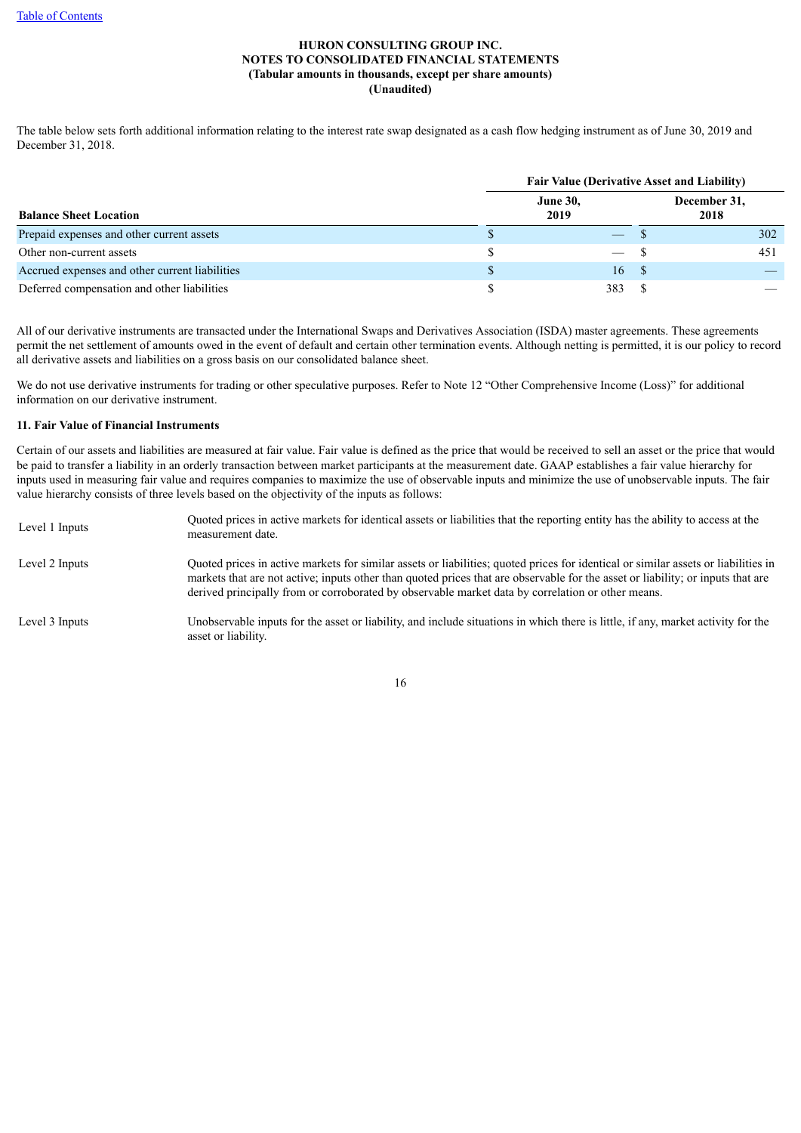The table below sets forth additional information relating to the interest rate swap designated as a cash flow hedging instrument as of June 30, 2019 and December 31, 2018.

|                                                | <b>Fair Value (Derivative Asset and Liability)</b> |                          |                      |  |  |  |  |
|------------------------------------------------|----------------------------------------------------|--------------------------|----------------------|--|--|--|--|
| <b>Balance Sheet Location</b>                  | <b>June 30,</b><br>2019                            |                          | December 31,<br>2018 |  |  |  |  |
| Prepaid expenses and other current assets      |                                                    |                          | 302                  |  |  |  |  |
| Other non-current assets                       |                                                    | $\overline{\phantom{a}}$ | 451                  |  |  |  |  |
| Accrued expenses and other current liabilities |                                                    | 16 \$                    |                      |  |  |  |  |
| Deferred compensation and other liabilities    |                                                    | 383                      |                      |  |  |  |  |

All of our derivative instruments are transacted under the International Swaps and Derivatives Association (ISDA) master agreements. These agreements permit the net settlement of amounts owed in the event of default and certain other termination events. Although netting is permitted, it is our policy to record all derivative assets and liabilities on a gross basis on our consolidated balance sheet.

We do not use derivative instruments for trading or other speculative purposes. Refer to Note 12 "Other Comprehensive Income (Loss)" for additional information on our derivative instrument.

# **11. Fair Value of Financial Instruments**

Certain of our assets and liabilities are measured at fair value. Fair value is defined as the price that would be received to sell an asset or the price that would be paid to transfer a liability in an orderly transaction between market participants at the measurement date. GAAP establishes a fair value hierarchy for inputs used in measuring fair value and requires companies to maximize the use of observable inputs and minimize the use of unobservable inputs. The fair value hierarchy consists of three levels based on the objectivity of the inputs as follows:

Level 1 Inputs Quoted prices in active markets for identical assets or liabilities that the reporting entity has the ability to access at the measurement date. Level 2 Inputs Cuoted prices in active markets for similar assets or liabilities; quoted prices for identical or similar assets or liabilities in markets that are not active; inputs other than quoted prices that are observable for the asset or liability; or inputs that are derived principally from or corroborated by observable market data by correlation or other means. Level 3 Inputs Unobservable inputs for the asset or liability, and include situations in which there is little, if any, market activity for the asset or liability.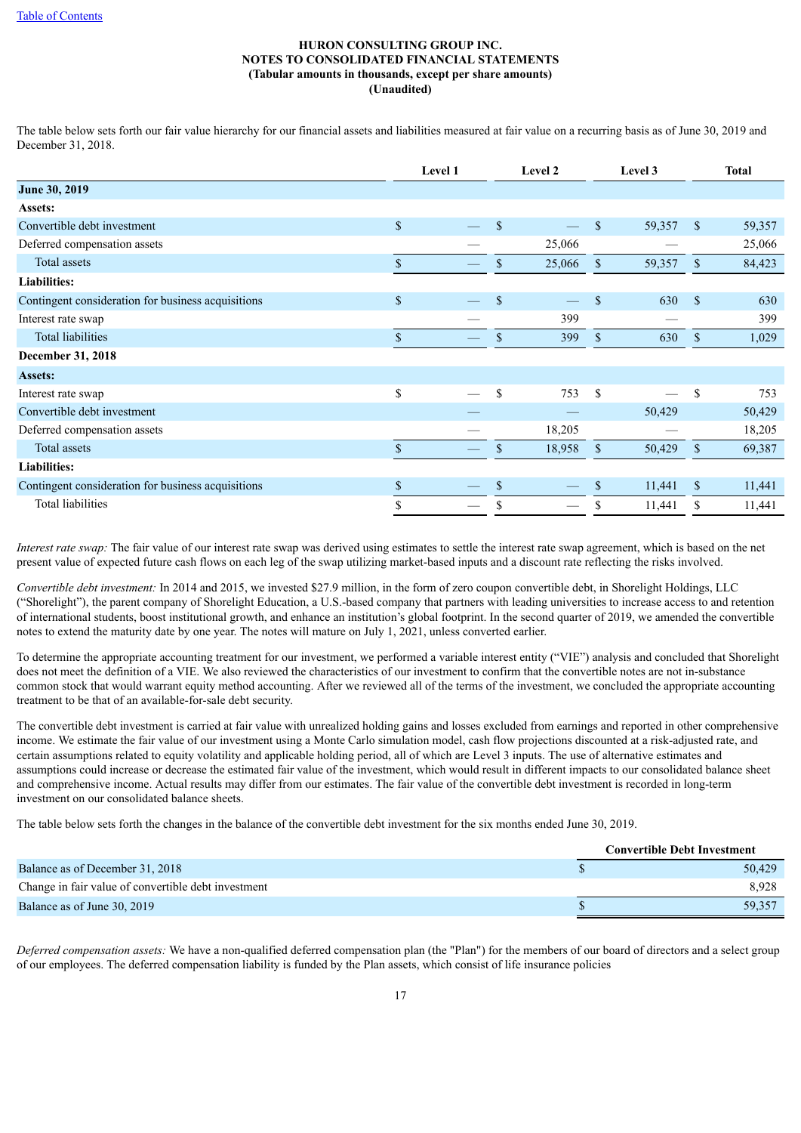The table below sets forth our fair value hierarchy for our financial assets and liabilities measured at fair value on a recurring basis as of June 30, 2019 and December 31, 2018.

|                                                    |              | <b>Level 1</b>           | Level 2      |               | Level 3 |               | <b>Total</b> |
|----------------------------------------------------|--------------|--------------------------|--------------|---------------|---------|---------------|--------------|
| June 30, 2019                                      |              |                          |              |               |         |               |              |
| Assets:                                            |              |                          |              |               |         |               |              |
| Convertible debt investment                        | \$           |                          | \$           | <sup>\$</sup> | 59,357  | <sup>S</sup>  | 59,357       |
| Deferred compensation assets                       |              |                          | 25,066       |               |         |               | 25,066       |
| Total assets                                       |              |                          | \$<br>25,066 | <sup>\$</sup> | 59,357  | <sup>\$</sup> | 84,423       |
| <b>Liabilities:</b>                                |              |                          |              |               |         |               |              |
| Contingent consideration for business acquisitions | $\mathbb{S}$ |                          | \$           | $\mathcal{S}$ | 630     | <sup>\$</sup> | 630          |
| Interest rate swap                                 |              |                          | 399          |               |         |               | 399          |
| <b>Total liabilities</b>                           | \$           |                          | \$<br>399    | \$            | 630     | <sup>\$</sup> | 1,029        |
| December 31, 2018                                  |              |                          |              |               |         |               |              |
| <b>Assets:</b>                                     |              |                          |              |               |         |               |              |
| Interest rate swap                                 | \$           | $\overline{\phantom{0}}$ | \$<br>753    | $\mathbf S$   |         | <sup>\$</sup> | 753          |
| Convertible debt investment                        |              |                          |              |               | 50,429  |               | 50,429       |
| Deferred compensation assets                       |              |                          | 18,205       |               |         |               | 18,205       |
| Total assets                                       | \$           |                          | \$<br>18,958 | $\mathbf{\$}$ | 50,429  | $\mathcal{S}$ | 69,387       |
| <b>Liabilities:</b>                                |              |                          |              |               |         |               |              |
| Contingent consideration for business acquisitions | \$           |                          | \$           | \$            | 11,441  | $\mathcal{S}$ | 11,441       |
| Total liabilities                                  | \$           |                          | \$           | \$            | 11,441  | \$            | 11,441       |

*Interest rate swap*: The fair value of our interest rate swap was derived using estimates to settle the interest rate swap agreement, which is based on the net present value of expected future cash flows on each leg of the swap utilizing market-based inputs and a discount rate reflecting the risks involved.

*Convertible debt investment:* In 2014 and 2015, we invested \$27.9 million, in the form of zero coupon convertible debt, in Shorelight Holdings, LLC ("Shorelight"), the parent company of Shorelight Education, a U.S.-based company that partners with leading universities to increase access to and retention of international students, boost institutional growth, and enhance an institution's global footprint. In the second quarter of 2019, we amended the convertible notes to extend the maturity date by one year. The notes will mature on July 1, 2021, unless converted earlier.

To determine the appropriate accounting treatment for our investment, we performed a variable interest entity ("VIE") analysis and concluded that Shorelight does not meet the definition of a VIE. We also reviewed the characteristics of our investment to confirm that the convertible notes are not in-substance common stock that would warrant equity method accounting. After we reviewed all of the terms of the investment, we concluded the appropriate accounting treatment to be that of an available-for-sale debt security.

The convertible debt investment is carried at fair value with unrealized holding gains and losses excluded from earnings and reported in other comprehensive income. We estimate the fair value of our investment using a Monte Carlo simulation model, cash flow projections discounted at a risk-adjusted rate, and certain assumptions related to equity volatility and applicable holding period, all of which are Level 3 inputs. The use of alternative estimates and assumptions could increase or decrease the estimated fair value of the investment, which would result in different impacts to our consolidated balance sheet and comprehensive income. Actual results may differ from our estimates. The fair value of the convertible debt investment is recorded in long-term investment on our consolidated balance sheets.

The table below sets forth the changes in the balance of the convertible debt investment for the six months ended June 30, 2019.

|                                                     | <b>Convertible Debt Investment</b> |
|-----------------------------------------------------|------------------------------------|
| Balance as of December 31, 2018                     | 50.429                             |
| Change in fair value of convertible debt investment | 8.928                              |
| Balance as of June 30, 2019                         | 59,357                             |

*Deferred compensation assets:* We have a non-qualified deferred compensation plan (the "Plan") for the members of our board of directors and a select group of our employees. The deferred compensation liability is funded by the Plan assets, which consist of life insurance policies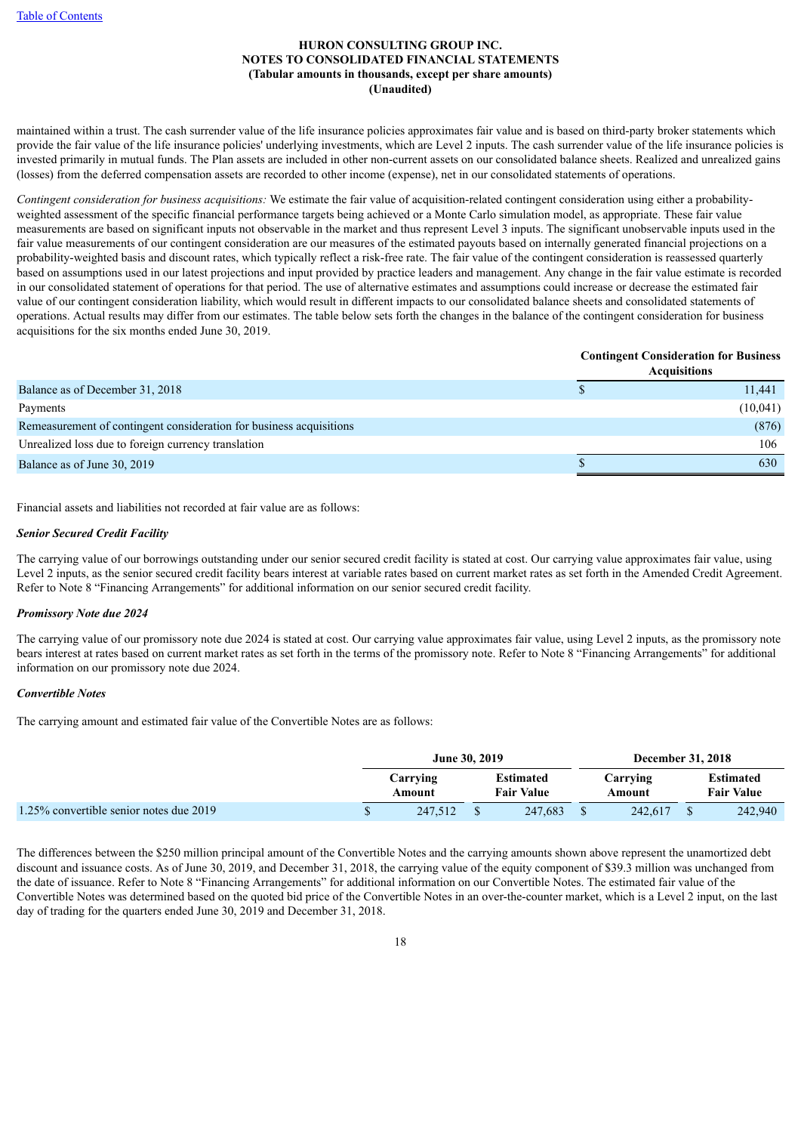maintained within a trust. The cash surrender value of the life insurance policies approximates fair value and is based on third-party broker statements which provide the fair value of the life insurance policies' underlying investments, which are Level 2 inputs. The cash surrender value of the life insurance policies is invested primarily in mutual funds. The Plan assets are included in other non-current assets on our consolidated balance sheets. Realized and unrealized gains (losses) from the deferred compensation assets are recorded to other income (expense), net in our consolidated statements of operations.

*Contingent consideration for business acquisitions:* We estimate the fair value of acquisition-related contingent consideration using either a probabilityweighted assessment of the specific financial performance targets being achieved or a Monte Carlo simulation model, as appropriate. These fair value measurements are based on significant inputs not observable in the market and thus represent Level 3 inputs. The significant unobservable inputs used in the fair value measurements of our contingent consideration are our measures of the estimated payouts based on internally generated financial projections on a probability-weighted basis and discount rates, which typically reflect a risk-free rate. The fair value of the contingent consideration is reassessed quarterly based on assumptions used in our latest projections and input provided by practice leaders and management. Any change in the fair value estimate is recorded in our consolidated statement of operations for that period. The use of alternative estimates and assumptions could increase or decrease the estimated fair value of our contingent consideration liability, which would result in different impacts to our consolidated balance sheets and consolidated statements of operations. Actual results may differ from our estimates. The table below sets forth the changes in the balance of the contingent consideration for business acquisitions for the six months ended June 30, 2019.

|                                                                     | <b>Contingent Consideration for Business</b><br><b>Acquisitions</b> |           |
|---------------------------------------------------------------------|---------------------------------------------------------------------|-----------|
| Balance as of December 31, 2018                                     |                                                                     | 11,441    |
| Payments                                                            |                                                                     | (10, 041) |
| Remeasurement of contingent consideration for business acquisitions |                                                                     | (876)     |
| Unrealized loss due to foreign currency translation                 |                                                                     | 106       |
| Balance as of June 30, 2019                                         |                                                                     | 630       |

Financial assets and liabilities not recorded at fair value are as follows:

### *Senior Secured Credit Facility*

The carrying value of our borrowings outstanding under our senior secured credit facility is stated at cost. Our carrying value approximates fair value, using Level 2 inputs, as the senior secured credit facility bears interest at variable rates based on current market rates as set forth in the Amended Credit Agreement. Refer to Note 8 "Financing Arrangements" for additional information on our senior secured credit facility.

### *Promissory Note due 2024*

The carrying value of our promissory note due 2024 is stated at cost. Our carrying value approximates fair value, using Level 2 inputs, as the promissory note bears interest at rates based on current market rates as set forth in the terms of the promissory note. Refer to Note 8 "Financing Arrangements" for additional information on our promissory note due 2024.

### *Convertible Notes*

The carrying amount and estimated fair value of the Convertible Notes are as follows:

|                                         | <b>June 30, 2019</b> |                                       | <b>December 31, 2018</b> |                                       |
|-----------------------------------------|----------------------|---------------------------------------|--------------------------|---------------------------------------|
|                                         | Carrving<br>Amount   | <b>Estimated</b><br><b>Fair Value</b> | Carrving<br>Amount       | <b>Estimated</b><br><b>Fair Value</b> |
| 1.25% convertible senior notes due 2019 | 247.512              | 247.683                               | 242.617                  | 242,940                               |

The differences between the \$250 million principal amount of the Convertible Notes and the carrying amounts shown above represent the unamortized debt discount and issuance costs. As of June 30, 2019, and December 31, 2018, the carrying value of the equity component of \$39.3 million was unchanged from the date of issuance. Refer to Note 8 "Financing Arrangements" for additional information on our Convertible Notes. The estimated fair value of the Convertible Notes was determined based on the quoted bid price of the Convertible Notes in an over-the-counter market, which is a Level 2 input, on the last day of trading for the quarters ended June 30, 2019 and December 31, 2018.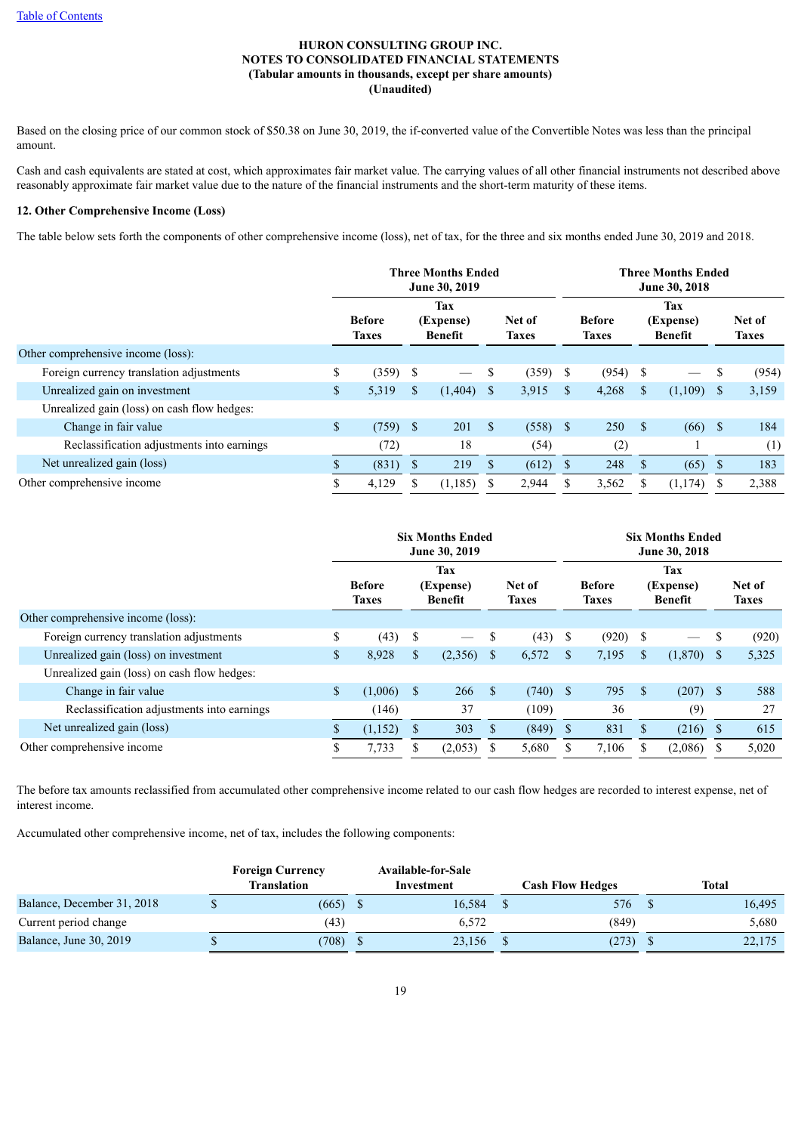Based on the closing price of our common stock of \$50.38 on June 30, 2019, the if-converted value of the Convertible Notes was less than the principal amount.

Cash and cash equivalents are stated at cost, which approximates fair market value. The carrying values of all other financial instruments not described above reasonably approximate fair market value due to the nature of the financial instruments and the short-term maturity of these items.

### **12. Other Comprehensive Income (Loss)**

The table below sets forth the components of other comprehensive income (loss), net of tax, for the three and six months ended June 30, 2019 and 2018.

|                                             |              |                               |              | <b>Three Months Ended</b><br>June 30, 2019 |               |                        |              |                               |     | <b>Three Months Ended</b><br>June 30, 2018 |               |                        |
|---------------------------------------------|--------------|-------------------------------|--------------|--------------------------------------------|---------------|------------------------|--------------|-------------------------------|-----|--------------------------------------------|---------------|------------------------|
|                                             |              | <b>Before</b><br><b>Taxes</b> |              | <b>Tax</b><br>(Expense)<br><b>Benefit</b>  |               | Net of<br><b>Taxes</b> |              | <b>Before</b><br><b>Taxes</b> |     | <b>Tax</b><br>(Expense)<br><b>Benefit</b>  |               | Net of<br><b>Taxes</b> |
| Other comprehensive income (loss):          |              |                               |              |                                            |               |                        |              |                               |     |                                            |               |                        |
| Foreign currency translation adjustments    | \$           | $(359)$ \$                    |              | $\overline{\phantom{0}}$                   | <sup>\$</sup> | $(359)$ \$             |              | $(954)$ \$                    |     | $\overline{\phantom{0}}$                   | S             | (954)                  |
| Unrealized gain on investment               | \$           | 5,319                         | <sup>S</sup> | (1, 404)                                   | <sup>S</sup>  | 3.915                  | <sup>S</sup> | 4,268                         | S   | $(1,109)$ \$                               |               | 3,159                  |
| Unrealized gain (loss) on cash flow hedges: |              |                               |              |                                            |               |                        |              |                               |     |                                            |               |                        |
| Change in fair value                        | $\mathbb{S}$ | $(759)$ \$                    |              | 201                                        | <sup>S</sup>  | $(558)$ \$             |              | 250                           | \$. | (66)                                       | - \$          | 184                    |
| Reclassification adjustments into earnings  |              | (72)                          |              | 18                                         |               | (54)                   |              | (2)                           |     |                                            |               | (1)                    |
| Net unrealized gain (loss)                  |              | (831)                         | - \$         | 219                                        | <sup>\$</sup> | (612)                  | - \$         | 248                           |     | (65)                                       | <sup>\$</sup> | 183                    |
| Other comprehensive income                  |              | 4,129                         |              | (1,185)                                    |               | 2,944                  |              | 3,562                         |     | (1, 174)                                   |               | 2,388                  |

|                                             | <b>Six Months Ended</b><br>June 30, 2019 |                               |               |                                    |               |                        |               | <b>Six Months Ended</b><br>June 30, 2018 |               |                                           |      |                        |  |  |
|---------------------------------------------|------------------------------------------|-------------------------------|---------------|------------------------------------|---------------|------------------------|---------------|------------------------------------------|---------------|-------------------------------------------|------|------------------------|--|--|
|                                             |                                          | <b>Before</b><br><b>Taxes</b> |               | <b>Tax</b><br>(Expense)<br>Benefit |               | Net of<br><b>Taxes</b> |               | <b>Before</b><br><b>Taxes</b>            |               | <b>Tax</b><br>(Expense)<br><b>Benefit</b> |      | Net of<br><b>Taxes</b> |  |  |
| Other comprehensive income (loss):          |                                          |                               |               |                                    |               |                        |               |                                          |               |                                           |      |                        |  |  |
| Foreign currency translation adjustments    | \$                                       | (43)                          | \$            |                                    | S             | $(43)$ \$              |               | (920)                                    | -S            | $\overbrace{\phantom{aaaaa}}$             | S    | (920)                  |  |  |
| Unrealized gain (loss) on investment        | \$                                       | 8,928                         | \$            | $(2,356)$ \$                       |               | 6,572                  | <sup>\$</sup> | 7,195                                    | <sup>\$</sup> | $(1,870)$ \$                              |      | 5,325                  |  |  |
| Unrealized gain (loss) on cash flow hedges: |                                          |                               |               |                                    |               |                        |               |                                          |               |                                           |      |                        |  |  |
| Change in fair value                        | \$                                       | (1,006)                       | <sup>\$</sup> | 266                                | $\mathbf S$   | $(740)$ \$             |               | 795                                      | <sup>\$</sup> | $(207)$ \$                                |      | 588                    |  |  |
| Reclassification adjustments into earnings  |                                          | (146)                         |               | 37                                 |               | (109)                  |               | 36                                       |               | (9)                                       |      | 27                     |  |  |
| Net unrealized gain (loss)                  |                                          | (1,152)                       | <sup>\$</sup> | 303                                | <sup>\$</sup> | $(849)$ \$             |               | 831                                      | <sup>\$</sup> | (216)                                     | - \$ | 615                    |  |  |
| Other comprehensive income                  |                                          | 7.733                         |               | (2,053)                            |               | 5,680                  |               | 7,106                                    |               | (2,086)                                   |      | 5,020                  |  |  |

The before tax amounts reclassified from accumulated other comprehensive income related to our cash flow hedges are recorded to interest expense, net of interest income.

Accumulated other comprehensive income, net of tax, includes the following components:

|                               | <b>Foreign Currency</b><br><b>Translation</b> | <b>Available-for-Sale</b><br>Investment | <b>Cash Flow Hedges</b> | <b>Total</b> |
|-------------------------------|-----------------------------------------------|-----------------------------------------|-------------------------|--------------|
| Balance, December 31, 2018    | (665)                                         | 16.584                                  | 576                     | 16,495       |
| Current period change         | (43)                                          | 6.572                                   | (849)                   | 5,680        |
| <b>Balance, June 30, 2019</b> | (708)                                         | 23,156                                  | (273)                   | 22,175       |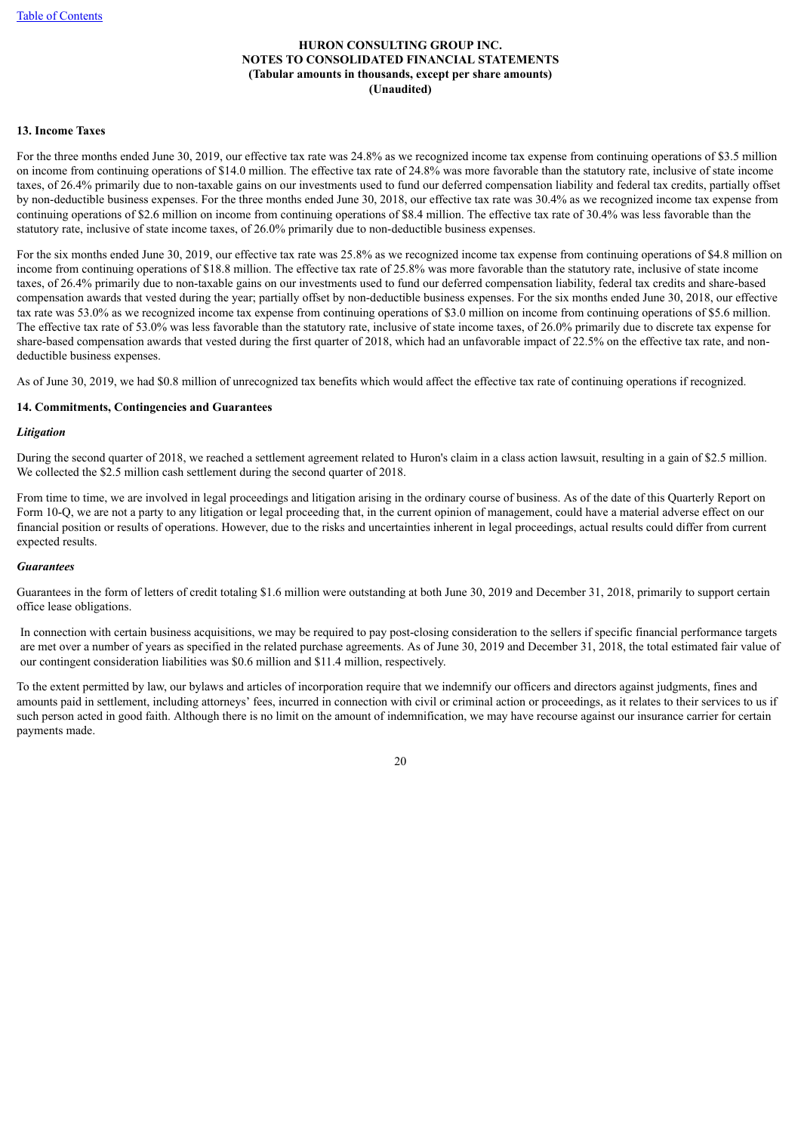### **13. Income Taxes**

For the three months ended June 30, 2019, our effective tax rate was 24.8% as we recognized income tax expense from continuing operations of \$3.5 million on income from continuing operations of \$14.0 million. The effective tax rate of 24.8% was more favorable than the statutory rate, inclusive of state income taxes, of 26.4% primarily due to non-taxable gains on our investments used to fund our deferred compensation liability and federal tax credits, partially offset by non-deductible business expenses. For the three months ended June 30, 2018, our effective tax rate was 30.4% as we recognized income tax expense from continuing operations of \$2.6 million on income from continuing operations of \$8.4 million. The effective tax rate of 30.4% was less favorable than the statutory rate, inclusive of state income taxes, of 26.0% primarily due to non-deductible business expenses.

For the six months ended June 30, 2019, our effective tax rate was 25.8% as we recognized income tax expense from continuing operations of \$4.8 million on income from continuing operations of \$18.8 million. The effective tax rate of 25.8% was more favorable than the statutory rate, inclusive of state income taxes, of 26.4% primarily due to non-taxable gains on our investments used to fund our deferred compensation liability, federal tax credits and share-based compensation awards that vested during the year; partially offset by non-deductible business expenses. For the six months ended June 30, 2018, our effective tax rate was 53.0% as we recognized income tax expense from continuing operations of \$3.0 million on income from continuing operations of \$5.6 million. The effective tax rate of 53.0% was less favorable than the statutory rate, inclusive of state income taxes, of 26.0% primarily due to discrete tax expense for share-based compensation awards that vested during the first quarter of 2018, which had an unfavorable impact of 22.5% on the effective tax rate, and nondeductible business expenses.

As of June 30, 2019, we had \$0.8 million of unrecognized tax benefits which would affect the effective tax rate of continuing operations if recognized.

### **14. Commitments, Contingencies and Guarantees**

### *Litigation*

During the second quarter of 2018, we reached a settlement agreement related to Huron's claim in a class action lawsuit, resulting in a gain of \$2.5 million. We collected the \$2.5 million cash settlement during the second quarter of 2018.

From time to time, we are involved in legal proceedings and litigation arising in the ordinary course of business. As of the date of this Quarterly Report on Form 10-Q, we are not a party to any litigation or legal proceeding that, in the current opinion of management, could have a material adverse effect on our financial position or results of operations. However, due to the risks and uncertainties inherent in legal proceedings, actual results could differ from current expected results.

### *Guarantees*

Guarantees in the form of letters of credit totaling \$1.6 million were outstanding at both June 30, 2019 and December 31, 2018, primarily to support certain office lease obligations.

In connection with certain business acquisitions, we may be required to pay post-closing consideration to the sellers if specific financial performance targets are met over a number of years as specified in the related purchase agreements. As of June 30, 2019 and December 31, 2018, the total estimated fair value of our contingent consideration liabilities was \$0.6 million and \$11.4 million, respectively.

To the extent permitted by law, our bylaws and articles of incorporation require that we indemnify our officers and directors against judgments, fines and amounts paid in settlement, including attorneys' fees, incurred in connection with civil or criminal action or proceedings, as it relates to their services to us if such person acted in good faith. Although there is no limit on the amount of indemnification, we may have recourse against our insurance carrier for certain payments made.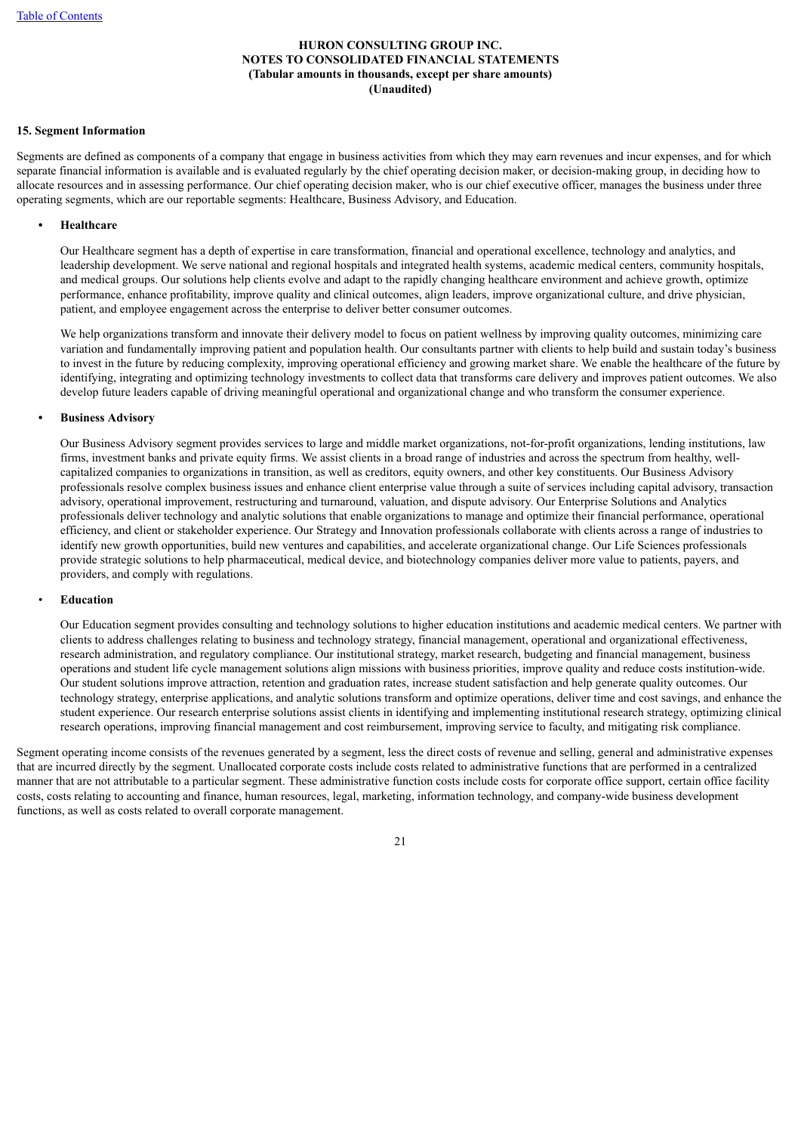### **15. Segment Information**

Segments are defined as components of a company that engage in business activities from which they may earn revenues and incur expenses, and for which separate financial information is available and is evaluated regularly by the chief operating decision maker, or decision-making group, in deciding how to allocate resources and in assessing performance. Our chief operating decision maker, who is our chief executive officer, manages the business under three operating segments, which are our reportable segments: Healthcare, Business Advisory, and Education.

### **• Healthcare**

Our Healthcare segment has a depth of expertise in care transformation, financial and operational excellence, technology and analytics, and leadership development. We serve national and regional hospitals and integrated health systems, academic medical centers, community hospitals, and medical groups. Our solutions help clients evolve and adapt to the rapidly changing healthcare environment and achieve growth, optimize performance, enhance profitability, improve quality and clinical outcomes, align leaders, improve organizational culture, and drive physician, patient, and employee engagement across the enterprise to deliver better consumer outcomes.

We help organizations transform and innovate their delivery model to focus on patient wellness by improving quality outcomes, minimizing care variation and fundamentally improving patient and population health. Our consultants partner with clients to help build and sustain today's business to invest in the future by reducing complexity, improving operational efficiency and growing market share. We enable the healthcare of the future by identifying, integrating and optimizing technology investments to collect data that transforms care delivery and improves patient outcomes. We also develop future leaders capable of driving meaningful operational and organizational change and who transform the consumer experience.

### **• Business Advisory**

Our Business Advisory segment provides services to large and middle market organizations, not-for-profit organizations, lending institutions, law firms, investment banks and private equity firms. We assist clients in a broad range of industries and across the spectrum from healthy, wellcapitalized companies to organizations in transition, as well as creditors, equity owners, and other key constituents. Our Business Advisory professionals resolve complex business issues and enhance client enterprise value through a suite of services including capital advisory, transaction advisory, operational improvement, restructuring and turnaround, valuation, and dispute advisory. Our Enterprise Solutions and Analytics professionals deliver technology and analytic solutions that enable organizations to manage and optimize their financial performance, operational efficiency, and client or stakeholder experience. Our Strategy and Innovation professionals collaborate with clients across a range of industries to identify new growth opportunities, build new ventures and capabilities, and accelerate organizational change. Our Life Sciences professionals provide strategic solutions to help pharmaceutical, medical device, and biotechnology companies deliver more value to patients, payers, and providers, and comply with regulations.

### • **Education**

Our Education segment provides consulting and technology solutions to higher education institutions and academic medical centers. We partner with clients to address challenges relating to business and technology strategy, financial management, operational and organizational effectiveness, research administration, and regulatory compliance. Our institutional strategy, market research, budgeting and financial management, business operations and student life cycle management solutions align missions with business priorities, improve quality and reduce costs institution-wide. Our student solutions improve attraction, retention and graduation rates, increase student satisfaction and help generate quality outcomes. Our technology strategy, enterprise applications, and analytic solutions transform and optimize operations, deliver time and cost savings, and enhance the student experience. Our research enterprise solutions assist clients in identifying and implementing institutional research strategy, optimizing clinical research operations, improving financial management and cost reimbursement, improving service to faculty, and mitigating risk compliance.

Segment operating income consists of the revenues generated by a segment, less the direct costs of revenue and selling, general and administrative expenses that are incurred directly by the segment. Unallocated corporate costs include costs related to administrative functions that are performed in a centralized manner that are not attributable to a particular segment. These administrative function costs include costs for corporate office support, certain office facility costs, costs relating to accounting and finance, human resources, legal, marketing, information technology, and company-wide business development functions, as well as costs related to overall corporate management.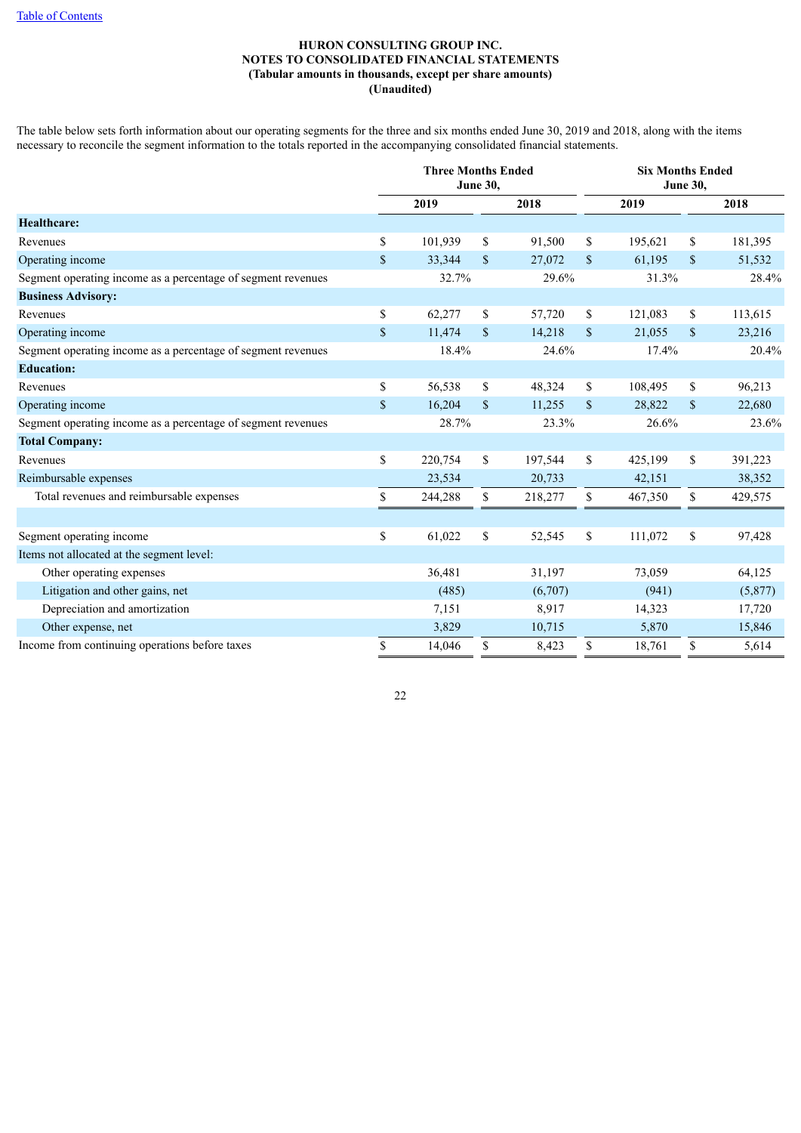The table below sets forth information about our operating segments for the three and six months ended June 30, 2019 and 2018, along with the items necessary to reconcile the segment information to the totals reported in the accompanying consolidated financial statements.

|                                                              | <b>Three Months Ended</b> | <b>June 30,</b> |         | <b>Six Months Ended</b><br><b>June 30,</b> |         |                    |         |  |  |  |
|--------------------------------------------------------------|---------------------------|-----------------|---------|--------------------------------------------|---------|--------------------|---------|--|--|--|
|                                                              | 2019                      |                 | 2018    |                                            | 2019    |                    | 2018    |  |  |  |
| Healthcare:                                                  |                           |                 |         |                                            |         |                    |         |  |  |  |
| Revenues                                                     | \$<br>101,939             | \$              | 91,500  | \$                                         | 195,621 | \$                 | 181,395 |  |  |  |
| Operating income                                             | \$<br>33,344              | $\mathbf S$     | 27,072  | $\mathbf S$                                | 61,195  | $\mathbf S$        | 51,532  |  |  |  |
| Segment operating income as a percentage of segment revenues | 32.7%                     |                 | 29.6%   |                                            | 31.3%   |                    | 28.4%   |  |  |  |
| <b>Business Advisory:</b>                                    |                           |                 |         |                                            |         |                    |         |  |  |  |
| Revenues                                                     | \$<br>62,277              | \$              | 57,720  | \$                                         | 121,083 | \$                 | 113,615 |  |  |  |
| Operating income                                             | \$<br>11,474              | $\mathbf S$     | 14,218  | $\mathbf S$                                | 21,055  | $\mathbf{\hat{S}}$ | 23,216  |  |  |  |
| Segment operating income as a percentage of segment revenues | 18.4%<br>24.6%            |                 |         |                                            | 17.4%   |                    | 20.4%   |  |  |  |
| <b>Education:</b>                                            |                           |                 |         |                                            |         |                    |         |  |  |  |
| Revenues                                                     | \$<br>56,538              | \$              | 48,324  | \$                                         | 108,495 | \$                 | 96,213  |  |  |  |
| Operating income                                             | \$<br>16,204              | $\mathbf S$     | 11,255  | $\mathbf S$                                | 28,822  | $\mathbf S$        | 22,680  |  |  |  |
| Segment operating income as a percentage of segment revenues | 28.7%                     |                 | 23.3%   |                                            | 26.6%   |                    | 23.6%   |  |  |  |
| <b>Total Company:</b>                                        |                           |                 |         |                                            |         |                    |         |  |  |  |
| Revenues                                                     | \$<br>220,754             | \$              | 197,544 | \$                                         | 425,199 | \$                 | 391,223 |  |  |  |
| Reimbursable expenses                                        | 23,534                    |                 | 20,733  |                                            | 42,151  |                    | 38,352  |  |  |  |
| Total revenues and reimbursable expenses                     | \$<br>244,288             | \$              | 218,277 | \$                                         | 467,350 | $\mathbb{S}$       | 429,575 |  |  |  |
|                                                              |                           |                 |         |                                            |         |                    |         |  |  |  |
| Segment operating income                                     | \$<br>61,022              | \$              | 52,545  | \$                                         | 111,072 | \$                 | 97,428  |  |  |  |
| Items not allocated at the segment level:                    |                           |                 |         |                                            |         |                    |         |  |  |  |
| Other operating expenses                                     | 36,481                    |                 | 31,197  |                                            | 73,059  |                    | 64,125  |  |  |  |
| Litigation and other gains, net                              | (485)                     |                 | (6,707) |                                            | (941)   |                    | (5,877) |  |  |  |
| Depreciation and amortization                                | 7,151                     |                 | 8,917   |                                            | 14,323  |                    | 17,720  |  |  |  |
| Other expense, net                                           | 3,829                     |                 | 10,715  |                                            | 5,870   |                    | 15,846  |  |  |  |
| Income from continuing operations before taxes               | \$<br>14,046              | \$              | 8,423   | \$                                         | 18,761  | $\mathbb{S}$       | 5,614   |  |  |  |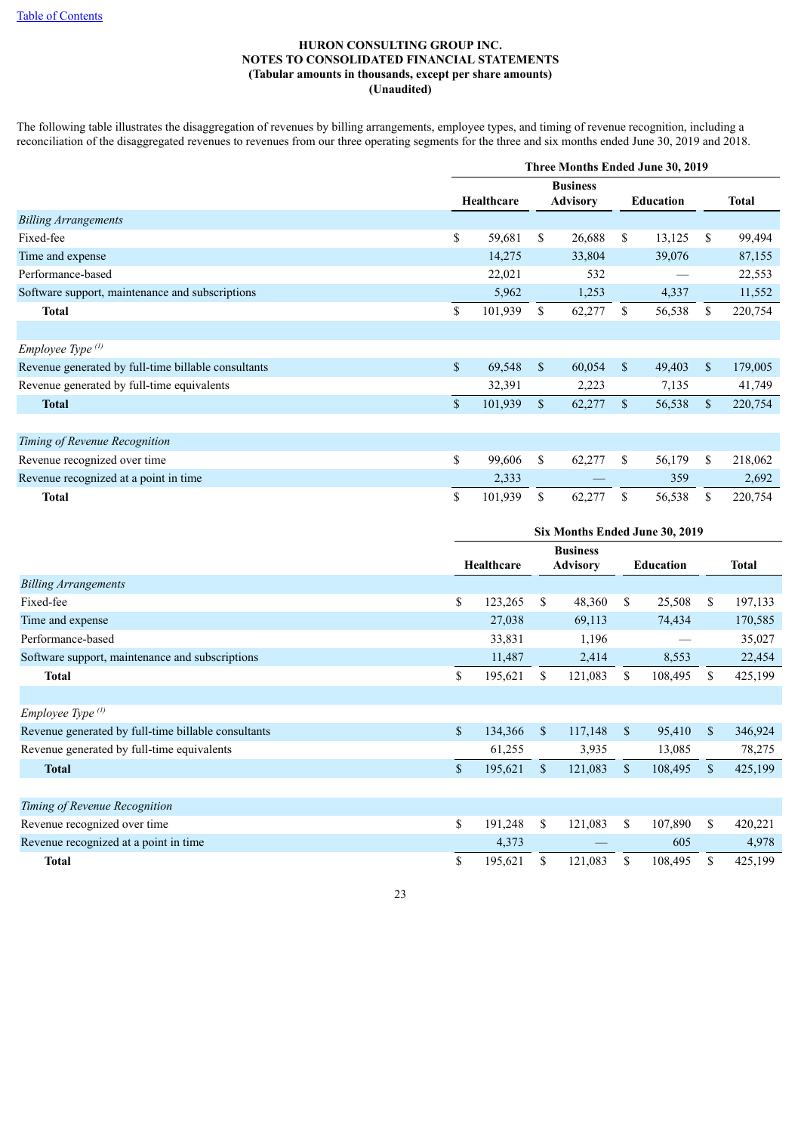The following table illustrates the disaggregation of revenues by billing arrangements, employee types, and timing of revenue recognition, including a reconciliation of the disaggregated revenues to revenues from our three operating segments for the three and six months ended June 30, 2019 and 2018.

|                                                     | Three Months Ended June 30, 2019 |              |                                    |               |                  |               |              |  |  |  |  |  |
|-----------------------------------------------------|----------------------------------|--------------|------------------------------------|---------------|------------------|---------------|--------------|--|--|--|--|--|
|                                                     | Healthcare                       |              | <b>Business</b><br><b>Advisory</b> |               | <b>Education</b> |               | <b>Total</b> |  |  |  |  |  |
| <b>Billing Arrangements</b>                         |                                  |              |                                    |               |                  |               |              |  |  |  |  |  |
| Fixed-fee                                           | \$<br>59,681                     | \$           | 26,688                             | \$            | 13,125           | <sup>\$</sup> | 99,494       |  |  |  |  |  |
| Time and expense                                    | 14,275                           |              | 33,804                             |               | 39,076           |               | 87,155       |  |  |  |  |  |
| Performance-based                                   | 22,021                           |              | 532                                |               |                  |               | 22,553       |  |  |  |  |  |
| Software support, maintenance and subscriptions     | 5,962                            |              | 1,253                              |               | 4,337            |               | 11,552       |  |  |  |  |  |
| <b>Total</b>                                        | \$<br>101,939                    | \$           | 62,277                             | S             | 56,538           | S.            | 220,754      |  |  |  |  |  |
|                                                     |                                  |              |                                    |               |                  |               |              |  |  |  |  |  |
| Employee Type $(1)$                                 |                                  |              |                                    |               |                  |               |              |  |  |  |  |  |
| Revenue generated by full-time billable consultants | \$<br>69,548                     | $\mathbb{S}$ | 60,054                             | <sup>S</sup>  | 49,403           | <sup>\$</sup> | 179,005      |  |  |  |  |  |
| Revenue generated by full-time equivalents          | 32,391                           |              | 2,223                              |               | 7,135            |               | 41,749       |  |  |  |  |  |
| <b>Total</b>                                        | \$<br>101,939                    | $\mathbb{S}$ | 62,277                             | <sup>\$</sup> | 56,538           | $\mathbb{S}$  | 220,754      |  |  |  |  |  |
|                                                     |                                  |              |                                    |               |                  |               |              |  |  |  |  |  |
| Timing of Revenue Recognition                       |                                  |              |                                    |               |                  |               |              |  |  |  |  |  |
| Revenue recognized over time                        | \$<br>99,606                     | \$           | 62,277                             | \$.           | 56,179           | S.            | 218,062      |  |  |  |  |  |
| Revenue recognized at a point in time               | 2,333                            |              |                                    |               | 359              |               | 2,692        |  |  |  |  |  |
| Total                                               | \$<br>101,939                    | \$           | 62,277                             | S             | 56,538           | \$.           | 220,754      |  |  |  |  |  |

|                                                     |               |            |               | Six Months Ended June 30, 2019     |               |                  |               |              |
|-----------------------------------------------------|---------------|------------|---------------|------------------------------------|---------------|------------------|---------------|--------------|
|                                                     |               | Healthcare |               | <b>Business</b><br><b>Advisory</b> |               | <b>Education</b> |               | <b>Total</b> |
| <b>Billing Arrangements</b>                         |               |            |               |                                    |               |                  |               |              |
| Fixed-fee                                           | \$            | 123,265    | <sup>\$</sup> | 48,360                             | S.            | 25,508           | \$            | 197,133      |
| Time and expense                                    |               | 27,038     |               | 69,113                             |               | 74,434           |               | 170,585      |
| Performance-based                                   |               | 33,831     |               | 1,196                              |               |                  |               | 35,027       |
| Software support, maintenance and subscriptions     |               | 11,487     |               | 2,414                              |               | 8,553            |               | 22,454       |
| <b>Total</b>                                        | \$            | 195,621    | \$            | 121,083                            | \$            | 108,495          | \$            | 425,199      |
|                                                     |               |            |               |                                    |               |                  |               |              |
| Employee Type <sup>(1)</sup>                        |               |            |               |                                    |               |                  |               |              |
| Revenue generated by full-time billable consultants | $\mathbb{S}$  | 134,366    | $\mathbf{s}$  | 117,148                            | <sup>\$</sup> | 95,410           | <sup>S</sup>  | 346,924      |
| Revenue generated by full-time equivalents          |               | 61,255     |               | 3,935                              |               | 13,085           |               | 78,275       |
| <b>Total</b>                                        | $\mathsf{\$}$ | 195,621    | $\mathbf S$   | 121,083                            | $\mathcal{S}$ | 108,495          | $\mathcal{S}$ | 425,199      |
|                                                     |               |            |               |                                    |               |                  |               |              |
| Timing of Revenue Recognition                       |               |            |               |                                    |               |                  |               |              |
| Revenue recognized over time                        | \$            | 191,248    | <sup>\$</sup> | 121,083                            | \$.           | 107,890          | \$            | 420,221      |
| Revenue recognized at a point in time               |               | 4,373      |               |                                    |               | 605              |               | 4,978        |
| <b>Total</b>                                        | \$            | 195,621    | \$            | 121,083                            | \$            | 108,495          | \$            | 425,199      |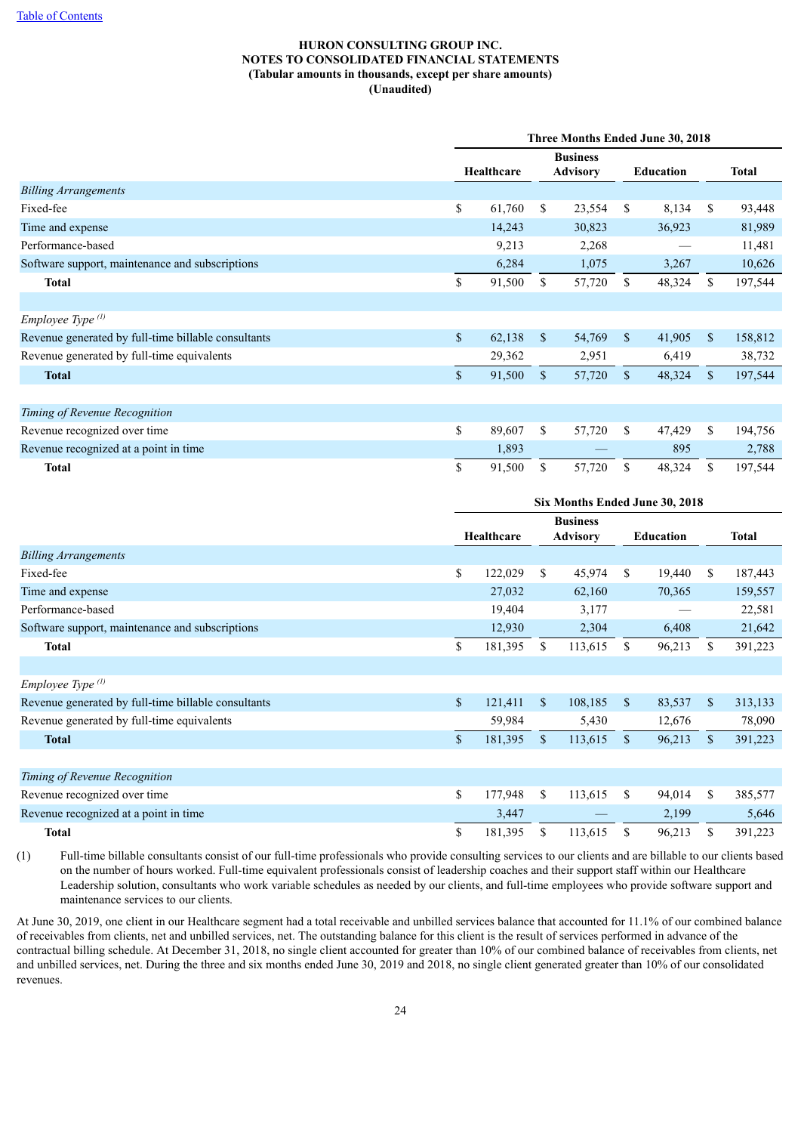|                                                     |              |               |                                    |               | Three Months Ended June 30, 2018 |              |              |
|-----------------------------------------------------|--------------|---------------|------------------------------------|---------------|----------------------------------|--------------|--------------|
|                                                     | Healthcare   |               | <b>Business</b><br><b>Advisory</b> |               | <b>Education</b>                 |              | <b>Total</b> |
| <b>Billing Arrangements</b>                         |              |               |                                    |               |                                  |              |              |
| Fixed-fee                                           | \$<br>61,760 | \$            | 23,554                             | <sup>\$</sup> | 8,134                            | \$           | 93,448       |
| Time and expense                                    | 14,243       |               | 30,823                             |               | 36,923                           |              | 81,989       |
| Performance-based                                   | 9,213        |               | 2,268                              |               |                                  |              | 11,481       |
| Software support, maintenance and subscriptions     | 6,284        |               | 1,075                              |               | 3,267                            |              | 10,626       |
| <b>Total</b>                                        | \$<br>91,500 | S.            | 57,720                             | S.            | 48,324                           | \$           | 197,544      |
|                                                     |              |               |                                    |               |                                  |              |              |
| Employee Type <sup>(1)</sup>                        |              |               |                                    |               |                                  |              |              |
| Revenue generated by full-time billable consultants | \$<br>62,138 | <sup>\$</sup> | 54,769                             | <sup>\$</sup> | 41,905                           | $\mathbb{S}$ | 158,812      |
| Revenue generated by full-time equivalents          | 29,362       |               | 2,951                              |               | 6,419                            |              | 38,732       |
| <b>Total</b>                                        | \$<br>91,500 | <sup>S</sup>  | 57,720                             | $\mathbb{S}$  | 48,324                           | $\mathbb{S}$ | 197,544      |
|                                                     |              |               |                                    |               |                                  |              |              |
| Timing of Revenue Recognition                       |              |               |                                    |               |                                  |              |              |
| Revenue recognized over time                        | \$<br>89,607 | \$            | 57,720                             | $\mathbb{S}$  | 47,429                           | \$           | 194,756      |
| Revenue recognized at a point in time               | 1,893        |               |                                    |               | 895                              |              | 2,788        |
| <b>Total</b>                                        | \$<br>91,500 | \$            | 57,720                             | \$            | 48,324                           | \$           | 197,544      |

|                                                     |              | Six Months Ended June 30, 2018 |              |                                    |               |                  |              |              |  |  |  |  |  |
|-----------------------------------------------------|--------------|--------------------------------|--------------|------------------------------------|---------------|------------------|--------------|--------------|--|--|--|--|--|
|                                                     |              | Healthcare                     |              | <b>Business</b><br><b>Advisory</b> |               | <b>Education</b> |              | <b>Total</b> |  |  |  |  |  |
| <b>Billing Arrangements</b>                         |              |                                |              |                                    |               |                  |              |              |  |  |  |  |  |
| Fixed-fee                                           | \$           | 122,029                        | \$           | 45,974                             | \$            | 19,440           | \$           | 187,443      |  |  |  |  |  |
| Time and expense                                    |              | 27,032                         |              | 62,160                             |               | 70,365           |              | 159,557      |  |  |  |  |  |
| Performance-based                                   |              | 19,404                         |              | 3,177                              |               |                  |              | 22,581       |  |  |  |  |  |
| Software support, maintenance and subscriptions     |              | 12,930                         |              | 2,304                              |               | 6,408            |              | 21,642       |  |  |  |  |  |
| Total                                               | \$           | 181,395                        | \$           | 113,615                            | S.            | 96,213           | S.           | 391,223      |  |  |  |  |  |
|                                                     |              |                                |              |                                    |               |                  |              |              |  |  |  |  |  |
| Employee Type <sup>(1)</sup>                        |              |                                |              |                                    |               |                  |              |              |  |  |  |  |  |
| Revenue generated by full-time billable consultants | $\mathbb{S}$ | 121,411                        | $\mathbf{s}$ | 108,185                            | <sup>\$</sup> | 83,537           | <sup>S</sup> | 313,133      |  |  |  |  |  |
| Revenue generated by full-time equivalents          |              | 59,984                         |              | 5,430                              |               | 12,676           |              | 78,090       |  |  |  |  |  |
| <b>Total</b>                                        | $\mathbf S$  | 181,395                        | $\mathbf S$  | 113,615                            | $\mathcal{S}$ | 96,213           | $\mathbb{S}$ | 391,223      |  |  |  |  |  |
|                                                     |              |                                |              |                                    |               |                  |              |              |  |  |  |  |  |
| Timing of Revenue Recognition                       |              |                                |              |                                    |               |                  |              |              |  |  |  |  |  |
| Revenue recognized over time                        | \$           | 177,948                        | \$           | 113,615                            | \$.           | 94,014           | \$           | 385,577      |  |  |  |  |  |
| Revenue recognized at a point in time               |              | 3,447                          |              |                                    |               | 2,199            |              | 5,646        |  |  |  |  |  |
| Total                                               | \$           | 181,395                        | \$           | 113,615                            | \$            | 96,213           | \$           | 391,223      |  |  |  |  |  |

(1) Full-time billable consultants consist of our full-time professionals who provide consulting services to our clients and are billable to our clients based on the number of hours worked. Full-time equivalent professionals consist of leadership coaches and their support staff within our Healthcare Leadership solution, consultants who work variable schedules as needed by our clients, and full-time employees who provide software support and maintenance services to our clients.

At June 30, 2019, one client in our Healthcare segment had a total receivable and unbilled services balance that accounted for 11.1% of our combined balance of receivables from clients, net and unbilled services, net. The outstanding balance for this client is the result of services performed in advance of the contractual billing schedule. At December 31, 2018, no single client accounted for greater than 10% of our combined balance of receivables from clients, net and unbilled services, net. During the three and six months ended June 30, 2019 and 2018, no single client generated greater than 10% of our consolidated revenues.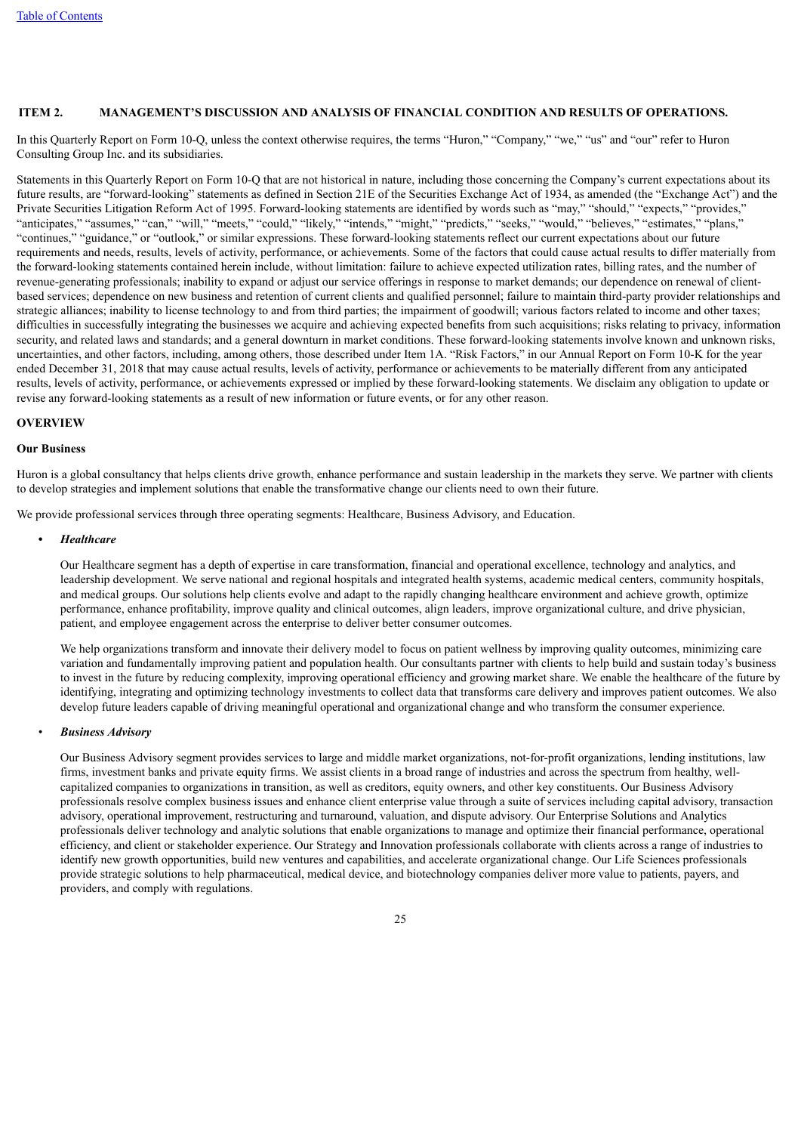### <span id="page-26-0"></span>**ITEM 2. MANAGEMENT'S DISCUSSION AND ANALYSIS OF FINANCIAL CONDITION AND RESULTS OF OPERATIONS.**

In this Quarterly Report on Form 10-Q, unless the context otherwise requires, the terms "Huron," "Company," "we," "us" and "our" refer to Huron Consulting Group Inc. and its subsidiaries.

Statements in this Quarterly Report on Form 10-Q that are not historical in nature, including those concerning the Company's current expectations about its future results, are "forward-looking" statements as defined in Section 21E of the Securities Exchange Act of 1934, as amended (the "Exchange Act") and the Private Securities Litigation Reform Act of 1995. Forward-looking statements are identified by words such as "may," "should," "expects," "provides," "anticipates," "assumes," "can," "will," "meets," "could," "likely," "intends," "might," "predicts," "seeks," "would," "believes," "estimates," "plans," "continues," "guidance," or "outlook," or similar expressions. These forward-looking statements reflect our current expectations about our future requirements and needs, results, levels of activity, performance, or achievements. Some of the factors that could cause actual results to differ materially from the forward-looking statements contained herein include, without limitation: failure to achieve expected utilization rates, billing rates, and the number of revenue-generating professionals; inability to expand or adjust our service offerings in response to market demands; our dependence on renewal of clientbased services; dependence on new business and retention of current clients and qualified personnel; failure to maintain third-party provider relationships and strategic alliances; inability to license technology to and from third parties; the impairment of goodwill; various factors related to income and other taxes; difficulties in successfully integrating the businesses we acquire and achieving expected benefits from such acquisitions; risks relating to privacy, information security, and related laws and standards; and a general downturn in market conditions. These forward-looking statements involve known and unknown risks, uncertainties, and other factors, including, among others, those described under Item 1A. "Risk Factors," in our Annual Report on Form 10-K for the year ended December 31, 2018 that may cause actual results, levels of activity, performance or achievements to be materially different from any anticipated results, levels of activity, performance, or achievements expressed or implied by these forward-looking statements. We disclaim any obligation to update or revise any forward-looking statements as a result of new information or future events, or for any other reason.

### **OVERVIEW**

### **Our Business**

Huron is a global consultancy that helps clients drive growth, enhance performance and sustain leadership in the markets they serve. We partner with clients to develop strategies and implement solutions that enable the transformative change our clients need to own their future.

We provide professional services through three operating segments: Healthcare, Business Advisory, and Education.

#### **•** *Healthcare*

Our Healthcare segment has a depth of expertise in care transformation, financial and operational excellence, technology and analytics, and leadership development. We serve national and regional hospitals and integrated health systems, academic medical centers, community hospitals, and medical groups. Our solutions help clients evolve and adapt to the rapidly changing healthcare environment and achieve growth, optimize performance, enhance profitability, improve quality and clinical outcomes, align leaders, improve organizational culture, and drive physician, patient, and employee engagement across the enterprise to deliver better consumer outcomes.

We help organizations transform and innovate their delivery model to focus on patient wellness by improving quality outcomes, minimizing care variation and fundamentally improving patient and population health. Our consultants partner with clients to help build and sustain today's business to invest in the future by reducing complexity, improving operational efficiency and growing market share. We enable the healthcare of the future by identifying, integrating and optimizing technology investments to collect data that transforms care delivery and improves patient outcomes. We also develop future leaders capable of driving meaningful operational and organizational change and who transform the consumer experience.

### • *Business Advisory*

Our Business Advisory segment provides services to large and middle market organizations, not-for-profit organizations, lending institutions, law firms, investment banks and private equity firms. We assist clients in a broad range of industries and across the spectrum from healthy, wellcapitalized companies to organizations in transition, as well as creditors, equity owners, and other key constituents. Our Business Advisory professionals resolve complex business issues and enhance client enterprise value through a suite of services including capital advisory, transaction advisory, operational improvement, restructuring and turnaround, valuation, and dispute advisory. Our Enterprise Solutions and Analytics professionals deliver technology and analytic solutions that enable organizations to manage and optimize their financial performance, operational efficiency, and client or stakeholder experience. Our Strategy and Innovation professionals collaborate with clients across a range of industries to identify new growth opportunities, build new ventures and capabilities, and accelerate organizational change. Our Life Sciences professionals provide strategic solutions to help pharmaceutical, medical device, and biotechnology companies deliver more value to patients, payers, and providers, and comply with regulations.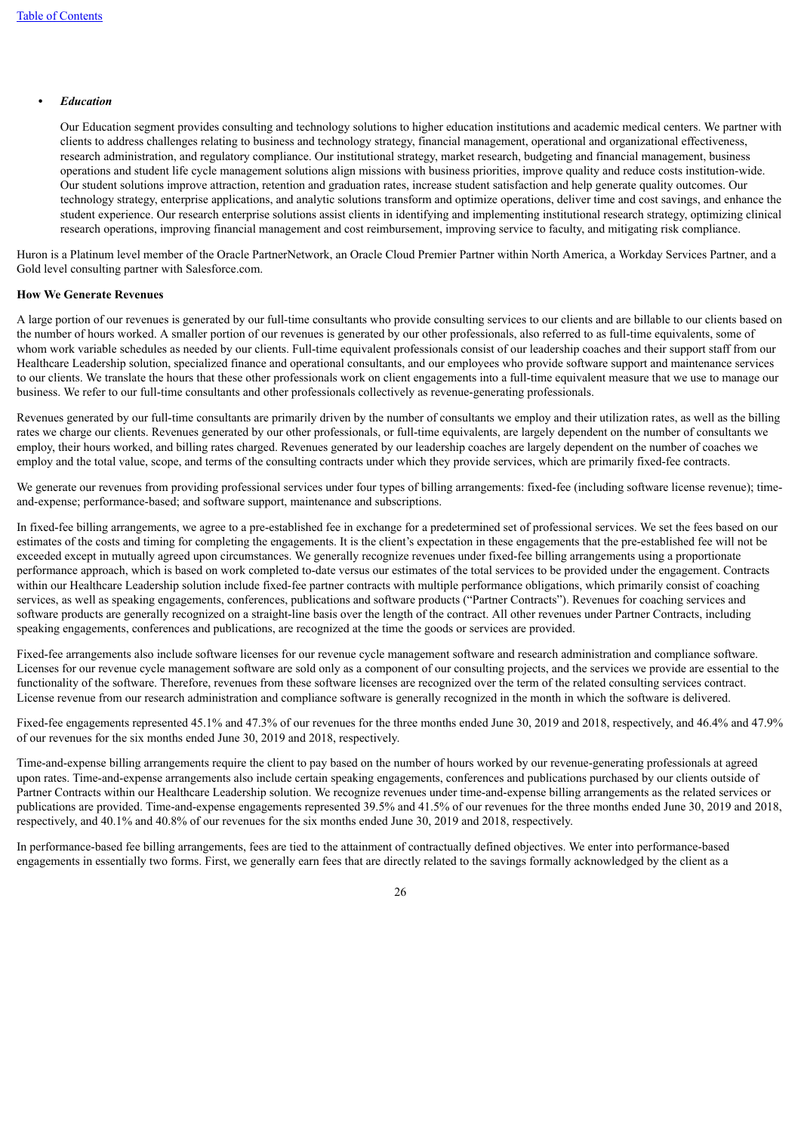### **•** *Education*

Our Education segment provides consulting and technology solutions to higher education institutions and academic medical centers. We partner with clients to address challenges relating to business and technology strategy, financial management, operational and organizational effectiveness, research administration, and regulatory compliance. Our institutional strategy, market research, budgeting and financial management, business operations and student life cycle management solutions align missions with business priorities, improve quality and reduce costs institution-wide. Our student solutions improve attraction, retention and graduation rates, increase student satisfaction and help generate quality outcomes. Our technology strategy, enterprise applications, and analytic solutions transform and optimize operations, deliver time and cost savings, and enhance the student experience. Our research enterprise solutions assist clients in identifying and implementing institutional research strategy, optimizing clinical research operations, improving financial management and cost reimbursement, improving service to faculty, and mitigating risk compliance.

Huron is a Platinum level member of the Oracle PartnerNetwork, an Oracle Cloud Premier Partner within North America, a Workday Services Partner, and a Gold level consulting partner with Salesforce.com.

#### **How We Generate Revenues**

A large portion of our revenues is generated by our full-time consultants who provide consulting services to our clients and are billable to our clients based on the number of hours worked. A smaller portion of our revenues is generated by our other professionals, also referred to as full-time equivalents, some of whom work variable schedules as needed by our clients. Full-time equivalent professionals consist of our leadership coaches and their support staff from our Healthcare Leadership solution, specialized finance and operational consultants, and our employees who provide software support and maintenance services to our clients. We translate the hours that these other professionals work on client engagements into a full-time equivalent measure that we use to manage our business. We refer to our full-time consultants and other professionals collectively as revenue-generating professionals.

Revenues generated by our full-time consultants are primarily driven by the number of consultants we employ and their utilization rates, as well as the billing rates we charge our clients. Revenues generated by our other professionals, or full-time equivalents, are largely dependent on the number of consultants we employ, their hours worked, and billing rates charged. Revenues generated by our leadership coaches are largely dependent on the number of coaches we employ and the total value, scope, and terms of the consulting contracts under which they provide services, which are primarily fixed-fee contracts.

We generate our revenues from providing professional services under four types of billing arrangements: fixed-fee (including software license revenue); timeand-expense; performance-based; and software support, maintenance and subscriptions.

In fixed-fee billing arrangements, we agree to a pre-established fee in exchange for a predetermined set of professional services. We set the fees based on our estimates of the costs and timing for completing the engagements. It is the client's expectation in these engagements that the pre-established fee will not be exceeded except in mutually agreed upon circumstances. We generally recognize revenues under fixed-fee billing arrangements using a proportionate performance approach, which is based on work completed to-date versus our estimates of the total services to be provided under the engagement. Contracts within our Healthcare Leadership solution include fixed-fee partner contracts with multiple performance obligations, which primarily consist of coaching services, as well as speaking engagements, conferences, publications and software products ("Partner Contracts"). Revenues for coaching services and software products are generally recognized on a straight-line basis over the length of the contract. All other revenues under Partner Contracts, including speaking engagements, conferences and publications, are recognized at the time the goods or services are provided.

Fixed-fee arrangements also include software licenses for our revenue cycle management software and research administration and compliance software. Licenses for our revenue cycle management software are sold only as a component of our consulting projects, and the services we provide are essential to the functionality of the software. Therefore, revenues from these software licenses are recognized over the term of the related consulting services contract. License revenue from our research administration and compliance software is generally recognized in the month in which the software is delivered.

Fixed-fee engagements represented 45.1% and 47.3% of our revenues for the three months ended June 30, 2019 and 2018, respectively, and 46.4% and 47.9% of our revenues for the six months ended June 30, 2019 and 2018, respectively.

Time-and-expense billing arrangements require the client to pay based on the number of hours worked by our revenue-generating professionals at agreed upon rates. Time-and-expense arrangements also include certain speaking engagements, conferences and publications purchased by our clients outside of Partner Contracts within our Healthcare Leadership solution. We recognize revenues under time-and-expense billing arrangements as the related services or publications are provided. Time-and-expense engagements represented 39.5% and 41.5% of our revenues for the three months ended June 30, 2019 and 2018, respectively, and 40.1% and 40.8% of our revenues for the six months ended June 30, 2019 and 2018, respectively.

In performance-based fee billing arrangements, fees are tied to the attainment of contractually defined objectives. We enter into performance-based engagements in essentially two forms. First, we generally earn fees that are directly related to the savings formally acknowledged by the client as a

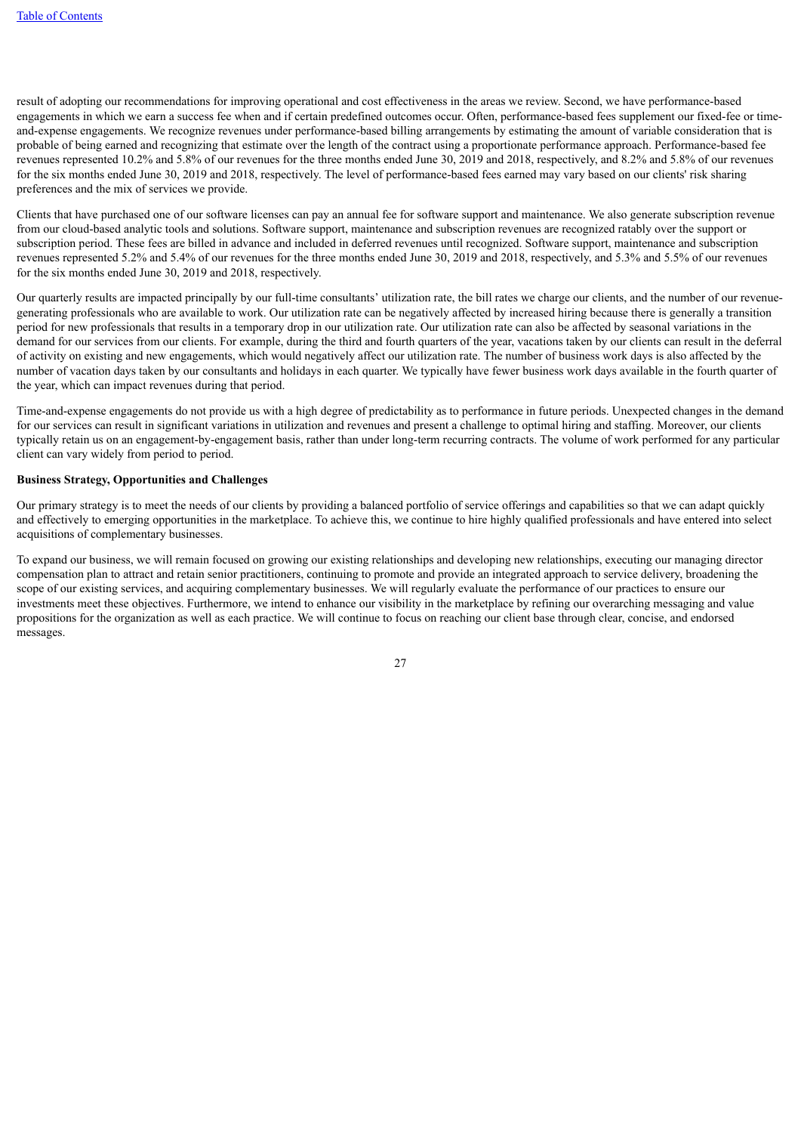result of adopting our recommendations for improving operational and cost effectiveness in the areas we review. Second, we have performance-based engagements in which we earn a success fee when and if certain predefined outcomes occur. Often, performance-based fees supplement our fixed-fee or timeand-expense engagements. We recognize revenues under performance-based billing arrangements by estimating the amount of variable consideration that is probable of being earned and recognizing that estimate over the length of the contract using a proportionate performance approach. Performance-based fee revenues represented 10.2% and 5.8% of our revenues for the three months ended June 30, 2019 and 2018, respectively, and 8.2% and 5.8% of our revenues for the six months ended June 30, 2019 and 2018, respectively. The level of performance-based fees earned may vary based on our clients' risk sharing preferences and the mix of services we provide.

Clients that have purchased one of our software licenses can pay an annual fee for software support and maintenance. We also generate subscription revenue from our cloud-based analytic tools and solutions. Software support, maintenance and subscription revenues are recognized ratably over the support or subscription period. These fees are billed in advance and included in deferred revenues until recognized. Software support, maintenance and subscription revenues represented 5.2% and 5.4% of our revenues for the three months ended June 30, 2019 and 2018, respectively, and 5.3% and 5.5% of our revenues for the six months ended June 30, 2019 and 2018, respectively.

Our quarterly results are impacted principally by our full-time consultants' utilization rate, the bill rates we charge our clients, and the number of our revenuegenerating professionals who are available to work. Our utilization rate can be negatively affected by increased hiring because there is generally a transition period for new professionals that results in a temporary drop in our utilization rate. Our utilization rate can also be affected by seasonal variations in the demand for our services from our clients. For example, during the third and fourth quarters of the year, vacations taken by our clients can result in the deferral of activity on existing and new engagements, which would negatively affect our utilization rate. The number of business work days is also affected by the number of vacation days taken by our consultants and holidays in each quarter. We typically have fewer business work days available in the fourth quarter of the year, which can impact revenues during that period.

Time-and-expense engagements do not provide us with a high degree of predictability as to performance in future periods. Unexpected changes in the demand for our services can result in significant variations in utilization and revenues and present a challenge to optimal hiring and staffing. Moreover, our clients typically retain us on an engagement-by-engagement basis, rather than under long-term recurring contracts. The volume of work performed for any particular client can vary widely from period to period.

### **Business Strategy, Opportunities and Challenges**

Our primary strategy is to meet the needs of our clients by providing a balanced portfolio of service offerings and capabilities so that we can adapt quickly and effectively to emerging opportunities in the marketplace. To achieve this, we continue to hire highly qualified professionals and have entered into select acquisitions of complementary businesses.

To expand our business, we will remain focused on growing our existing relationships and developing new relationships, executing our managing director compensation plan to attract and retain senior practitioners, continuing to promote and provide an integrated approach to service delivery, broadening the scope of our existing services, and acquiring complementary businesses. We will regularly evaluate the performance of our practices to ensure our investments meet these objectives. Furthermore, we intend to enhance our visibility in the marketplace by refining our overarching messaging and value propositions for the organization as well as each practice. We will continue to focus on reaching our client base through clear, concise, and endorsed messages.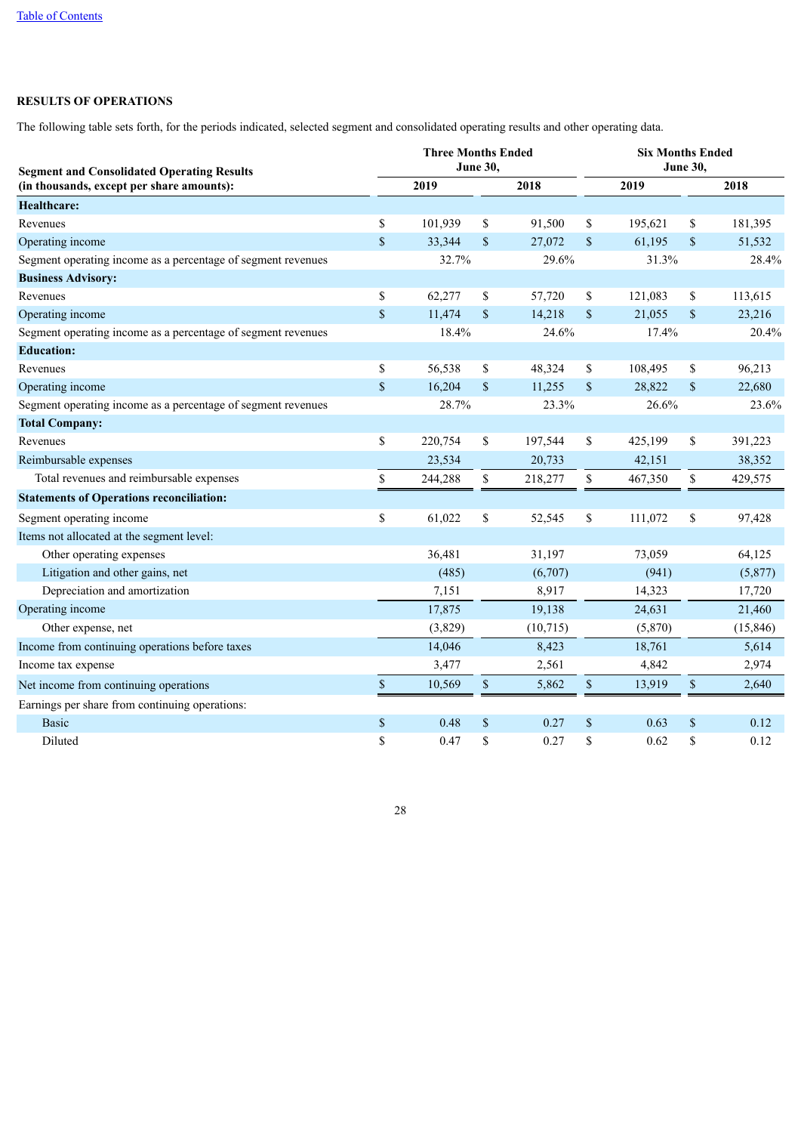# **RESULTS OF OPERATIONS**

The following table sets forth, for the periods indicated, selected segment and consolidated operating results and other operating data.

| <b>Segment and Consolidated Operating Results</b>            |                        | <b>Three Months Ended</b><br><b>June 30.</b> |                           | <b>Six Months Ended</b><br><b>June 30,</b> |              |         |                           |           |
|--------------------------------------------------------------|------------------------|----------------------------------------------|---------------------------|--------------------------------------------|--------------|---------|---------------------------|-----------|
| (in thousands, except per share amounts):                    |                        | 2019                                         |                           | 2018                                       |              | 2019    |                           | 2018      |
| Healthcare:                                                  |                        |                                              |                           |                                            |              |         |                           |           |
| Revenues                                                     | \$                     | 101,939                                      | \$                        | 91,500                                     | \$           | 195,621 | \$                        | 181,395   |
| Operating income                                             | $\$$                   | 33,344                                       | $\boldsymbol{\mathsf{S}}$ | 27,072                                     | \$           | 61,195  | $\boldsymbol{\mathsf{S}}$ | 51,532    |
| Segment operating income as a percentage of segment revenues |                        | 32.7%                                        |                           | 29.6%                                      |              | 31.3%   |                           | 28.4%     |
| <b>Business Advisory:</b>                                    |                        |                                              |                           |                                            |              |         |                           |           |
| Revenues                                                     | $\mathsf{\$}$          | 62,277                                       | $\$$                      | 57,720                                     | $\mathbb S$  | 121,083 | $\mathbb{S}$              | 113,615   |
| Operating income                                             | $\sqrt{\ }$            | 11,474                                       | $\$$                      | 14,218                                     | \$           | 21,055  | $\$$                      | 23,216    |
| Segment operating income as a percentage of segment revenues |                        | 18.4%                                        |                           | 24.6%                                      |              | 17.4%   |                           | 20.4%     |
| <b>Education:</b>                                            |                        |                                              |                           |                                            |              |         |                           |           |
| Revenues                                                     | \$                     | 56,538                                       | \$                        | 48,324                                     | \$           | 108,495 | \$                        | 96,213    |
| Operating income                                             | $\sqrt{\frac{2}{\pi}}$ | 16,204                                       | \$                        | 11,255                                     | \$           | 28,822  | $\boldsymbol{\mathsf{S}}$ | 22,680    |
| Segment operating income as a percentage of segment revenues |                        | 28.7%                                        |                           | 23.3%                                      |              | 26.6%   |                           | 23.6%     |
| <b>Total Company:</b>                                        |                        |                                              |                           |                                            |              |         |                           |           |
| Revenues                                                     | \$                     | 220,754                                      | \$                        | 197,544                                    | \$           | 425,199 | \$                        | 391,223   |
| Reimbursable expenses                                        |                        | 23,534                                       |                           | 20,733                                     |              | 42,151  |                           | 38,352    |
| Total revenues and reimbursable expenses                     | \$                     | 244,288                                      | $\mathbb{S}$              | 218,277                                    | $\mathbb S$  | 467,350 | $\mathbb S$               | 429,575   |
| <b>Statements of Operations reconciliation:</b>              |                        |                                              |                           |                                            |              |         |                           |           |
| Segment operating income                                     | \$                     | 61,022                                       | \$                        | 52,545                                     | $\mathbb{S}$ | 111,072 | \$                        | 97,428    |
| Items not allocated at the segment level:                    |                        |                                              |                           |                                            |              |         |                           |           |
| Other operating expenses                                     |                        | 36,481                                       |                           | 31,197                                     |              | 73,059  |                           | 64,125    |
| Litigation and other gains, net                              |                        | (485)                                        |                           | (6,707)                                    |              | (941)   |                           | (5, 877)  |
| Depreciation and amortization                                |                        | 7,151                                        |                           | 8,917                                      |              | 14,323  |                           | 17,720    |
| Operating income                                             |                        | 17,875                                       |                           | 19,138                                     |              | 24,631  |                           | 21,460    |
| Other expense, net                                           |                        | (3,829)                                      |                           | (10, 715)                                  |              | (5,870) |                           | (15, 846) |
| Income from continuing operations before taxes               |                        | 14,046                                       |                           | 8,423                                      |              | 18,761  |                           | 5,614     |
| Income tax expense                                           |                        | 3,477                                        |                           | 2,561                                      |              | 4,842   |                           | 2,974     |
| Net income from continuing operations                        | $\mathbb{S}$           | 10,569                                       | $\mathbb S$               | 5,862                                      | $\mathbb S$  | 13,919  | $\mathbb S$               | 2,640     |
| Earnings per share from continuing operations:               |                        |                                              |                           |                                            |              |         |                           |           |
| Basic                                                        | \$                     | 0.48                                         | \$                        | 0.27                                       | \$           | 0.63    | $\$$                      | 0.12      |
| Diluted                                                      | \$                     | 0.47                                         | \$                        | 0.27                                       | \$           | 0.62    | \$                        | 0.12      |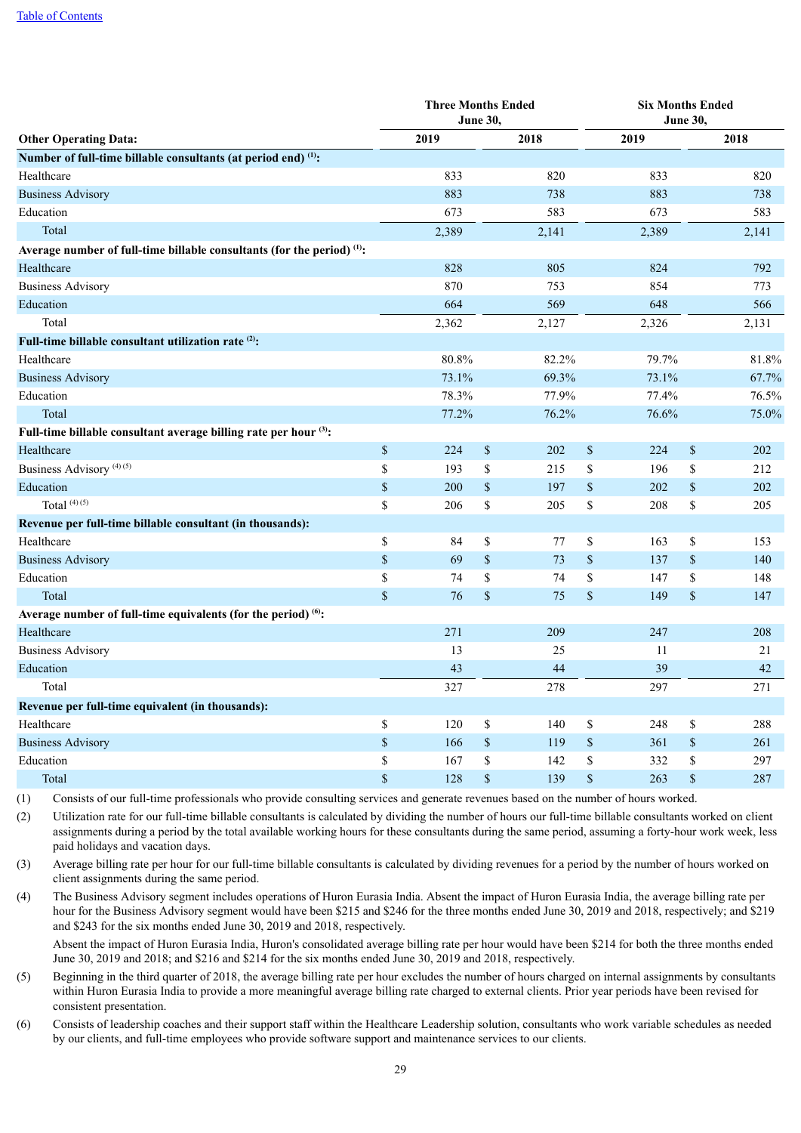|                                                                                    |             | <b>Three Months Ended</b> | <b>June 30,</b>   |       |                                                                       | <b>Six Months Ended</b><br>June 30, |              |       |  |
|------------------------------------------------------------------------------------|-------------|---------------------------|-------------------|-------|-----------------------------------------------------------------------|-------------------------------------|--------------|-------|--|
| <b>Other Operating Data:</b>                                                       |             | 2019                      |                   | 2018  |                                                                       | 2019                                | 2018         |       |  |
| Number of full-time billable consultants (at period end) <sup>(1)</sup> :          |             |                           |                   |       |                                                                       |                                     |              |       |  |
| Healthcare                                                                         |             | 833                       |                   | 820   |                                                                       | 833                                 |              | 820   |  |
| <b>Business Advisory</b>                                                           |             | 883                       |                   | 738   |                                                                       | 883                                 |              | 738   |  |
| Education                                                                          |             | 673                       |                   | 583   |                                                                       | 673                                 |              | 583   |  |
| Total                                                                              |             | 2,389                     |                   | 2,141 |                                                                       | 2,389                               |              | 2,141 |  |
| Average number of full-time billable consultants (for the period) <sup>(1)</sup> : |             |                           |                   |       |                                                                       |                                     |              |       |  |
| Healthcare                                                                         |             | 828                       |                   | 805   |                                                                       | 824                                 |              | 792   |  |
| <b>Business Advisory</b>                                                           |             | 870                       |                   | 753   |                                                                       | 854                                 |              | 773   |  |
| Education                                                                          |             | 664                       |                   | 569   |                                                                       | 648                                 |              | 566   |  |
| Total                                                                              |             | 2,362                     |                   | 2,127 |                                                                       | 2,326                               |              | 2,131 |  |
| Full-time billable consultant utilization rate $(2)$ :                             |             |                           |                   |       |                                                                       |                                     |              |       |  |
| Healthcare                                                                         |             | 80.8%                     |                   | 82.2% |                                                                       | 79.7%                               |              | 81.8% |  |
| <b>Business Advisory</b>                                                           |             | 73.1%                     |                   | 69.3% |                                                                       | 73.1%                               |              | 67.7% |  |
| Education                                                                          |             | 78.3%                     |                   | 77.9% |                                                                       | 77.4%                               |              | 76.5% |  |
| Total                                                                              |             | 77.2%                     |                   | 76.2% |                                                                       | 76.6%                               | 75.0%        |       |  |
| Full-time billable consultant average billing rate per hour (3):                   |             |                           |                   |       |                                                                       |                                     |              |       |  |
| Healthcare                                                                         | \$          | 224                       | $\$$              | 202   | $\mathbb S$                                                           | 224                                 | $\$$         | 202   |  |
| Business Advisory <sup>(4)(5)</sup>                                                | \$          | 193                       | \$                | 215   | \$                                                                    | 196                                 | \$           | 212   |  |
| Education                                                                          | \$          | 200                       | $\mathbb{S}$      | 197   | $\mathbb S$                                                           | 202                                 | $\mathbb{S}$ | 202   |  |
| Total $(4)(5)$                                                                     | \$          | 206                       | \$                | 205   | \$                                                                    | 208                                 | \$           | 205   |  |
| Revenue per full-time billable consultant (in thousands):                          |             |                           |                   |       |                                                                       |                                     |              |       |  |
| Healthcare                                                                         | \$          | 84                        | \$                | 77    | \$                                                                    | 163                                 | \$           | 153   |  |
| <b>Business Advisory</b>                                                           | \$          | 69                        | $\$$              | 73    | $\mathbb S$                                                           | 137                                 | $\$$         | 140   |  |
| Education                                                                          | \$          | 74                        | \$                | 74    | \$                                                                    | 147                                 | \$           | 148   |  |
| Total                                                                              | $\mathbf S$ | 76                        | \$                | 75    | \$                                                                    | 149                                 | \$           | 147   |  |
| Average number of full-time equivalents (for the period) <sup>(6)</sup> :          |             |                           |                   |       |                                                                       |                                     |              |       |  |
| Healthcare                                                                         |             | 271                       |                   | 209   |                                                                       | 247                                 |              | 208   |  |
| <b>Business Advisory</b>                                                           |             | 13                        |                   | 25    |                                                                       | 11                                  |              | 21    |  |
| Education                                                                          |             | 43                        |                   | 44    |                                                                       | 39                                  |              | 42    |  |
| Total                                                                              |             | 327                       |                   | 278   |                                                                       | 297                                 |              | 271   |  |
| Revenue per full-time equivalent (in thousands):                                   |             |                           |                   |       |                                                                       |                                     |              |       |  |
| Healthcare                                                                         | \$          | 120                       | \$                | 140   | \$                                                                    | 248                                 | \$           | 288   |  |
| <b>Business Advisory</b>                                                           | \$          | 166                       | $\boldsymbol{\$}$ | 119   | $\mathbb{S}% _{t}\left( t\right) \equiv\mathbb{S}_{t}\left( t\right)$ | 361                                 | $\mathbb{S}$ | 261   |  |
| Education                                                                          | \$          | 167                       | \$                | 142   | \$                                                                    | 332                                 | \$           | 297   |  |
| Total                                                                              | \$          | 128                       | $\mathbb{S}$      | 139   | $\mathsf{\$}$                                                         | 263                                 | $\mathbb{S}$ | 287   |  |

(1) Consists of our full-time professionals who provide consulting services and generate revenues based on the number of hours worked.

(2) Utilization rate for our full-time billable consultants is calculated by dividing the number of hours our full-time billable consultants worked on client assignments during a period by the total available working hours for these consultants during the same period, assuming a forty-hour work week, less paid holidays and vacation days.

(3) Average billing rate per hour for our full-time billable consultants is calculated by dividing revenues for a period by the number of hours worked on client assignments during the same period.

(4) The Business Advisory segment includes operations of Huron Eurasia India. Absent the impact of Huron Eurasia India, the average billing rate per hour for the Business Advisory segment would have been \$215 and \$246 for the three months ended June 30, 2019 and 2018, respectively; and \$219 and \$243 for the six months ended June 30, 2019 and 2018, respectively.

Absent the impact of Huron Eurasia India, Huron's consolidated average billing rate per hour would have been \$214 for both the three months ended June 30, 2019 and 2018; and \$216 and \$214 for the six months ended June 30, 2019 and 2018, respectively.

- (5) Beginning in the third quarter of 2018, the average billing rate per hour excludes the number of hours charged on internal assignments by consultants within Huron Eurasia India to provide a more meaningful average billing rate charged to external clients. Prior year periods have been revised for consistent presentation.
- (6) Consists of leadership coaches and their support staff within the Healthcare Leadership solution, consultants who work variable schedules as needed by our clients, and full-time employees who provide software support and maintenance services to our clients.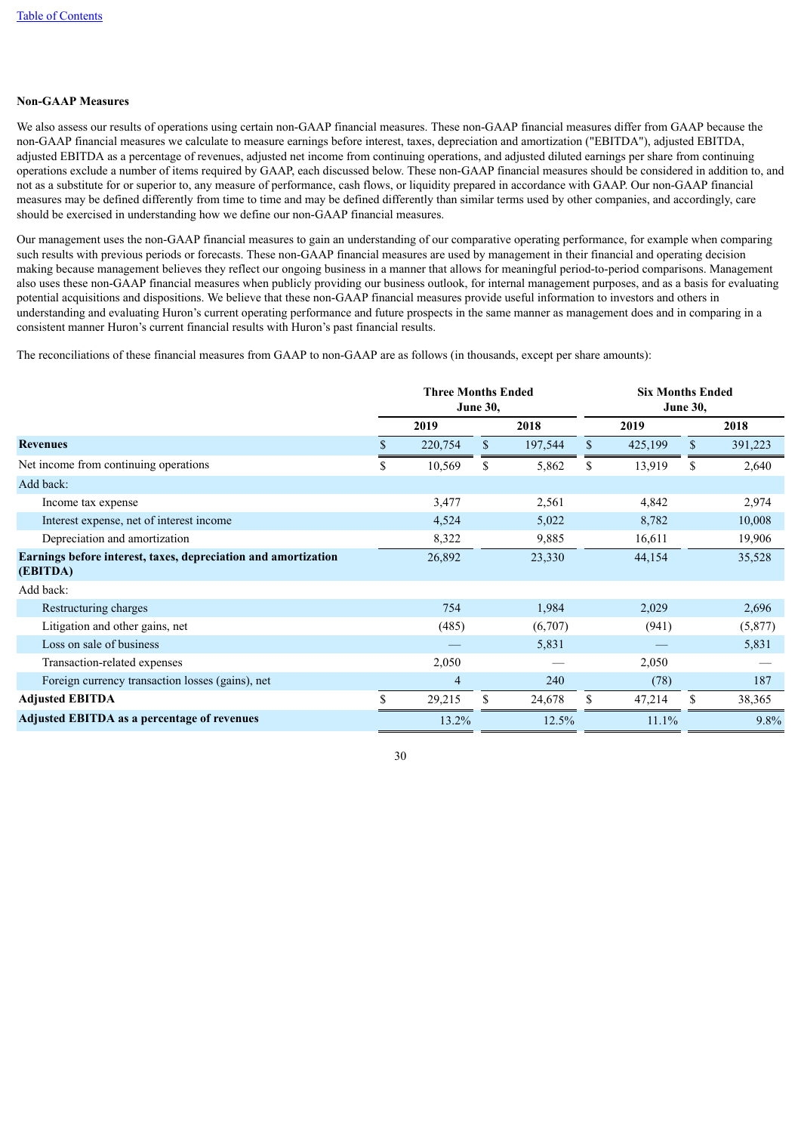# **Non-GAAP Measures**

We also assess our results of operations using certain non-GAAP financial measures. These non-GAAP financial measures differ from GAAP because the non-GAAP financial measures we calculate to measure earnings before interest, taxes, depreciation and amortization ("EBITDA"), adjusted EBITDA, adjusted EBITDA as a percentage of revenues, adjusted net income from continuing operations, and adjusted diluted earnings per share from continuing operations exclude a number of items required by GAAP, each discussed below. These non-GAAP financial measures should be considered in addition to, and not as a substitute for or superior to, any measure of performance, cash flows, or liquidity prepared in accordance with GAAP. Our non-GAAP financial measures may be defined differently from time to time and may be defined differently than similar terms used by other companies, and accordingly, care should be exercised in understanding how we define our non-GAAP financial measures.

Our management uses the non-GAAP financial measures to gain an understanding of our comparative operating performance, for example when comparing such results with previous periods or forecasts. These non-GAAP financial measures are used by management in their financial and operating decision making because management believes they reflect our ongoing business in a manner that allows for meaningful period-to-period comparisons. Management also uses these non-GAAP financial measures when publicly providing our business outlook, for internal management purposes, and as a basis for evaluating potential acquisitions and dispositions. We believe that these non-GAAP financial measures provide useful information to investors and others in understanding and evaluating Huron's current operating performance and future prospects in the same manner as management does and in comparing in a consistent manner Huron's current financial results with Huron's past financial results.

The reconciliations of these financial measures from GAAP to non-GAAP are as follows (in thousands, except per share amounts):

|                                                                            |    | <b>Three Months Ended</b><br><b>June 30,</b> |    |         |             | <b>Six Months Ended</b><br><b>June 30,</b> |              |         |  |  |
|----------------------------------------------------------------------------|----|----------------------------------------------|----|---------|-------------|--------------------------------------------|--------------|---------|--|--|
|                                                                            |    | 2019                                         |    | 2018    |             | 2019                                       |              | 2018    |  |  |
| <b>Revenues</b>                                                            |    | 220,754                                      | \$ | 197,544 | $\mathbf S$ | 425,199                                    | $\mathbb{S}$ | 391,223 |  |  |
| Net income from continuing operations                                      | \$ | 10,569                                       | \$ | 5,862   | \$          | 13,919                                     | \$           | 2,640   |  |  |
| Add back:                                                                  |    |                                              |    |         |             |                                            |              |         |  |  |
| Income tax expense                                                         |    | 3,477                                        |    | 2,561   |             | 4,842                                      |              | 2,974   |  |  |
| Interest expense, net of interest income                                   |    | 4,524                                        |    | 5,022   |             | 8,782                                      |              | 10,008  |  |  |
| Depreciation and amortization                                              |    | 8,322                                        |    | 9,885   |             | 16,611                                     |              | 19,906  |  |  |
| Earnings before interest, taxes, depreciation and amortization<br>(EBITDA) |    | 26,892                                       |    | 23,330  |             | 44,154                                     |              | 35,528  |  |  |
| Add back:                                                                  |    |                                              |    |         |             |                                            |              |         |  |  |
| Restructuring charges                                                      |    | 754                                          |    | 1,984   |             | 2,029                                      |              | 2,696   |  |  |
| Litigation and other gains, net                                            |    | (485)                                        |    | (6,707) |             | (941)                                      |              | (5,877) |  |  |
| Loss on sale of business                                                   |    |                                              |    | 5,831   |             |                                            |              | 5,831   |  |  |
| Transaction-related expenses                                               |    | 2,050                                        |    |         |             | 2,050                                      |              |         |  |  |
| Foreign currency transaction losses (gains), net                           |    | $\overline{4}$                               |    | 240     |             | (78)                                       |              | 187     |  |  |
| <b>Adjusted EBITDA</b>                                                     | S  | 29,215                                       |    | 24,678  |             | 47,214                                     | \$.          | 38,365  |  |  |
| <b>Adjusted EBITDA as a percentage of revenues</b>                         |    | 13.2%                                        |    | 12.5%   |             | 11.1%                                      |              | 9.8%    |  |  |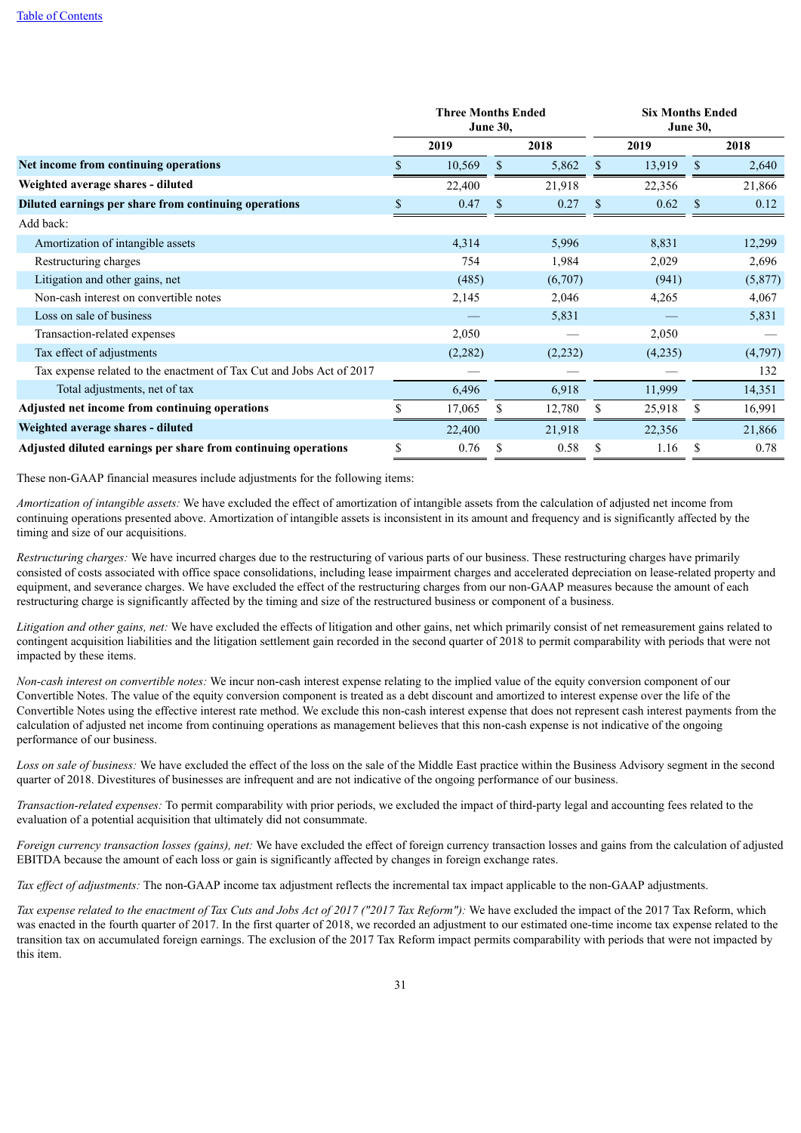|                                                                      | <b>Three Months Ended</b><br><b>June 30,</b> |         |               |         |  | <b>Six Months Ended</b><br><b>June 30,</b> |              |         |  |  |
|----------------------------------------------------------------------|----------------------------------------------|---------|---------------|---------|--|--------------------------------------------|--------------|---------|--|--|
|                                                                      |                                              | 2019    |               | 2018    |  | 2019                                       |              | 2018    |  |  |
| Net income from continuing operations                                |                                              | 10,569  | <sup>\$</sup> | 5,862   |  | 13,919                                     | <sup>S</sup> | 2,640   |  |  |
| Weighted average shares - diluted                                    |                                              | 22,400  |               | 21,918  |  | 22,356                                     |              | 21,866  |  |  |
| Diluted earnings per share from continuing operations                | \$                                           | 0.47    | \$            | 0.27    |  | 0.62                                       | S            | 0.12    |  |  |
| Add back:                                                            |                                              |         |               |         |  |                                            |              |         |  |  |
| Amortization of intangible assets                                    |                                              | 4,314   |               | 5,996   |  | 8,831                                      |              | 12,299  |  |  |
| Restructuring charges                                                |                                              | 754     |               | 1,984   |  | 2,029                                      |              | 2,696   |  |  |
| Litigation and other gains, net                                      |                                              | (485)   |               | (6,707) |  | (941)                                      |              | (5,877) |  |  |
| Non-cash interest on convertible notes                               |                                              | 2,145   |               | 2,046   |  | 4,265                                      |              | 4,067   |  |  |
| Loss on sale of business                                             |                                              |         |               | 5,831   |  |                                            |              | 5,831   |  |  |
| Transaction-related expenses                                         |                                              | 2,050   |               |         |  | 2,050                                      |              |         |  |  |
| Tax effect of adjustments                                            |                                              | (2,282) |               | (2,232) |  | (4,235)                                    |              | (4,797) |  |  |
| Tax expense related to the enactment of Tax Cut and Jobs Act of 2017 |                                              |         |               |         |  |                                            |              | 132     |  |  |
| Total adjustments, net of tax                                        |                                              | 6,496   |               | 6,918   |  | 11,999                                     |              | 14,351  |  |  |
| Adjusted net income from continuing operations                       |                                              | 17,065  |               | 12,780  |  | 25,918                                     | S            | 16,991  |  |  |
| Weighted average shares - diluted                                    |                                              | 22,400  |               | 21,918  |  | 22,356                                     |              | 21,866  |  |  |
| Adjusted diluted earnings per share from continuing operations       | \$                                           | 0.76    | \$            | 0.58    |  | 1.16                                       | \$           | 0.78    |  |  |

These non-GAAP financial measures include adjustments for the following items:

*Amortization of intangible assets:* We have excluded the effect of amortization of intangible assets from the calculation of adjusted net income from continuing operations presented above. Amortization of intangible assets is inconsistent in its amount and frequency and is significantly affected by the timing and size of our acquisitions.

*Restructuring charges:* We have incurred charges due to the restructuring of various parts of our business. These restructuring charges have primarily consisted of costs associated with office space consolidations, including lease impairment charges and accelerated depreciation on lease-related property and equipment, and severance charges. We have excluded the effect of the restructuring charges from our non-GAAP measures because the amount of each restructuring charge is significantly affected by the timing and size of the restructured business or component of a business.

*Litigation and other gains, net:* We have excluded the effects of litigation and other gains, net which primarily consist of net remeasurement gains related to contingent acquisition liabilities and the litigation settlement gain recorded in the second quarter of 2018 to permit comparability with periods that were not impacted by these items.

*Non-cash interest on convertible notes:* We incur non-cash interest expense relating to the implied value of the equity conversion component of our Convertible Notes. The value of the equity conversion component is treated as a debt discount and amortized to interest expense over the life of the Convertible Notes using the effective interest rate method. We exclude this non-cash interest expense that does not represent cash interest payments from the calculation of adjusted net income from continuing operations as management believes that this non-cash expense is not indicative of the ongoing performance of our business.

Loss on sale of business: We have excluded the effect of the loss on the sale of the Middle East practice within the Business Advisory segment in the second quarter of 2018. Divestitures of businesses are infrequent and are not indicative of the ongoing performance of our business.

*Transaction-related expenses:* To permit comparability with prior periods, we excluded the impact of third-party legal and accounting fees related to the evaluation of a potential acquisition that ultimately did not consummate.

*Foreign currency transaction losses (gains), net:* We have excluded the effect of foreign currency transaction losses and gains from the calculation of adjusted EBITDA because the amount of each loss or gain is significantly affected by changes in foreign exchange rates.

*Tax ef ect of adjustments:* The non-GAAP income tax adjustment reflects the incremental tax impact applicable to the non-GAAP adjustments.

Tax expense related to the enactment of Tax Cuts and Jobs Act of 2017 ("2017 Tax Reform"): We have excluded the impact of the 2017 Tax Reform, which was enacted in the fourth quarter of 2017. In the first quarter of 2018, we recorded an adjustment to our estimated one-time income tax expense related to the transition tax on accumulated foreign earnings. The exclusion of the 2017 Tax Reform impact permits comparability with periods that were not impacted by this item.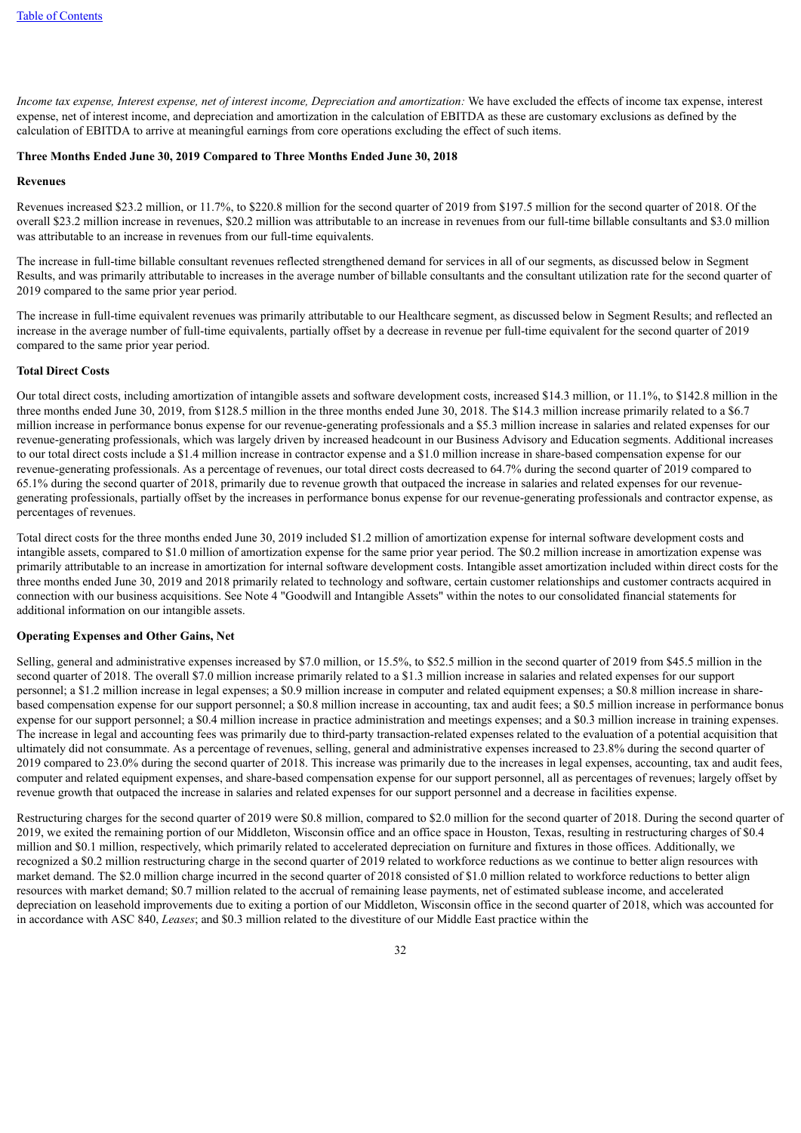Income tax expense, Interest expense, net of interest income, Depreciation and amortization: We have excluded the effects of income tax expense, interest expense, net of interest income, and depreciation and amortization in the calculation of EBITDA as these are customary exclusions as defined by the calculation of EBITDA to arrive at meaningful earnings from core operations excluding the effect of such items.

### **Three Months Ended June 30, 2019 Compared to Three Months Ended June 30, 2018**

#### **Revenues**

Revenues increased \$23.2 million, or 11.7%, to \$220.8 million for the second quarter of 2019 from \$197.5 million for the second quarter of 2018. Of the overall \$23.2 million increase in revenues, \$20.2 million was attributable to an increase in revenues from our full-time billable consultants and \$3.0 million was attributable to an increase in revenues from our full-time equivalents.

The increase in full-time billable consultant revenues reflected strengthened demand for services in all of our segments, as discussed below in Segment Results, and was primarily attributable to increases in the average number of billable consultants and the consultant utilization rate for the second quarter of 2019 compared to the same prior year period.

The increase in full-time equivalent revenues was primarily attributable to our Healthcare segment, as discussed below in Segment Results; and reflected an increase in the average number of full-time equivalents, partially offset by a decrease in revenue per full-time equivalent for the second quarter of 2019 compared to the same prior year period.

# **Total Direct Costs**

Our total direct costs, including amortization of intangible assets and software development costs, increased \$14.3 million, or 11.1%, to \$142.8 million in the three months ended June 30, 2019, from \$128.5 million in the three months ended June 30, 2018. The \$14.3 million increase primarily related to a \$6.7 million increase in performance bonus expense for our revenue-generating professionals and a \$5.3 million increase in salaries and related expenses for our revenue-generating professionals, which was largely driven by increased headcount in our Business Advisory and Education segments. Additional increases to our total direct costs include a \$1.4 million increase in contractor expense and a \$1.0 million increase in share-based compensation expense for our revenue-generating professionals. As a percentage of revenues, our total direct costs decreased to 64.7% during the second quarter of 2019 compared to 65.1% during the second quarter of 2018, primarily due to revenue growth that outpaced the increase in salaries and related expenses for our revenuegenerating professionals, partially offset by the increases in performance bonus expense for our revenue-generating professionals and contractor expense, as percentages of revenues.

Total direct costs for the three months ended June 30, 2019 included \$1.2 million of amortization expense for internal software development costs and intangible assets, compared to \$1.0 million of amortization expense for the same prior year period. The \$0.2 million increase in amortization expense was primarily attributable to an increase in amortization for internal software development costs. Intangible asset amortization included within direct costs for the three months ended June 30, 2019 and 2018 primarily related to technology and software, certain customer relationships and customer contracts acquired in connection with our business acquisitions. See Note 4 "Goodwill and Intangible Assets" within the notes to our consolidated financial statements for additional information on our intangible assets.

### **Operating Expenses and Other Gains, Net**

Selling, general and administrative expenses increased by \$7.0 million, or 15.5%, to \$52.5 million in the second quarter of 2019 from \$45.5 million in the second quarter of 2018. The overall \$7.0 million increase primarily related to a \$1.3 million increase in salaries and related expenses for our support personnel; a \$1.2 million increase in legal expenses; a \$0.9 million increase in computer and related equipment expenses; a \$0.8 million increase in sharebased compensation expense for our support personnel; a \$0.8 million increase in accounting, tax and audit fees; a \$0.5 million increase in performance bonus expense for our support personnel; a \$0.4 million increase in practice administration and meetings expenses; and a \$0.3 million increase in training expenses. The increase in legal and accounting fees was primarily due to third-party transaction-related expenses related to the evaluation of a potential acquisition that ultimately did not consummate. As a percentage of revenues, selling, general and administrative expenses increased to 23.8% during the second quarter of 2019 compared to 23.0% during the second quarter of 2018. This increase was primarily due to the increases in legal expenses, accounting, tax and audit fees, computer and related equipment expenses, and share-based compensation expense for our support personnel, all as percentages of revenues; largely offset by revenue growth that outpaced the increase in salaries and related expenses for our support personnel and a decrease in facilities expense.

Restructuring charges for the second quarter of 2019 were \$0.8 million, compared to \$2.0 million for the second quarter of 2018. During the second quarter of 2019, we exited the remaining portion of our Middleton, Wisconsin office and an office space in Houston, Texas, resulting in restructuring charges of \$0.4 million and \$0.1 million, respectively, which primarily related to accelerated depreciation on furniture and fixtures in those offices. Additionally, we recognized a \$0.2 million restructuring charge in the second quarter of 2019 related to workforce reductions as we continue to better align resources with market demand. The \$2.0 million charge incurred in the second quarter of 2018 consisted of \$1.0 million related to workforce reductions to better align resources with market demand; \$0.7 million related to the accrual of remaining lease payments, net of estimated sublease income, and accelerated depreciation on leasehold improvements due to exiting a portion of our Middleton, Wisconsin office in the second quarter of 2018, which was accounted for in accordance with ASC 840, *Leases*; and \$0.3 million related to the divestiture of our Middle East practice within the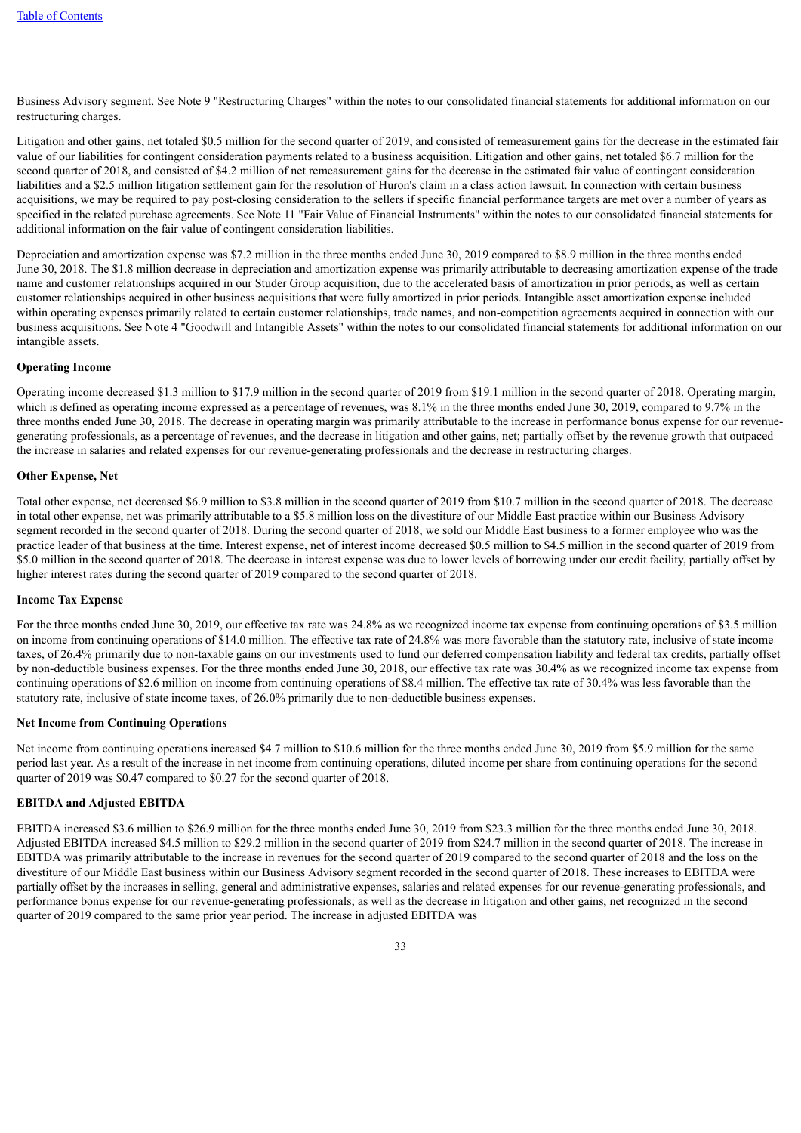Business Advisory segment. See Note 9 "Restructuring Charges" within the notes to our consolidated financial statements for additional information on our restructuring charges.

Litigation and other gains, net totaled \$0.5 million for the second quarter of 2019, and consisted of remeasurement gains for the decrease in the estimated fair value of our liabilities for contingent consideration payments related to a business acquisition. Litigation and other gains, net totaled \$6.7 million for the second quarter of 2018, and consisted of \$4.2 million of net remeasurement gains for the decrease in the estimated fair value of contingent consideration liabilities and a \$2.5 million litigation settlement gain for the resolution of Huron's claim in a class action lawsuit. In connection with certain business acquisitions, we may be required to pay post-closing consideration to the sellers if specific financial performance targets are met over a number of years as specified in the related purchase agreements. See Note 11 "Fair Value of Financial Instruments" within the notes to our consolidated financial statements for additional information on the fair value of contingent consideration liabilities.

Depreciation and amortization expense was \$7.2 million in the three months ended June 30, 2019 compared to \$8.9 million in the three months ended June 30, 2018. The \$1.8 million decrease in depreciation and amortization expense was primarily attributable to decreasing amortization expense of the trade name and customer relationships acquired in our Studer Group acquisition, due to the accelerated basis of amortization in prior periods, as well as certain customer relationships acquired in other business acquisitions that were fully amortized in prior periods. Intangible asset amortization expense included within operating expenses primarily related to certain customer relationships, trade names, and non-competition agreements acquired in connection with our business acquisitions. See Note 4 "Goodwill and Intangible Assets" within the notes to our consolidated financial statements for additional information on our intangible assets.

### **Operating Income**

Operating income decreased \$1.3 million to \$17.9 million in the second quarter of 2019 from \$19.1 million in the second quarter of 2018. Operating margin, which is defined as operating income expressed as a percentage of revenues, was 8.1% in the three months ended June 30, 2019, compared to 9.7% in the three months ended June 30, 2018. The decrease in operating margin was primarily attributable to the increase in performance bonus expense for our revenuegenerating professionals, as a percentage of revenues, and the decrease in litigation and other gains, net; partially offset by the revenue growth that outpaced the increase in salaries and related expenses for our revenue-generating professionals and the decrease in restructuring charges.

### **Other Expense, Net**

Total other expense, net decreased \$6.9 million to \$3.8 million in the second quarter of 2019 from \$10.7 million in the second quarter of 2018. The decrease in total other expense, net was primarily attributable to a \$5.8 million loss on the divestiture of our Middle East practice within our Business Advisory segment recorded in the second quarter of 2018. During the second quarter of 2018, we sold our Middle East business to a former employee who was the practice leader of that business at the time. Interest expense, net of interest income decreased \$0.5 million to \$4.5 million in the second quarter of 2019 from \$5.0 million in the second quarter of 2018. The decrease in interest expense was due to lower levels of borrowing under our credit facility, partially offset by higher interest rates during the second quarter of 2019 compared to the second quarter of 2018.

#### **Income Tax Expense**

For the three months ended June 30, 2019, our effective tax rate was 24.8% as we recognized income tax expense from continuing operations of \$3.5 million on income from continuing operations of \$14.0 million. The effective tax rate of 24.8% was more favorable than the statutory rate, inclusive of state income taxes, of 26.4% primarily due to non-taxable gains on our investments used to fund our deferred compensation liability and federal tax credits, partially offset by non-deductible business expenses. For the three months ended June 30, 2018, our effective tax rate was 30.4% as we recognized income tax expense from continuing operations of \$2.6 million on income from continuing operations of \$8.4 million. The effective tax rate of 30.4% was less favorable than the statutory rate, inclusive of state income taxes, of 26.0% primarily due to non-deductible business expenses.

#### **Net Income from Continuing Operations**

Net income from continuing operations increased \$4.7 million to \$10.6 million for the three months ended June 30, 2019 from \$5.9 million for the same period last year. As a result of the increase in net income from continuing operations, diluted income per share from continuing operations for the second quarter of 2019 was \$0.47 compared to \$0.27 for the second quarter of 2018.

### **EBITDA and Adjusted EBITDA**

EBITDA increased \$3.6 million to \$26.9 million for the three months ended June 30, 2019 from \$23.3 million for the three months ended June 30, 2018. Adjusted EBITDA increased \$4.5 million to \$29.2 million in the second quarter of 2019 from \$24.7 million in the second quarter of 2018. The increase in EBITDA was primarily attributable to the increase in revenues for the second quarter of 2019 compared to the second quarter of 2018 and the loss on the divestiture of our Middle East business within our Business Advisory segment recorded in the second quarter of 2018. These increases to EBITDA were partially offset by the increases in selling, general and administrative expenses, salaries and related expenses for our revenue-generating professionals, and performance bonus expense for our revenue-generating professionals; as well as the decrease in litigation and other gains, net recognized in the second quarter of 2019 compared to the same prior year period. The increase in adjusted EBITDA was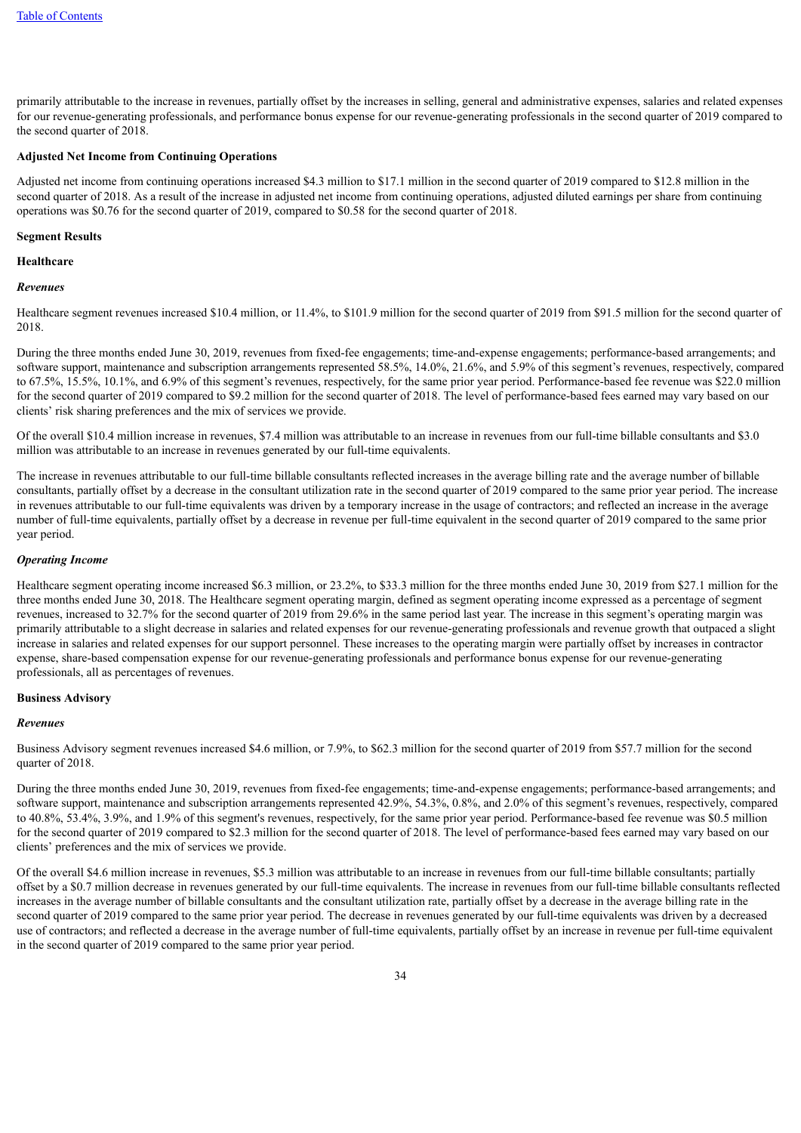primarily attributable to the increase in revenues, partially offset by the increases in selling, general and administrative expenses, salaries and related expenses for our revenue-generating professionals, and performance bonus expense for our revenue-generating professionals in the second quarter of 2019 compared to the second quarter of 2018.

### **Adjusted Net Income from Continuing Operations**

Adjusted net income from continuing operations increased \$4.3 million to \$17.1 million in the second quarter of 2019 compared to \$12.8 million in the second quarter of 2018. As a result of the increase in adjusted net income from continuing operations, adjusted diluted earnings per share from continuing operations was \$0.76 for the second quarter of 2019, compared to \$0.58 for the second quarter of 2018.

#### **Segment Results**

### **Healthcare**

### *Revenues*

Healthcare segment revenues increased \$10.4 million, or 11.4%, to \$101.9 million for the second quarter of 2019 from \$91.5 million for the second quarter of 2018.

During the three months ended June 30, 2019, revenues from fixed-fee engagements; time-and-expense engagements; performance-based arrangements; and software support, maintenance and subscription arrangements represented 58.5%, 14.0%, 21.6%, and 5.9% of this segment's revenues, respectively, compared to 67.5%, 15.5%, 10.1%, and 6.9% of this segment's revenues, respectively, for the same prior year period. Performance-based fee revenue was \$22.0 million for the second quarter of 2019 compared to \$9.2 million for the second quarter of 2018. The level of performance-based fees earned may vary based on our clients' risk sharing preferences and the mix of services we provide.

Of the overall \$10.4 million increase in revenues, \$7.4 million was attributable to an increase in revenues from our full-time billable consultants and \$3.0 million was attributable to an increase in revenues generated by our full-time equivalents.

The increase in revenues attributable to our full-time billable consultants reflected increases in the average billing rate and the average number of billable consultants, partially offset by a decrease in the consultant utilization rate in the second quarter of 2019 compared to the same prior year period. The increase in revenues attributable to our full-time equivalents was driven by a temporary increase in the usage of contractors; and reflected an increase in the average number of full-time equivalents, partially offset by a decrease in revenue per full-time equivalent in the second quarter of 2019 compared to the same prior year period.

### *Operating Income*

Healthcare segment operating income increased \$6.3 million, or 23.2%, to \$33.3 million for the three months ended June 30, 2019 from \$27.1 million for the three months ended June 30, 2018. The Healthcare segment operating margin, defined as segment operating income expressed as a percentage of segment revenues, increased to 32.7% for the second quarter of 2019 from 29.6% in the same period last year. The increase in this segment's operating margin was primarily attributable to a slight decrease in salaries and related expenses for our revenue-generating professionals and revenue growth that outpaced a slight increase in salaries and related expenses for our support personnel. These increases to the operating margin were partially offset by increases in contractor expense, share-based compensation expense for our revenue-generating professionals and performance bonus expense for our revenue-generating professionals, all as percentages of revenues.

# **Business Advisory**

#### *Revenues*

Business Advisory segment revenues increased \$4.6 million, or 7.9%, to \$62.3 million for the second quarter of 2019 from \$57.7 million for the second quarter of 2018.

During the three months ended June 30, 2019, revenues from fixed-fee engagements; time-and-expense engagements; performance-based arrangements; and software support, maintenance and subscription arrangements represented 42.9%, 54.3%, 0.8%, and 2.0% of this segment's revenues, respectively, compared to 40.8%, 53.4%, 3.9%, and 1.9% of this segment's revenues, respectively, for the same prior year period. Performance-based fee revenue was \$0.5 million for the second quarter of 2019 compared to \$2.3 million for the second quarter of 2018. The level of performance-based fees earned may vary based on our clients' preferences and the mix of services we provide.

Of the overall \$4.6 million increase in revenues, \$5.3 million was attributable to an increase in revenues from our full-time billable consultants; partially offset by a \$0.7 million decrease in revenues generated by our full-time equivalents. The increase in revenues from our full-time billable consultants reflected increases in the average number of billable consultants and the consultant utilization rate, partially offset by a decrease in the average billing rate in the second quarter of 2019 compared to the same prior year period. The decrease in revenues generated by our full-time equivalents was driven by a decreased use of contractors; and reflected a decrease in the average number of full-time equivalents, partially offset by an increase in revenue per full-time equivalent in the second quarter of 2019 compared to the same prior year period.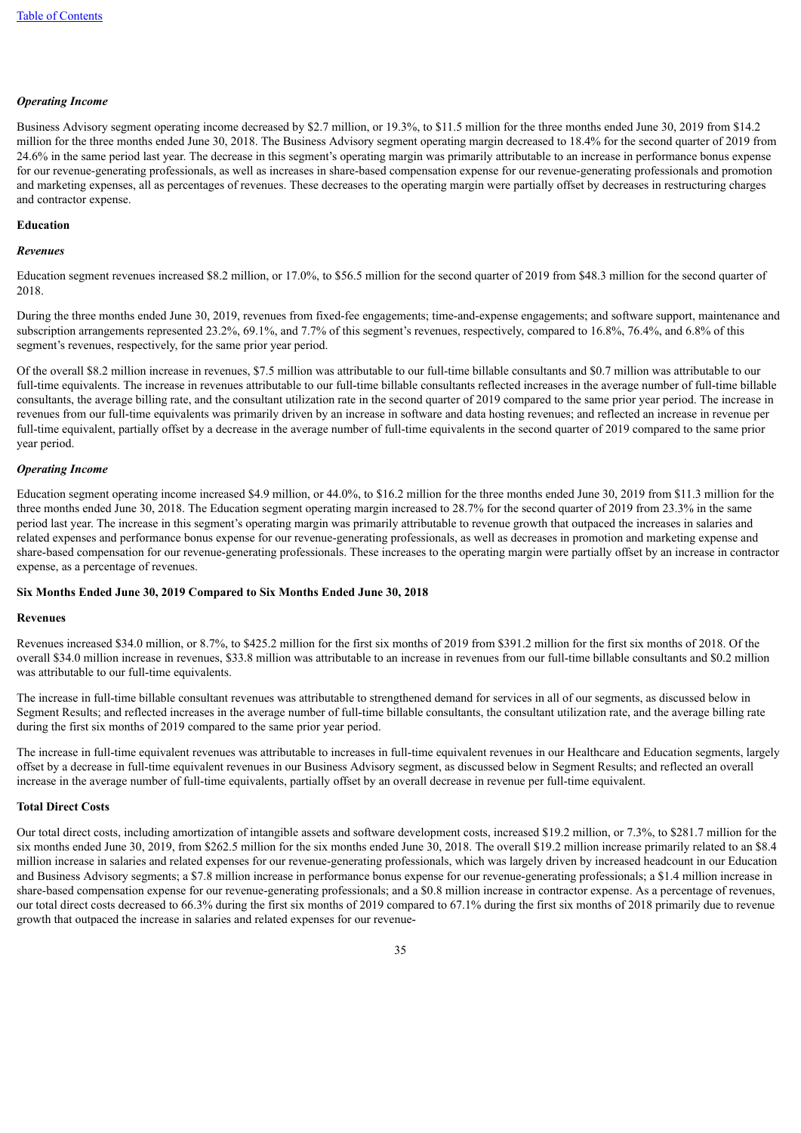### *Operating Income*

Business Advisory segment operating income decreased by \$2.7 million, or 19.3%, to \$11.5 million for the three months ended June 30, 2019 from \$14.2 million for the three months ended June 30, 2018. The Business Advisory segment operating margin decreased to 18.4% for the second quarter of 2019 from 24.6% in the same period last year. The decrease in this segment's operating margin was primarily attributable to an increase in performance bonus expense for our revenue-generating professionals, as well as increases in share-based compensation expense for our revenue-generating professionals and promotion and marketing expenses, all as percentages of revenues. These decreases to the operating margin were partially offset by decreases in restructuring charges and contractor expense.

#### **Education**

#### *Revenues*

Education segment revenues increased \$8.2 million, or 17.0%, to \$56.5 million for the second quarter of 2019 from \$48.3 million for the second quarter of 2018.

During the three months ended June 30, 2019, revenues from fixed-fee engagements; time-and-expense engagements; and software support, maintenance and subscription arrangements represented 23.2%, 69.1%, and 7.7% of this segment's revenues, respectively, compared to 16.8%, 76.4%, and 6.8% of this segment's revenues, respectively, for the same prior year period.

Of the overall \$8.2 million increase in revenues, \$7.5 million was attributable to our full-time billable consultants and \$0.7 million was attributable to our full-time equivalents. The increase in revenues attributable to our full-time billable consultants reflected increases in the average number of full-time billable consultants, the average billing rate, and the consultant utilization rate in the second quarter of 2019 compared to the same prior year period. The increase in revenues from our full-time equivalents was primarily driven by an increase in software and data hosting revenues; and reflected an increase in revenue per full-time equivalent, partially offset by a decrease in the average number of full-time equivalents in the second quarter of 2019 compared to the same prior year period.

### *Operating Income*

Education segment operating income increased \$4.9 million, or 44.0%, to \$16.2 million for the three months ended June 30, 2019 from \$11.3 million for the three months ended June 30, 2018. The Education segment operating margin increased to 28.7% for the second quarter of 2019 from 23.3% in the same period last year. The increase in this segment's operating margin was primarily attributable to revenue growth that outpaced the increases in salaries and related expenses and performance bonus expense for our revenue-generating professionals, as well as decreases in promotion and marketing expense and share-based compensation for our revenue-generating professionals. These increases to the operating margin were partially offset by an increase in contractor expense, as a percentage of revenues.

#### **Six Months Ended June 30, 2019 Compared to Six Months Ended June 30, 2018**

#### **Revenues**

Revenues increased \$34.0 million, or 8.7%, to \$425.2 million for the first six months of 2019 from \$391.2 million for the first six months of 2018. Of the overall \$34.0 million increase in revenues, \$33.8 million was attributable to an increase in revenues from our full-time billable consultants and \$0.2 million was attributable to our full-time equivalents.

The increase in full-time billable consultant revenues was attributable to strengthened demand for services in all of our segments, as discussed below in Segment Results; and reflected increases in the average number of full-time billable consultants, the consultant utilization rate, and the average billing rate during the first six months of 2019 compared to the same prior year period.

The increase in full-time equivalent revenues was attributable to increases in full-time equivalent revenues in our Healthcare and Education segments, largely offset by a decrease in full-time equivalent revenues in our Business Advisory segment, as discussed below in Segment Results; and reflected an overall increase in the average number of full-time equivalents, partially offset by an overall decrease in revenue per full-time equivalent.

#### **Total Direct Costs**

Our total direct costs, including amortization of intangible assets and software development costs, increased \$19.2 million, or 7.3%, to \$281.7 million for the six months ended June 30, 2019, from \$262.5 million for the six months ended June 30, 2018. The overall \$19.2 million increase primarily related to an \$8.4 million increase in salaries and related expenses for our revenue-generating professionals, which was largely driven by increased headcount in our Education and Business Advisory segments; a \$7.8 million increase in performance bonus expense for our revenue-generating professionals; a \$1.4 million increase in share-based compensation expense for our revenue-generating professionals; and a \$0.8 million increase in contractor expense. As a percentage of revenues, our total direct costs decreased to 66.3% during the first six months of 2019 compared to 67.1% during the first six months of 2018 primarily due to revenue growth that outpaced the increase in salaries and related expenses for our revenue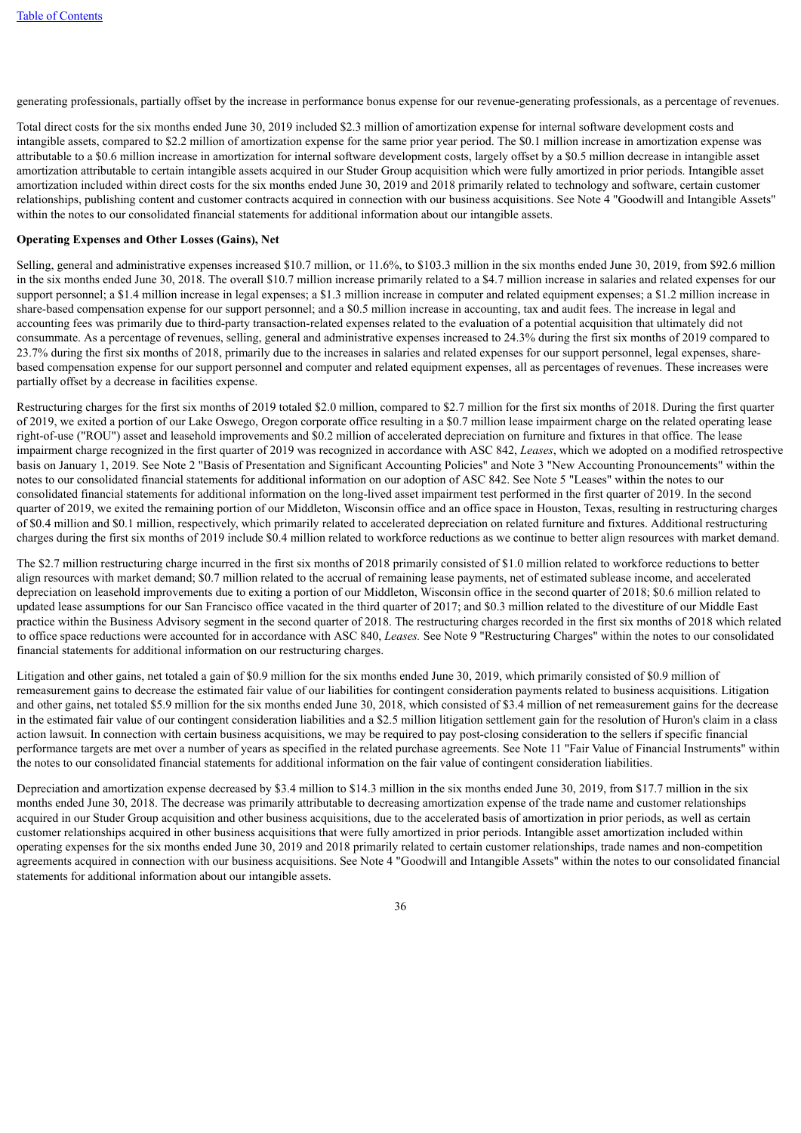generating professionals, partially offset by the increase in performance bonus expense for our revenue-generating professionals, as a percentage of revenues.

Total direct costs for the six months ended June 30, 2019 included \$2.3 million of amortization expense for internal software development costs and intangible assets, compared to \$2.2 million of amortization expense for the same prior year period. The \$0.1 million increase in amortization expense was attributable to a \$0.6 million increase in amortization for internal software development costs, largely offset by a \$0.5 million decrease in intangible asset amortization attributable to certain intangible assets acquired in our Studer Group acquisition which were fully amortized in prior periods. Intangible asset amortization included within direct costs for the six months ended June 30, 2019 and 2018 primarily related to technology and software, certain customer relationships, publishing content and customer contracts acquired in connection with our business acquisitions. See Note 4 "Goodwill and Intangible Assets" within the notes to our consolidated financial statements for additional information about our intangible assets.

### **Operating Expenses and Other Losses (Gains), Net**

Selling, general and administrative expenses increased \$10.7 million, or 11.6%, to \$103.3 million in the six months ended June 30, 2019, from \$92.6 million in the six months ended June 30, 2018. The overall \$10.7 million increase primarily related to a \$4.7 million increase in salaries and related expenses for our support personnel; a \$1.4 million increase in legal expenses; a \$1.3 million increase in computer and related equipment expenses; a \$1.2 million increase in share-based compensation expense for our support personnel; and a \$0.5 million increase in accounting, tax and audit fees. The increase in legal and accounting fees was primarily due to third-party transaction-related expenses related to the evaluation of a potential acquisition that ultimately did not consummate. As a percentage of revenues, selling, general and administrative expenses increased to 24.3% during the first six months of 2019 compared to 23.7% during the first six months of 2018, primarily due to the increases in salaries and related expenses for our support personnel, legal expenses, sharebased compensation expense for our support personnel and computer and related equipment expenses, all as percentages of revenues. These increases were partially offset by a decrease in facilities expense.

Restructuring charges for the first six months of 2019 totaled \$2.0 million, compared to \$2.7 million for the first six months of 2018. During the first quarter of 2019, we exited a portion of our Lake Oswego, Oregon corporate office resulting in a \$0.7 million lease impairment charge on the related operating lease right-of-use ("ROU") asset and leasehold improvements and \$0.2 million of accelerated depreciation on furniture and fixtures in that office. The lease impairment charge recognized in the first quarter of 2019 was recognized in accordance with ASC 842, *Leases*, which we adopted on a modified retrospective basis on January 1, 2019. See Note 2 "Basis of Presentation and Significant Accounting Policies" and Note 3 "New Accounting Pronouncements" within the notes to our consolidated financial statements for additional information on our adoption of ASC 842. See Note 5 "Leases" within the notes to our consolidated financial statements for additional information on the long-lived asset impairment test performed in the first quarter of 2019. In the second quarter of 2019, we exited the remaining portion of our Middleton, Wisconsin office and an office space in Houston, Texas, resulting in restructuring charges of \$0.4 million and \$0.1 million, respectively, which primarily related to accelerated depreciation on related furniture and fixtures. Additional restructuring charges during the first six months of 2019 include \$0.4 million related to workforce reductions as we continue to better align resources with market demand.

The \$2.7 million restructuring charge incurred in the first six months of 2018 primarily consisted of \$1.0 million related to workforce reductions to better align resources with market demand; \$0.7 million related to the accrual of remaining lease payments, net of estimated sublease income, and accelerated depreciation on leasehold improvements due to exiting a portion of our Middleton, Wisconsin office in the second quarter of 2018; \$0.6 million related to updated lease assumptions for our San Francisco office vacated in the third quarter of 2017; and \$0.3 million related to the divestiture of our Middle East practice within the Business Advisory segment in the second quarter of 2018. The restructuring charges recorded in the first six months of 2018 which related to office space reductions were accounted for in accordance with ASC 840, *Leases.* See Note 9 "Restructuring Charges" within the notes to our consolidated financial statements for additional information on our restructuring charges.

Litigation and other gains, net totaled a gain of \$0.9 million for the six months ended June 30, 2019, which primarily consisted of \$0.9 million of remeasurement gains to decrease the estimated fair value of our liabilities for contingent consideration payments related to business acquisitions. Litigation and other gains, net totaled \$5.9 million for the six months ended June 30, 2018, which consisted of \$3.4 million of net remeasurement gains for the decrease in the estimated fair value of our contingent consideration liabilities and a \$2.5 million litigation settlement gain for the resolution of Huron's claim in a class action lawsuit. In connection with certain business acquisitions, we may be required to pay post-closing consideration to the sellers if specific financial performance targets are met over a number of years as specified in the related purchase agreements. See Note 11 "Fair Value of Financial Instruments" within the notes to our consolidated financial statements for additional information on the fair value of contingent consideration liabilities.

Depreciation and amortization expense decreased by \$3.4 million to \$14.3 million in the six months ended June 30, 2019, from \$17.7 million in the six months ended June 30, 2018. The decrease was primarily attributable to decreasing amortization expense of the trade name and customer relationships acquired in our Studer Group acquisition and other business acquisitions, due to the accelerated basis of amortization in prior periods, as well as certain customer relationships acquired in other business acquisitions that were fully amortized in prior periods. Intangible asset amortization included within operating expenses for the six months ended June 30, 2019 and 2018 primarily related to certain customer relationships, trade names and non-competition agreements acquired in connection with our business acquisitions. See Note 4 "Goodwill and Intangible Assets" within the notes to our consolidated financial statements for additional information about our intangible assets.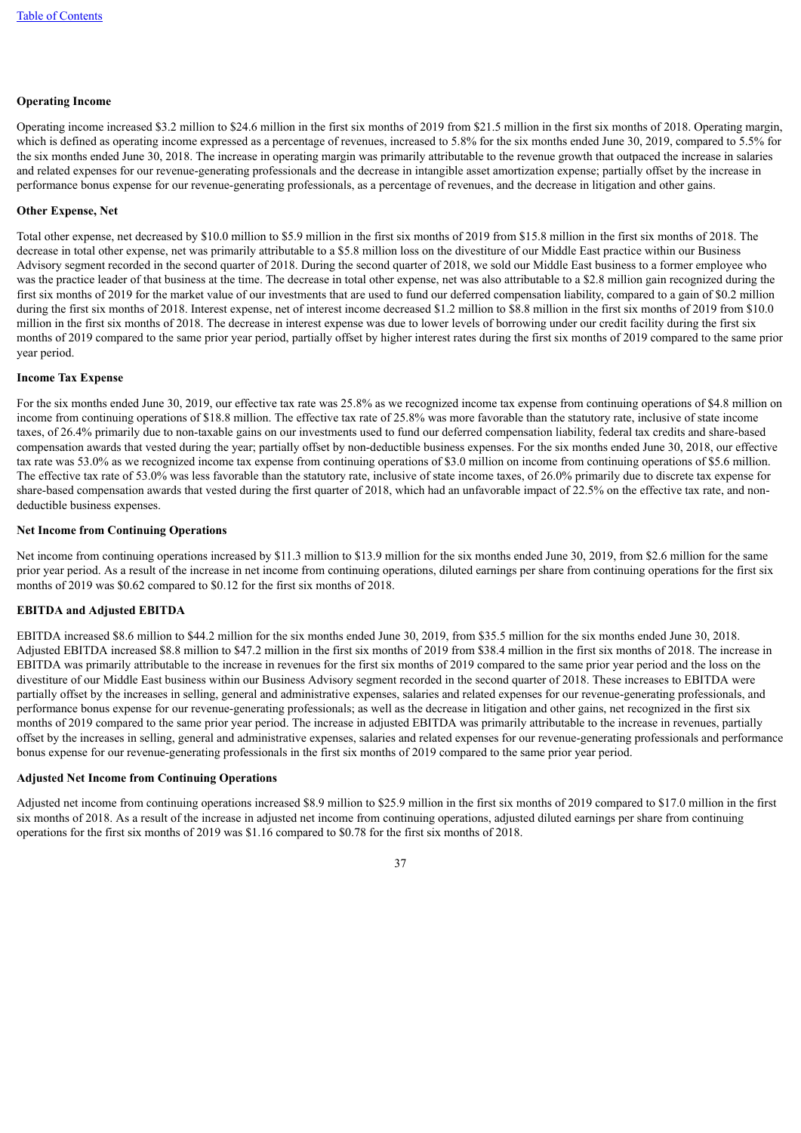# **Operating Income**

Operating income increased \$3.2 million to \$24.6 million in the first six months of 2019 from \$21.5 million in the first six months of 2018. Operating margin, which is defined as operating income expressed as a percentage of revenues, increased to 5.8% for the six months ended June 30, 2019, compared to 5.5% for the six months ended June 30, 2018. The increase in operating margin was primarily attributable to the revenue growth that outpaced the increase in salaries and related expenses for our revenue-generating professionals and the decrease in intangible asset amortization expense; partially offset by the increase in performance bonus expense for our revenue-generating professionals, as a percentage of revenues, and the decrease in litigation and other gains.

### **Other Expense, Net**

Total other expense, net decreased by \$10.0 million to \$5.9 million in the first six months of 2019 from \$15.8 million in the first six months of 2018. The decrease in total other expense, net was primarily attributable to a \$5.8 million loss on the divestiture of our Middle East practice within our Business Advisory segment recorded in the second quarter of 2018. During the second quarter of 2018, we sold our Middle East business to a former employee who was the practice leader of that business at the time. The decrease in total other expense, net was also attributable to a \$2.8 million gain recognized during the first six months of 2019 for the market value of our investments that are used to fund our deferred compensation liability, compared to a gain of \$0.2 million during the first six months of 2018. Interest expense, net of interest income decreased \$1.2 million to \$8.8 million in the first six months of 2019 from \$10.0 million in the first six months of 2018. The decrease in interest expense was due to lower levels of borrowing under our credit facility during the first six months of 2019 compared to the same prior year period, partially offset by higher interest rates during the first six months of 2019 compared to the same prior year period.

#### **Income Tax Expense**

For the six months ended June 30, 2019, our effective tax rate was 25.8% as we recognized income tax expense from continuing operations of \$4.8 million on income from continuing operations of \$18.8 million. The effective tax rate of 25.8% was more favorable than the statutory rate, inclusive of state income taxes, of 26.4% primarily due to non-taxable gains on our investments used to fund our deferred compensation liability, federal tax credits and share-based compensation awards that vested during the year; partially offset by non-deductible business expenses. For the six months ended June 30, 2018, our effective tax rate was 53.0% as we recognized income tax expense from continuing operations of \$3.0 million on income from continuing operations of \$5.6 million. The effective tax rate of 53.0% was less favorable than the statutory rate, inclusive of state income taxes, of 26.0% primarily due to discrete tax expense for share-based compensation awards that vested during the first quarter of 2018, which had an unfavorable impact of 22.5% on the effective tax rate, and nondeductible business expenses.

#### **Net Income from Continuing Operations**

Net income from continuing operations increased by \$11.3 million to \$13.9 million for the six months ended June 30, 2019, from \$2.6 million for the same prior year period. As a result of the increase in net income from continuing operations, diluted earnings per share from continuing operations for the first six months of 2019 was \$0.62 compared to \$0.12 for the first six months of 2018.

### **EBITDA and Adjusted EBITDA**

EBITDA increased \$8.6 million to \$44.2 million for the six months ended June 30, 2019, from \$35.5 million for the six months ended June 30, 2018. Adjusted EBITDA increased \$8.8 million to \$47.2 million in the first six months of 2019 from \$38.4 million in the first six months of 2018. The increase in EBITDA was primarily attributable to the increase in revenues for the first six months of 2019 compared to the same prior year period and the loss on the divestiture of our Middle East business within our Business Advisory segment recorded in the second quarter of 2018. These increases to EBITDA were partially offset by the increases in selling, general and administrative expenses, salaries and related expenses for our revenue-generating professionals, and performance bonus expense for our revenue-generating professionals; as well as the decrease in litigation and other gains, net recognized in the first six months of 2019 compared to the same prior year period. The increase in adjusted EBITDA was primarily attributable to the increase in revenues, partially offset by the increases in selling, general and administrative expenses, salaries and related expenses for our revenue-generating professionals and performance bonus expense for our revenue-generating professionals in the first six months of 2019 compared to the same prior year period.

#### **Adjusted Net Income from Continuing Operations**

Adjusted net income from continuing operations increased \$8.9 million to \$25.9 million in the first six months of 2019 compared to \$17.0 million in the first six months of 2018. As a result of the increase in adjusted net income from continuing operations, adjusted diluted earnings per share from continuing operations for the first six months of 2019 was \$1.16 compared to \$0.78 for the first six months of 2018.

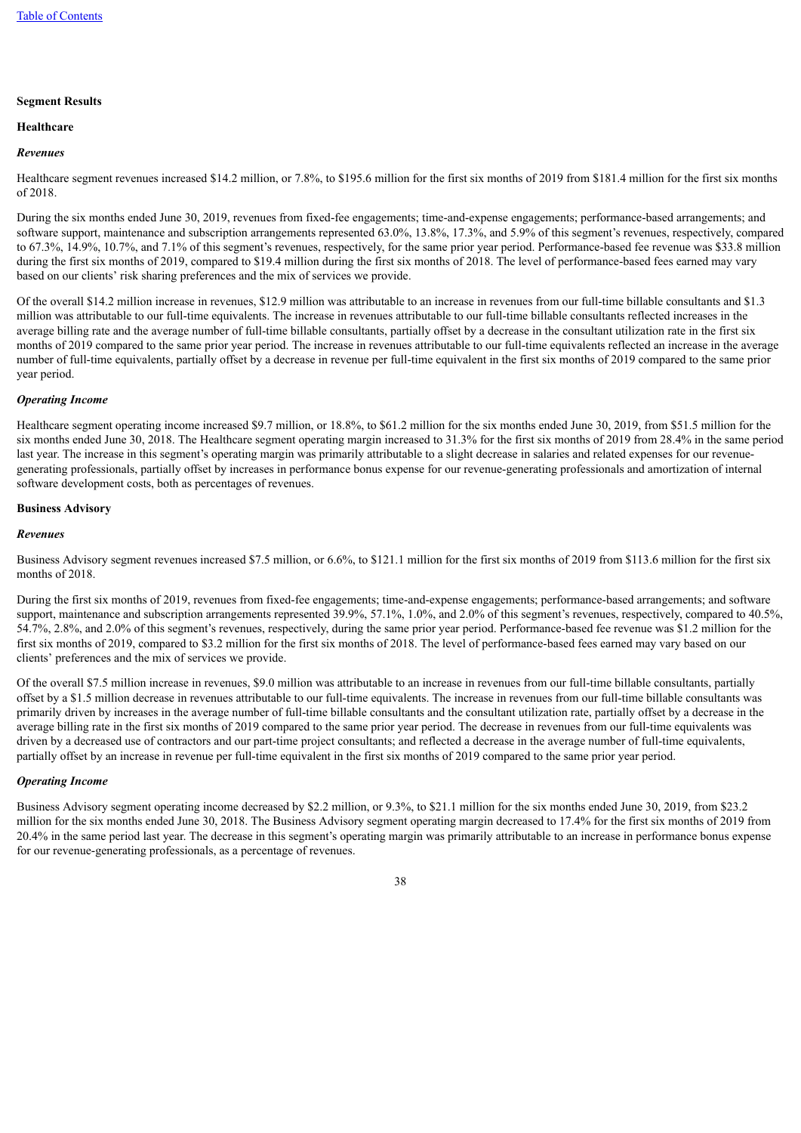# **Segment Results**

#### **Healthcare**

### *Revenues*

Healthcare segment revenues increased \$14.2 million, or 7.8%, to \$195.6 million for the first six months of 2019 from \$181.4 million for the first six months of 2018.

During the six months ended June 30, 2019, revenues from fixed-fee engagements; time-and-expense engagements; performance-based arrangements; and software support, maintenance and subscription arrangements represented 63.0%, 13.8%, 17.3%, and 5.9% of this segment's revenues, respectively, compared to 67.3%, 14.9%, 10.7%, and 7.1% of this segment's revenues, respectively, for the same prior year period. Performance-based fee revenue was \$33.8 million during the first six months of 2019, compared to \$19.4 million during the first six months of 2018. The level of performance-based fees earned may vary based on our clients' risk sharing preferences and the mix of services we provide.

Of the overall \$14.2 million increase in revenues, \$12.9 million was attributable to an increase in revenues from our full-time billable consultants and \$1.3 million was attributable to our full-time equivalents. The increase in revenues attributable to our full-time billable consultants reflected increases in the average billing rate and the average number of full-time billable consultants, partially offset by a decrease in the consultant utilization rate in the first six months of 2019 compared to the same prior year period. The increase in revenues attributable to our full-time equivalents reflected an increase in the average number of full-time equivalents, partially offset by a decrease in revenue per full-time equivalent in the first six months of 2019 compared to the same prior year period.

### *Operating Income*

Healthcare segment operating income increased \$9.7 million, or 18.8%, to \$61.2 million for the six months ended June 30, 2019, from \$51.5 million for the six months ended June 30, 2018. The Healthcare segment operating margin increased to 31.3% for the first six months of 2019 from 28.4% in the same period last year. The increase in this segment's operating margin was primarily attributable to a slight decrease in salaries and related expenses for our revenuegenerating professionals, partially offset by increases in performance bonus expense for our revenue-generating professionals and amortization of internal software development costs, both as percentages of revenues.

### **Business Advisory**

### *Revenues*

Business Advisory segment revenues increased \$7.5 million, or 6.6%, to \$121.1 million for the first six months of 2019 from \$113.6 million for the first six months of 2018.

During the first six months of 2019, revenues from fixed-fee engagements; time-and-expense engagements; performance-based arrangements; and software support, maintenance and subscription arrangements represented 39.9%, 57.1%, 1.0%, and 2.0% of this segment's revenues, respectively, compared to 40.5%, 54.7%, 2.8%, and 2.0% of this segment's revenues, respectively, during the same prior year period. Performance-based fee revenue was \$1.2 million for the first six months of 2019, compared to \$3.2 million for the first six months of 2018. The level of performance-based fees earned may vary based on our clients' preferences and the mix of services we provide.

Of the overall \$7.5 million increase in revenues, \$9.0 million was attributable to an increase in revenues from our full-time billable consultants, partially offset by a \$1.5 million decrease in revenues attributable to our full-time equivalents. The increase in revenues from our full-time billable consultants was primarily driven by increases in the average number of full-time billable consultants and the consultant utilization rate, partially offset by a decrease in the average billing rate in the first six months of 2019 compared to the same prior year period. The decrease in revenues from our full-time equivalents was driven by a decreased use of contractors and our part-time project consultants; and reflected a decrease in the average number of full-time equivalents, partially offset by an increase in revenue per full-time equivalent in the first six months of 2019 compared to the same prior year period.

### *Operating Income*

Business Advisory segment operating income decreased by \$2.2 million, or 9.3%, to \$21.1 million for the six months ended June 30, 2019, from \$23.2 million for the six months ended June 30, 2018. The Business Advisory segment operating margin decreased to 17.4% for the first six months of 2019 from 20.4% in the same period last year. The decrease in this segment's operating margin was primarily attributable to an increase in performance bonus expense for our revenue-generating professionals, as a percentage of revenues.

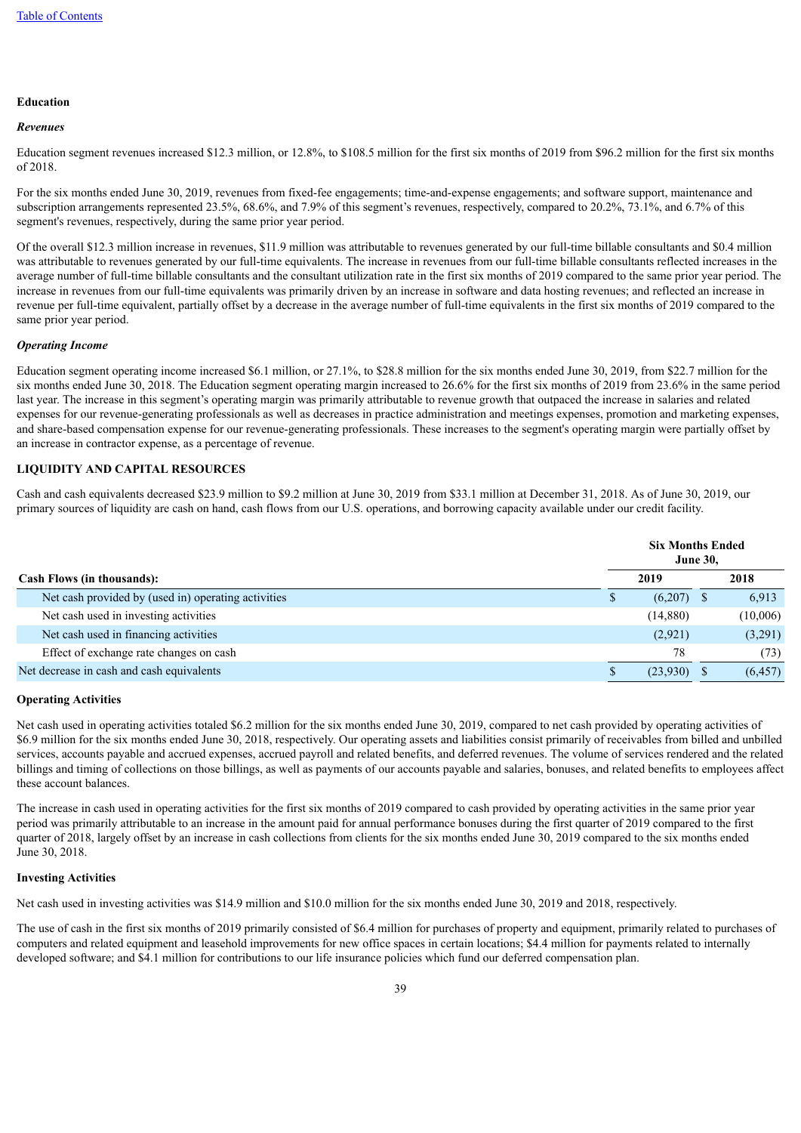# **Education**

### *Revenues*

Education segment revenues increased \$12.3 million, or 12.8%, to \$108.5 million for the first six months of 2019 from \$96.2 million for the first six months of 2018.

For the six months ended June 30, 2019, revenues from fixed-fee engagements; time-and-expense engagements; and software support, maintenance and subscription arrangements represented 23.5%, 68.6%, and 7.9% of this segment's revenues, respectively, compared to 20.2%, 73.1%, and 6.7% of this segment's revenues, respectively, during the same prior year period.

Of the overall \$12.3 million increase in revenues, \$11.9 million was attributable to revenues generated by our full-time billable consultants and \$0.4 million was attributable to revenues generated by our full-time equivalents. The increase in revenues from our full-time billable consultants reflected increases in the average number of full-time billable consultants and the consultant utilization rate in the first six months of 2019 compared to the same prior year period. The increase in revenues from our full-time equivalents was primarily driven by an increase in software and data hosting revenues; and reflected an increase in revenue per full-time equivalent, partially offset by a decrease in the average number of full-time equivalents in the first six months of 2019 compared to the same prior year period.

### *Operating Income*

Education segment operating income increased \$6.1 million, or 27.1%, to \$28.8 million for the six months ended June 30, 2019, from \$22.7 million for the six months ended June 30, 2018. The Education segment operating margin increased to 26.6% for the first six months of 2019 from 23.6% in the same period last year. The increase in this segment's operating margin was primarily attributable to revenue growth that outpaced the increase in salaries and related expenses for our revenue-generating professionals as well as decreases in practice administration and meetings expenses, promotion and marketing expenses, and share-based compensation expense for our revenue-generating professionals. These increases to the segment's operating margin were partially offset by an increase in contractor expense, as a percentage of revenue.

### **LIQUIDITY AND CAPITAL RESOURCES**

Cash and cash equivalents decreased \$23.9 million to \$9.2 million at June 30, 2019 from \$33.1 million at December 31, 2018. As of June 30, 2019, our primary sources of liquidity are cash on hand, cash flows from our U.S. operations, and borrowing capacity available under our credit facility.

|                                                     | <b>Six Months Ended</b><br><b>June 30,</b> |  |          |  |  |  |  |
|-----------------------------------------------------|--------------------------------------------|--|----------|--|--|--|--|
| Cash Flows (in thousands):                          | 2019                                       |  | 2018     |  |  |  |  |
| Net cash provided by (used in) operating activities | (6,207)                                    |  | 6.913    |  |  |  |  |
| Net cash used in investing activities               | (14,880)                                   |  | (10,006) |  |  |  |  |
| Net cash used in financing activities               | (2,921)                                    |  | (3,291)  |  |  |  |  |
| Effect of exchange rate changes on cash             | 78                                         |  | (73)     |  |  |  |  |
| Net decrease in cash and cash equivalents           | (23,930)                                   |  | (6, 457) |  |  |  |  |

### **Operating Activities**

Net cash used in operating activities totaled \$6.2 million for the six months ended June 30, 2019, compared to net cash provided by operating activities of \$6.9 million for the six months ended June 30, 2018, respectively. Our operating assets and liabilities consist primarily of receivables from billed and unbilled services, accounts payable and accrued expenses, accrued payroll and related benefits, and deferred revenues. The volume of services rendered and the related billings and timing of collections on those billings, as well as payments of our accounts payable and salaries, bonuses, and related benefits to employees affect these account balances.

The increase in cash used in operating activities for the first six months of 2019 compared to cash provided by operating activities in the same prior year period was primarily attributable to an increase in the amount paid for annual performance bonuses during the first quarter of 2019 compared to the first quarter of 2018, largely offset by an increase in cash collections from clients for the six months ended June 30, 2019 compared to the six months ended June 30, 2018.

#### **Investing Activities**

Net cash used in investing activities was \$14.9 million and \$10.0 million for the six months ended June 30, 2019 and 2018, respectively.

The use of cash in the first six months of 2019 primarily consisted of \$6.4 million for purchases of property and equipment, primarily related to purchases of computers and related equipment and leasehold improvements for new office spaces in certain locations; \$4.4 million for payments related to internally developed software; and \$4.1 million for contributions to our life insurance policies which fund our deferred compensation plan.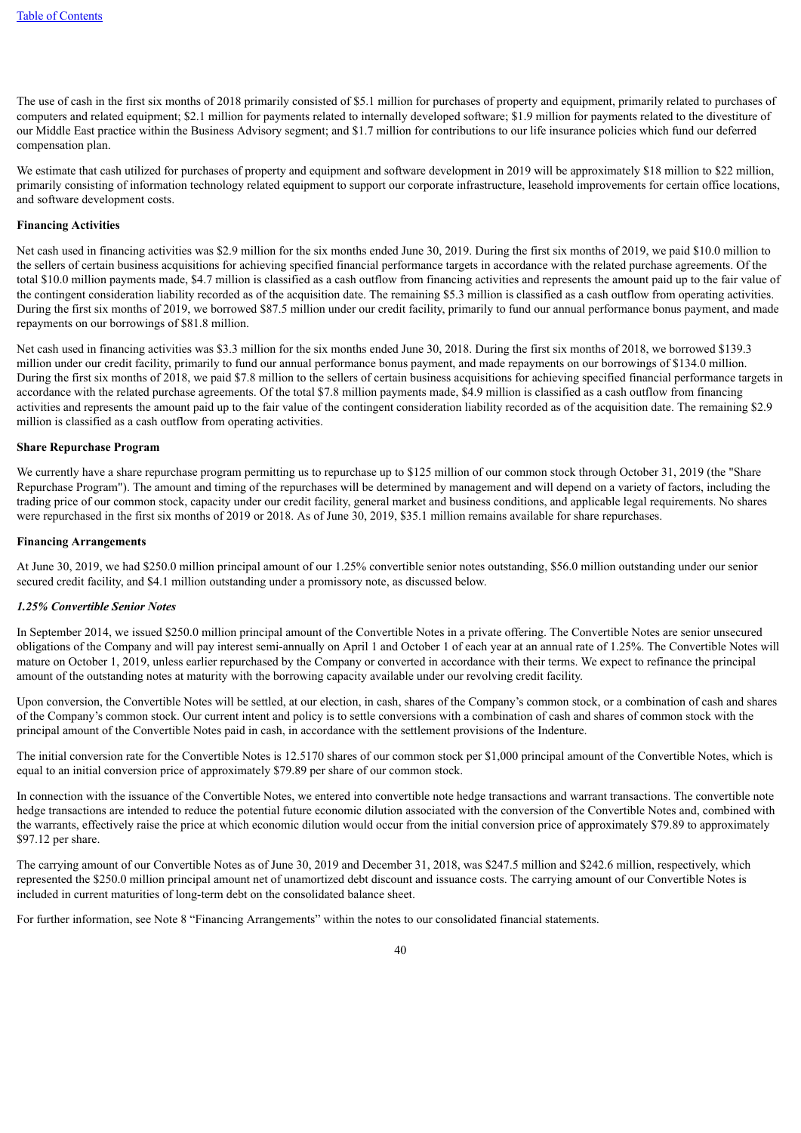The use of cash in the first six months of 2018 primarily consisted of \$5.1 million for purchases of property and equipment, primarily related to purchases of computers and related equipment; \$2.1 million for payments related to internally developed software; \$1.9 million for payments related to the divestiture of our Middle East practice within the Business Advisory segment; and \$1.7 million for contributions to our life insurance policies which fund our deferred compensation plan.

We estimate that cash utilized for purchases of property and equipment and software development in 2019 will be approximately \$18 million to \$22 million, primarily consisting of information technology related equipment to support our corporate infrastructure, leasehold improvements for certain office locations, and software development costs.

#### **Financing Activities**

Net cash used in financing activities was \$2.9 million for the six months ended June 30, 2019. During the first six months of 2019, we paid \$10.0 million to the sellers of certain business acquisitions for achieving specified financial performance targets in accordance with the related purchase agreements. Of the total \$10.0 million payments made, \$4.7 million is classified as a cash outflow from financing activities and represents the amount paid up to the fair value of the contingent consideration liability recorded as of the acquisition date. The remaining \$5.3 million is classified as a cash outflow from operating activities. During the first six months of 2019, we borrowed \$87.5 million under our credit facility, primarily to fund our annual performance bonus payment, and made repayments on our borrowings of \$81.8 million.

Net cash used in financing activities was \$3.3 million for the six months ended June 30, 2018. During the first six months of 2018, we borrowed \$139.3 million under our credit facility, primarily to fund our annual performance bonus payment, and made repayments on our borrowings of \$134.0 million. During the first six months of 2018, we paid \$7.8 million to the sellers of certain business acquisitions for achieving specified financial performance targets in accordance with the related purchase agreements. Of the total \$7.8 million payments made, \$4.9 million is classified as a cash outflow from financing activities and represents the amount paid up to the fair value of the contingent consideration liability recorded as of the acquisition date. The remaining \$2.9 million is classified as a cash outflow from operating activities.

### **Share Repurchase Program**

We currently have a share repurchase program permitting us to repurchase up to \$125 million of our common stock through October 31, 2019 (the "Share") Repurchase Program"). The amount and timing of the repurchases will be determined by management and will depend on a variety of factors, including the trading price of our common stock, capacity under our credit facility, general market and business conditions, and applicable legal requirements. No shares were repurchased in the first six months of 2019 or 2018. As of June 30, 2019, \$35.1 million remains available for share repurchases.

#### **Financing Arrangements**

At June 30, 2019, we had \$250.0 million principal amount of our 1.25% convertible senior notes outstanding, \$56.0 million outstanding under our senior secured credit facility, and \$4.1 million outstanding under a promissory note, as discussed below.

#### *1.25% Convertible Senior Notes*

In September 2014, we issued \$250.0 million principal amount of the Convertible Notes in a private offering. The Convertible Notes are senior unsecured obligations of the Company and will pay interest semi-annually on April 1 and October 1 of each year at an annual rate of 1.25%. The Convertible Notes will mature on October 1, 2019, unless earlier repurchased by the Company or converted in accordance with their terms. We expect to refinance the principal amount of the outstanding notes at maturity with the borrowing capacity available under our revolving credit facility.

Upon conversion, the Convertible Notes will be settled, at our election, in cash, shares of the Company's common stock, or a combination of cash and shares of the Company's common stock. Our current intent and policy is to settle conversions with a combination of cash and shares of common stock with the principal amount of the Convertible Notes paid in cash, in accordance with the settlement provisions of the Indenture.

The initial conversion rate for the Convertible Notes is 12.5170 shares of our common stock per \$1,000 principal amount of the Convertible Notes, which is equal to an initial conversion price of approximately \$79.89 per share of our common stock.

In connection with the issuance of the Convertible Notes, we entered into convertible note hedge transactions and warrant transactions. The convertible note hedge transactions are intended to reduce the potential future economic dilution associated with the conversion of the Convertible Notes and, combined with the warrants, effectively raise the price at which economic dilution would occur from the initial conversion price of approximately \$79.89 to approximately \$97.12 per share.

The carrying amount of our Convertible Notes as of June 30, 2019 and December 31, 2018, was \$247.5 million and \$242.6 million, respectively, which represented the \$250.0 million principal amount net of unamortized debt discount and issuance costs. The carrying amount of our Convertible Notes is included in current maturities of long-term debt on the consolidated balance sheet.

For further information, see Note 8 "Financing Arrangements" within the notes to our consolidated financial statements.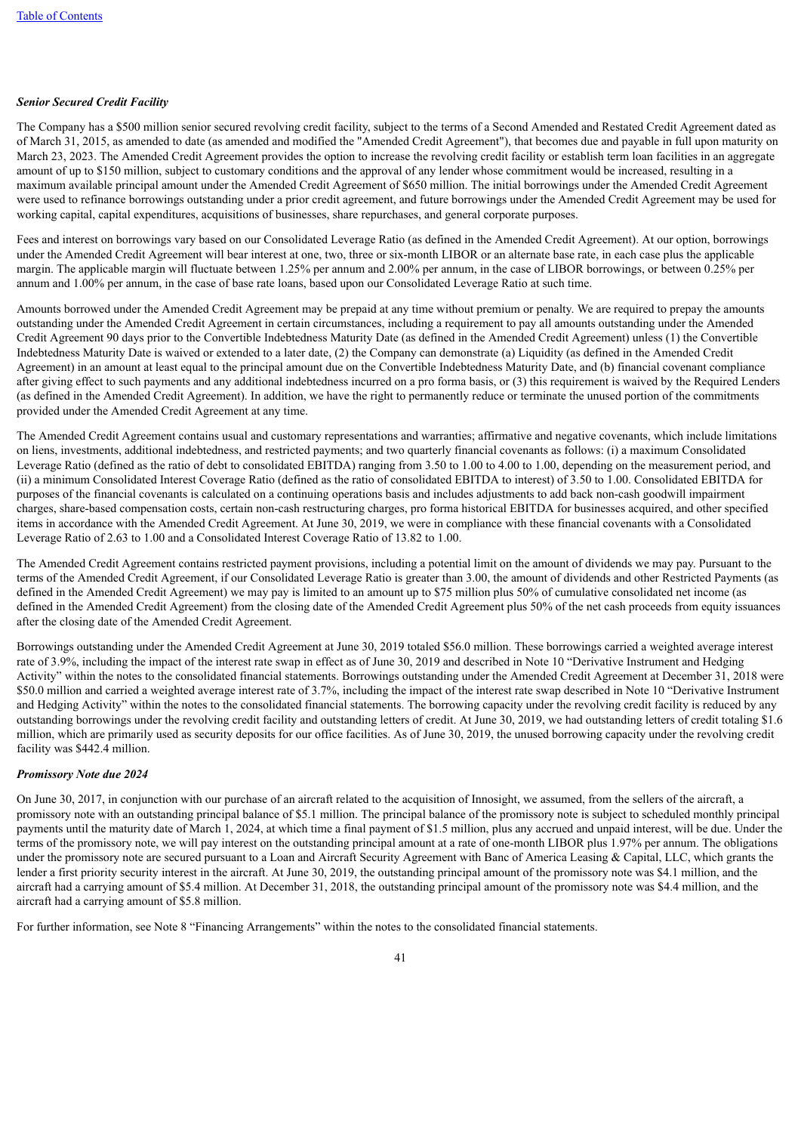# *Senior Secured Credit Facility*

The Company has a \$500 million senior secured revolving credit facility, subject to the terms of a Second Amended and Restated Credit Agreement dated as of March 31, 2015, as amended to date (as amended and modified the "Amended Credit Agreement"), that becomes due and payable in full upon maturity on March 23, 2023. The Amended Credit Agreement provides the option to increase the revolving credit facility or establish term loan facilities in an aggregate amount of up to \$150 million, subject to customary conditions and the approval of any lender whose commitment would be increased, resulting in a maximum available principal amount under the Amended Credit Agreement of \$650 million. The initial borrowings under the Amended Credit Agreement were used to refinance borrowings outstanding under a prior credit agreement, and future borrowings under the Amended Credit Agreement may be used for working capital, capital expenditures, acquisitions of businesses, share repurchases, and general corporate purposes.

Fees and interest on borrowings vary based on our Consolidated Leverage Ratio (as defined in the Amended Credit Agreement). At our option, borrowings under the Amended Credit Agreement will bear interest at one, two, three or six-month LIBOR or an alternate base rate, in each case plus the applicable margin. The applicable margin will fluctuate between 1.25% per annum and 2.00% per annum, in the case of LIBOR borrowings, or between 0.25% per annum and 1.00% per annum, in the case of base rate loans, based upon our Consolidated Leverage Ratio at such time.

Amounts borrowed under the Amended Credit Agreement may be prepaid at any time without premium or penalty. We are required to prepay the amounts outstanding under the Amended Credit Agreement in certain circumstances, including a requirement to pay all amounts outstanding under the Amended Credit Agreement 90 days prior to the Convertible Indebtedness Maturity Date (as defined in the Amended Credit Agreement) unless (1) the Convertible Indebtedness Maturity Date is waived or extended to a later date, (2) the Company can demonstrate (a) Liquidity (as defined in the Amended Credit Agreement) in an amount at least equal to the principal amount due on the Convertible Indebtedness Maturity Date, and (b) financial covenant compliance after giving effect to such payments and any additional indebtedness incurred on a pro forma basis, or (3) this requirement is waived by the Required Lenders (as defined in the Amended Credit Agreement). In addition, we have the right to permanently reduce or terminate the unused portion of the commitments provided under the Amended Credit Agreement at any time.

The Amended Credit Agreement contains usual and customary representations and warranties; affirmative and negative covenants, which include limitations on liens, investments, additional indebtedness, and restricted payments; and two quarterly financial covenants as follows: (i) a maximum Consolidated Leverage Ratio (defined as the ratio of debt to consolidated EBITDA) ranging from 3.50 to 1.00 to 4.00 to 1.00, depending on the measurement period, and (ii) a minimum Consolidated Interest Coverage Ratio (defined as the ratio of consolidated EBITDA to interest) of 3.50 to 1.00. Consolidated EBITDA for purposes of the financial covenants is calculated on a continuing operations basis and includes adjustments to add back non-cash goodwill impairment charges, share-based compensation costs, certain non-cash restructuring charges, pro forma historical EBITDA for businesses acquired, and other specified items in accordance with the Amended Credit Agreement. At June 30, 2019, we were in compliance with these financial covenants with a Consolidated Leverage Ratio of 2.63 to 1.00 and a Consolidated Interest Coverage Ratio of 13.82 to 1.00.

The Amended Credit Agreement contains restricted payment provisions, including a potential limit on the amount of dividends we may pay. Pursuant to the terms of the Amended Credit Agreement, if our Consolidated Leverage Ratio is greater than 3.00, the amount of dividends and other Restricted Payments (as defined in the Amended Credit Agreement) we may pay is limited to an amount up to \$75 million plus 50% of cumulative consolidated net income (as defined in the Amended Credit Agreement) from the closing date of the Amended Credit Agreement plus 50% of the net cash proceeds from equity issuances after the closing date of the Amended Credit Agreement.

Borrowings outstanding under the Amended Credit Agreement at June 30, 2019 totaled \$56.0 million. These borrowings carried a weighted average interest rate of 3.9%, including the impact of the interest rate swap in effect as of June 30, 2019 and described in Note 10 "Derivative Instrument and Hedging Activity" within the notes to the consolidated financial statements. Borrowings outstanding under the Amended Credit Agreement at December 31, 2018 were \$50.0 million and carried a weighted average interest rate of 3.7%, including the impact of the interest rate swap described in Note 10 "Derivative Instrument" and Hedging Activity" within the notes to the consolidated financial statements. The borrowing capacity under the revolving credit facility is reduced by any outstanding borrowings under the revolving credit facility and outstanding letters of credit. At June 30, 2019, we had outstanding letters of credit totaling \$1.6 million, which are primarily used as security deposits for our office facilities. As of June 30, 2019, the unused borrowing capacity under the revolving credit facility was \$442.4 million.

### *Promissory Note due 2024*

On June 30, 2017, in conjunction with our purchase of an aircraft related to the acquisition of Innosight, we assumed, from the sellers of the aircraft, a promissory note with an outstanding principal balance of \$5.1 million. The principal balance of the promissory note is subject to scheduled monthly principal payments until the maturity date of March 1, 2024, at which time a final payment of \$1.5 million, plus any accrued and unpaid interest, will be due. Under the terms of the promissory note, we will pay interest on the outstanding principal amount at a rate of one-month LIBOR plus 1.97% per annum. The obligations under the promissory note are secured pursuant to a Loan and Aircraft Security Agreement with Banc of America Leasing  $\&$  Capital, LLC, which grants the lender a first priority security interest in the aircraft. At June 30, 2019, the outstanding principal amount of the promissory note was \$4.1 million, and the aircraft had a carrying amount of \$5.4 million. At December 31, 2018, the outstanding principal amount of the promissory note was \$4.4 million, and the aircraft had a carrying amount of \$5.8 million.

For further information, see Note 8 "Financing Arrangements" within the notes to the consolidated financial statements.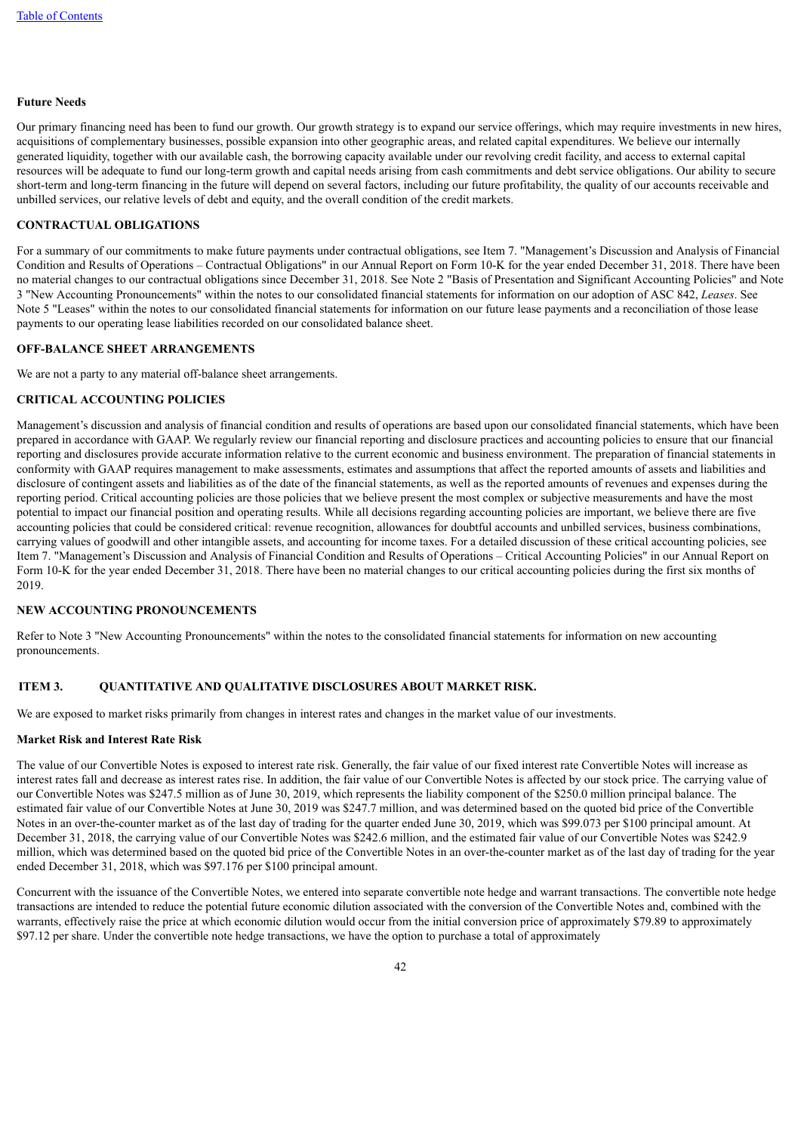## **Future Needs**

Our primary financing need has been to fund our growth. Our growth strategy is to expand our service offerings, which may require investments in new hires, acquisitions of complementary businesses, possible expansion into other geographic areas, and related capital expenditures. We believe our internally generated liquidity, together with our available cash, the borrowing capacity available under our revolving credit facility, and access to external capital resources will be adequate to fund our long-term growth and capital needs arising from cash commitments and debt service obligations. Our ability to secure short-term and long-term financing in the future will depend on several factors, including our future profitability, the quality of our accounts receivable and unbilled services, our relative levels of debt and equity, and the overall condition of the credit markets.

# **CONTRACTUAL OBLIGATIONS**

For a summary of our commitments to make future payments under contractual obligations, see Item 7. "Management's Discussion and Analysis of Financial Condition and Results of Operations – Contractual Obligations" in our Annual Report on Form 10-K for the year ended December 31, 2018. There have been no material changes to our contractual obligations since December 31, 2018. See Note 2 "Basis of Presentation and Significant Accounting Policies" and Note 3 "New Accounting Pronouncements" within the notes to our consolidated financial statements for information on our adoption of ASC 842, *Leases*. See Note 5 "Leases" within the notes to our consolidated financial statements for information on our future lease payments and a reconciliation of those lease payments to our operating lease liabilities recorded on our consolidated balance sheet.

# **OFF-BALANCE SHEET ARRANGEMENTS**

We are not a party to any material off-balance sheet arrangements.

# **CRITICAL ACCOUNTING POLICIES**

Management's discussion and analysis of financial condition and results of operations are based upon our consolidated financial statements, which have been prepared in accordance with GAAP. We regularly review our financial reporting and disclosure practices and accounting policies to ensure that our financial reporting and disclosures provide accurate information relative to the current economic and business environment. The preparation of financial statements in conformity with GAAP requires management to make assessments, estimates and assumptions that affect the reported amounts of assets and liabilities and disclosure of contingent assets and liabilities as of the date of the financial statements, as well as the reported amounts of revenues and expenses during the reporting period. Critical accounting policies are those policies that we believe present the most complex or subjective measurements and have the most potential to impact our financial position and operating results. While all decisions regarding accounting policies are important, we believe there are five accounting policies that could be considered critical: revenue recognition, allowances for doubtful accounts and unbilled services, business combinations, carrying values of goodwill and other intangible assets, and accounting for income taxes. For a detailed discussion of these critical accounting policies, see Item 7. "Management's Discussion and Analysis of Financial Condition and Results of Operations – Critical Accounting Policies" in our Annual Report on Form 10-K for the year ended December 31, 2018. There have been no material changes to our critical accounting policies during the first six months of 2019.

### **NEW ACCOUNTING PRONOUNCEMENTS**

Refer to Note 3 "New Accounting Pronouncements" within the notes to the consolidated financial statements for information on new accounting pronouncements.

# <span id="page-43-0"></span>**ITEM 3. QUANTITATIVE AND QUALITATIVE DISCLOSURES ABOUT MARKET RISK.**

We are exposed to market risks primarily from changes in interest rates and changes in the market value of our investments.

### **Market Risk and Interest Rate Risk**

The value of our Convertible Notes is exposed to interest rate risk. Generally, the fair value of our fixed interest rate Convertible Notes will increase as interest rates fall and decrease as interest rates rise. In addition, the fair value of our Convertible Notes is affected by our stock price. The carrying value of our Convertible Notes was \$247.5 million as of June 30, 2019, which represents the liability component of the \$250.0 million principal balance. The estimated fair value of our Convertible Notes at June 30, 2019 was \$247.7 million, and was determined based on the quoted bid price of the Convertible Notes in an over-the-counter market as of the last day of trading for the quarter ended June 30, 2019, which was \$99.073 per \$100 principal amount. At December 31, 2018, the carrying value of our Convertible Notes was \$242.6 million, and the estimated fair value of our Convertible Notes was \$242.9 million, which was determined based on the quoted bid price of the Convertible Notes in an over-the-counter market as of the last day of trading for the year ended December 31, 2018, which was \$97.176 per \$100 principal amount.

Concurrent with the issuance of the Convertible Notes, we entered into separate convertible note hedge and warrant transactions. The convertible note hedge transactions are intended to reduce the potential future economic dilution associated with the conversion of the Convertible Notes and, combined with the warrants, effectively raise the price at which economic dilution would occur from the initial conversion price of approximately \$79.89 to approximately \$97.12 per share. Under the convertible note hedge transactions, we have the option to purchase a total of approximately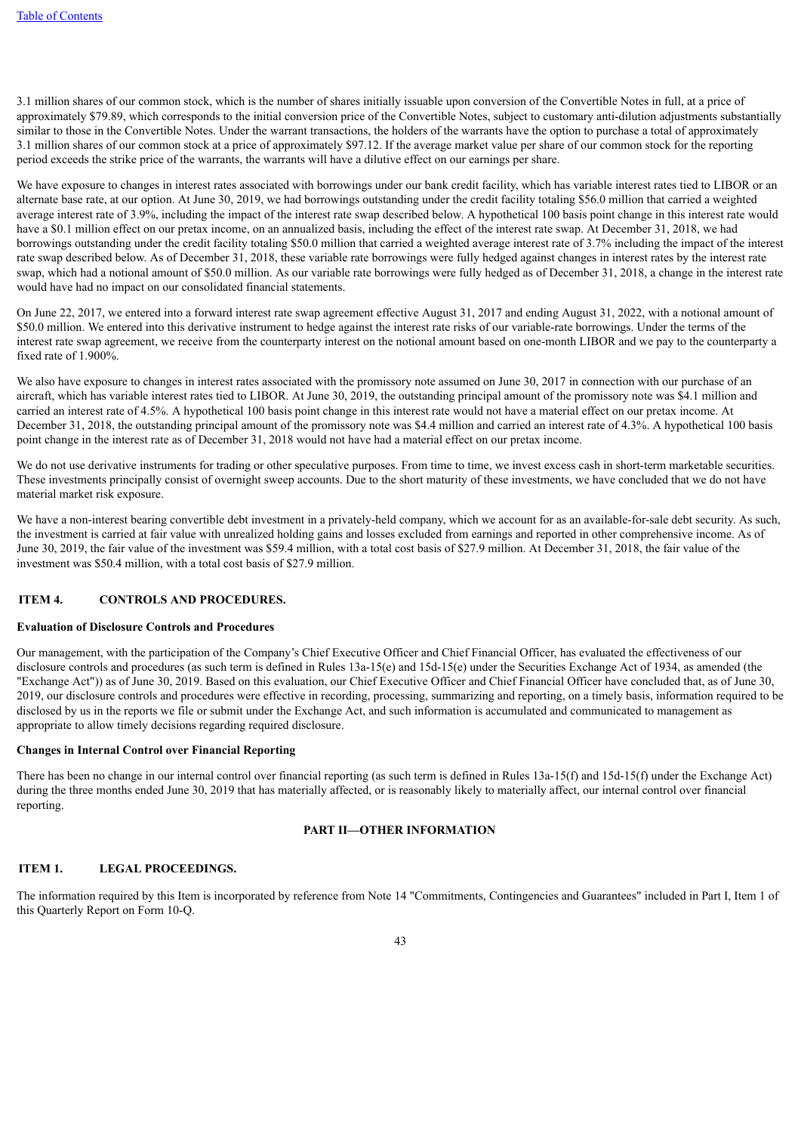3.1 million shares of our common stock, which is the number of shares initially issuable upon conversion of the Convertible Notes in full, at a price of approximately \$79.89, which corresponds to the initial conversion price of the Convertible Notes, subject to customary anti-dilution adjustments substantially similar to those in the Convertible Notes. Under the warrant transactions, the holders of the warrants have the option to purchase a total of approximately 3.1 million shares of our common stock at a price of approximately \$97.12. If the average market value per share of our common stock for the reporting period exceeds the strike price of the warrants, the warrants will have a dilutive effect on our earnings per share.

We have exposure to changes in interest rates associated with borrowings under our bank credit facility, which has variable interest rates tied to LIBOR or an alternate base rate, at our option. At June 30, 2019, we had borrowings outstanding under the credit facility totaling \$56.0 million that carried a weighted average interest rate of 3.9%, including the impact of the interest rate swap described below. A hypothetical 100 basis point change in this interest rate would have a \$0.1 million effect on our pretax income, on an annualized basis, including the effect of the interest rate swap. At December 31, 2018, we had borrowings outstanding under the credit facility totaling \$50.0 million that carried a weighted average interest rate of 3.7% including the impact of the interest rate swap described below. As of December 31, 2018, these variable rate borrowings were fully hedged against changes in interest rates by the interest rate swap, which had a notional amount of \$50.0 million. As our variable rate borrowings were fully hedged as of December 31, 2018, a change in the interest rate would have had no impact on our consolidated financial statements.

On June 22, 2017, we entered into a forward interest rate swap agreement effective August 31, 2017 and ending August 31, 2022, with a notional amount of \$50.0 million. We entered into this derivative instrument to hedge against the interest rate risks of our variable-rate borrowings. Under the terms of the interest rate swap agreement, we receive from the counterparty interest on the notional amount based on one-month LIBOR and we pay to the counterparty a fixed rate of 1.900%.

We also have exposure to changes in interest rates associated with the promissory note assumed on June 30, 2017 in connection with our purchase of an aircraft, which has variable interest rates tied to LIBOR. At June 30, 2019, the outstanding principal amount of the promissory note was \$4.1 million and carried an interest rate of 4.5%. A hypothetical 100 basis point change in this interest rate would not have a material effect on our pretax income. At December 31, 2018, the outstanding principal amount of the promissory note was \$4.4 million and carried an interest rate of 4.3%. A hypothetical 100 basis point change in the interest rate as of December 31, 2018 would not have had a material effect on our pretax income.

We do not use derivative instruments for trading or other speculative purposes. From time to time, we invest excess cash in short-term marketable securities. These investments principally consist of overnight sweep accounts. Due to the short maturity of these investments, we have concluded that we do not have material market risk exposure.

We have a non-interest bearing convertible debt investment in a privately-held company, which we account for as an available-for-sale debt security. As such, the investment is carried at fair value with unrealized holding gains and losses excluded from earnings and reported in other comprehensive income. As of June 30, 2019, the fair value of the investment was \$59.4 million, with a total cost basis of \$27.9 million. At December 31, 2018, the fair value of the investment was \$50.4 million, with a total cost basis of \$27.9 million.

# <span id="page-44-0"></span>**ITEM 4. CONTROLS AND PROCEDURES.**

#### **Evaluation of Disclosure Controls and Procedures**

Our management, with the participation of the Company's Chief Executive Officer and Chief Financial Officer, has evaluated the effectiveness of our disclosure controls and procedures (as such term is defined in Rules 13a-15(e) and 15d-15(e) under the Securities Exchange Act of 1934, as amended (the "Exchange Act")) as of June 30, 2019. Based on this evaluation, our Chief Executive Officer and Chief Financial Officer have concluded that, as of June 30, 2019, our disclosure controls and procedures were effective in recording, processing, summarizing and reporting, on a timely basis, information required to be disclosed by us in the reports we file or submit under the Exchange Act, and such information is accumulated and communicated to management as appropriate to allow timely decisions regarding required disclosure.

### **Changes in Internal Control over Financial Reporting**

<span id="page-44-1"></span>There has been no change in our internal control over financial reporting (as such term is defined in Rules 13a-15(f) and 15d-15(f) under the Exchange Act) during the three months ended June 30, 2019 that has materially affected, or is reasonably likely to materially affect, our internal control over financial reporting.

# **PART II—OTHER INFORMATION**

### <span id="page-44-2"></span>**ITEM 1. LEGAL PROCEEDINGS.**

The information required by this Item is incorporated by reference from Note 14 "Commitments, Contingencies and Guarantees" included in Part I, Item 1 of this Quarterly Report on Form 10-Q.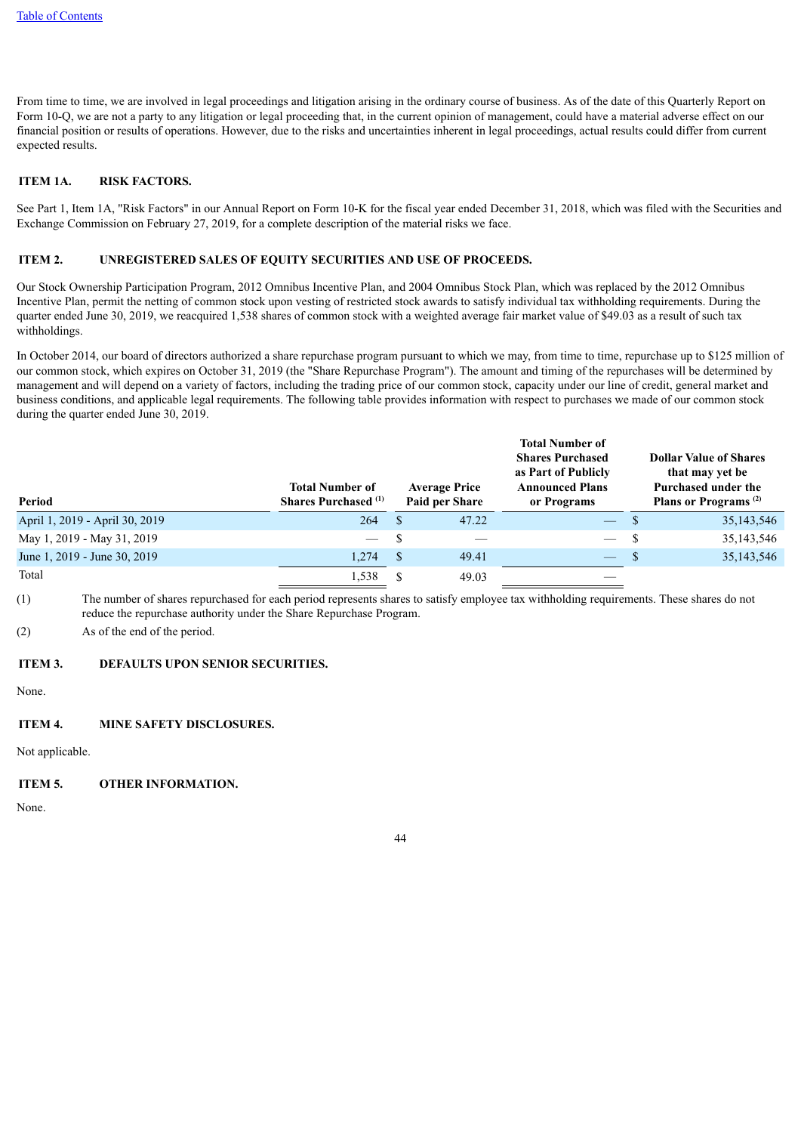From time to time, we are involved in legal proceedings and litigation arising in the ordinary course of business. As of the date of this Quarterly Report on Form 10-Q, we are not a party to any litigation or legal proceeding that, in the current opinion of management, could have a material adverse effect on our financial position or results of operations. However, due to the risks and uncertainties inherent in legal proceedings, actual results could differ from current expected results.

# <span id="page-45-0"></span>**ITEM 1A. RISK FACTORS.**

See Part 1, Item 1A, "Risk Factors" in our Annual Report on Form 10-K for the fiscal year ended December 31, 2018, which was filed with the Securities and Exchange Commission on February 27, 2019, for a complete description of the material risks we face.

## <span id="page-45-1"></span>**ITEM 2. UNREGISTERED SALES OF EQUITY SECURITIES AND USE OF PROCEEDS.**

Our Stock Ownership Participation Program, 2012 Omnibus Incentive Plan, and 2004 Omnibus Stock Plan, which was replaced by the 2012 Omnibus Incentive Plan, permit the netting of common stock upon vesting of restricted stock awards to satisfy individual tax withholding requirements. During the quarter ended June 30, 2019, we reacquired 1,538 shares of common stock with a weighted average fair market value of \$49.03 as a result of such tax withholdings.

In October 2014, our board of directors authorized a share repurchase program pursuant to which we may, from time to time, repurchase up to \$125 million of our common stock, which expires on October 31, 2019 (the "Share Repurchase Program"). The amount and timing of the repurchases will be determined by management and will depend on a variety of factors, including the trading price of our common stock, capacity under our line of credit, general market and business conditions, and applicable legal requirements. The following table provides information with respect to purchases we made of our common stock during the quarter ended June 30, 2019.

| Period                         | <b>Total Number of</b><br><b>Shares Purchased</b> <sup>(1)</sup> |               | <b>Average Price</b><br>Paid per Share | <b>Total Number of</b><br><b>Shares Purchased</b><br>as Part of Publicly<br><b>Announced Plans</b><br>or Programs |    | <b>Dollar Value of Shares</b><br>that may yet be<br>Purchased under the<br>Plans or Programs <sup>(2)</sup> |
|--------------------------------|------------------------------------------------------------------|---------------|----------------------------------------|-------------------------------------------------------------------------------------------------------------------|----|-------------------------------------------------------------------------------------------------------------|
| April 1, 2019 - April 30, 2019 | 264                                                              | <sup>\$</sup> | 47.22                                  | $\overline{\phantom{0}}$                                                                                          |    | 35, 143, 546                                                                                                |
| May 1, 2019 - May 31, 2019     | $-$ \$                                                           |               |                                        |                                                                                                                   | -S | 35, 143, 546                                                                                                |
| June 1, 2019 - June 30, 2019   | 1.274                                                            | <sup>S</sup>  | 49.41                                  | $\overline{\phantom{0}}$                                                                                          |    | 35,143,546                                                                                                  |
| Total                          | 1,538                                                            |               | 49.03                                  |                                                                                                                   |    |                                                                                                             |

(1) The number of shares repurchased for each period represents shares to satisfy employee tax withholding requirements. These shares do not reduce the repurchase authority under the Share Repurchase Program.

<span id="page-45-2"></span>(2) As of the end of the period.

#### **ITEM 3. DEFAULTS UPON SENIOR SECURITIES.**

<span id="page-45-3"></span>None.

#### **ITEM 4. MINE SAFETY DISCLOSURES.**

<span id="page-45-4"></span>Not applicable.

### **ITEM 5. OTHER INFORMATION.**

None.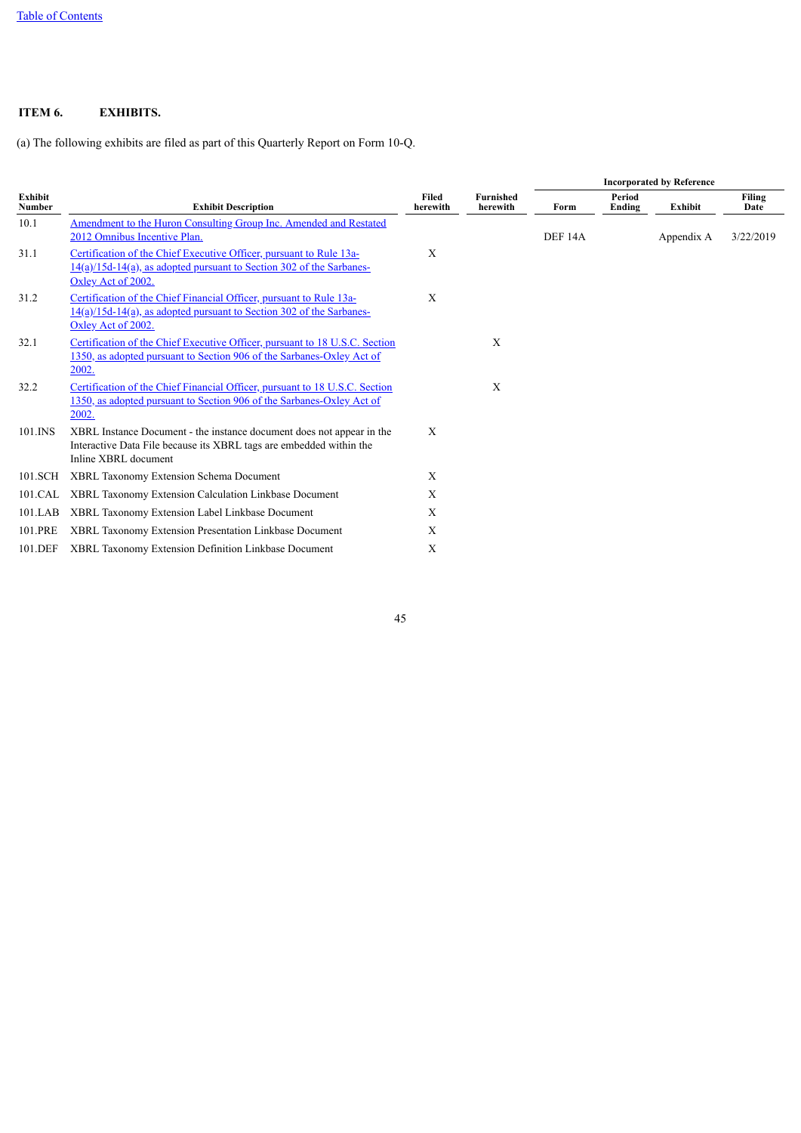# <span id="page-46-0"></span>**ITEM 6. EXHIBITS.**

(a) The following exhibits are filed as part of this Quarterly Report on Form 10-Q.

|                          |                                                                                                                                                                      |                   |                              |                     |                  | <b>Incorporated by Reference</b><br><b>Exhibit</b><br>Appendix A |                |  |  |  |  |
|--------------------------|----------------------------------------------------------------------------------------------------------------------------------------------------------------------|-------------------|------------------------------|---------------------|------------------|------------------------------------------------------------------|----------------|--|--|--|--|
| Exhibit<br><b>Number</b> | <b>Exhibit Description</b>                                                                                                                                           | Filed<br>herewith | <b>Furnished</b><br>herewith | Form                | Period<br>Ending |                                                                  | Filing<br>Date |  |  |  |  |
| 10.1                     | Amendment to the Huron Consulting Group Inc. Amended and Restated<br>2012 Omnibus Incentive Plan.                                                                    |                   |                              | DEF <sub>14</sub> A |                  |                                                                  | 3/22/2019      |  |  |  |  |
| 31.1                     | Certification of the Chief Executive Officer, pursuant to Rule 13a-<br>$14(a)/15d-14(a)$ , as adopted pursuant to Section 302 of the Sarbanes-<br>Oxley Act of 2002. | X                 |                              |                     |                  |                                                                  |                |  |  |  |  |
| 31.2                     | Certification of the Chief Financial Officer, pursuant to Rule 13a-<br>$14(a)/15d-14(a)$ , as adopted pursuant to Section 302 of the Sarbanes-<br>Oxley Act of 2002. | X                 |                              |                     |                  |                                                                  |                |  |  |  |  |
| 32.1                     | Certification of the Chief Executive Officer, pursuant to 18 U.S.C. Section<br>1350, as adopted pursuant to Section 906 of the Sarbanes-Oxley Act of<br>2002.        |                   | X                            |                     |                  |                                                                  |                |  |  |  |  |
| 32.2                     | Certification of the Chief Financial Officer, pursuant to 18 U.S.C. Section<br>1350, as adopted pursuant to Section 906 of the Sarbanes-Oxley Act of<br>2002.        |                   | X                            |                     |                  |                                                                  |                |  |  |  |  |
| 101.INS                  | XBRL Instance Document - the instance document does not appear in the<br>Interactive Data File because its XBRL tags are embedded within the<br>Inline XBRL document | X                 |                              |                     |                  |                                                                  |                |  |  |  |  |
| 101.SCH                  | XBRL Taxonomy Extension Schema Document                                                                                                                              | X                 |                              |                     |                  |                                                                  |                |  |  |  |  |
| 101.CAL                  | XBRL Taxonomy Extension Calculation Linkbase Document                                                                                                                | X                 |                              |                     |                  |                                                                  |                |  |  |  |  |
| 101.LAB                  | XBRL Taxonomy Extension Label Linkbase Document                                                                                                                      | X                 |                              |                     |                  |                                                                  |                |  |  |  |  |
| 101.PRE                  | XBRL Taxonomy Extension Presentation Linkbase Document                                                                                                               | X                 |                              |                     |                  |                                                                  |                |  |  |  |  |
| 101.DEF                  | XBRL Taxonomy Extension Definition Linkbase Document                                                                                                                 | X                 |                              |                     |                  |                                                                  |                |  |  |  |  |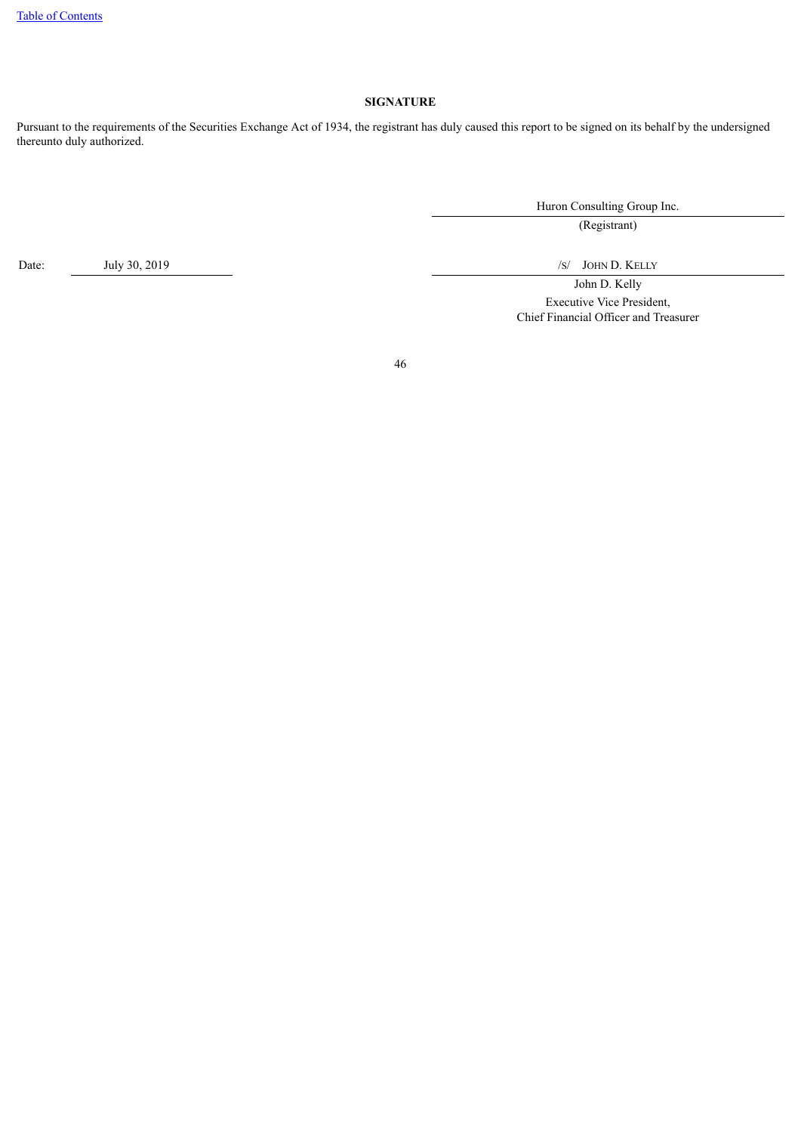# **SIGNATURE**

<span id="page-47-0"></span>Pursuant to the requirements of the Securities Exchange Act of 1934, the registrant has duly caused this report to be signed on its behalf by the undersigned thereunto duly authorized.

Huron Consulting Group Inc.

(Registrant)

Date: July 30, 2019 /S/ JOHN D. KELLY

John D. Kelly Executive Vice President, Chief Financial Officer and Treasurer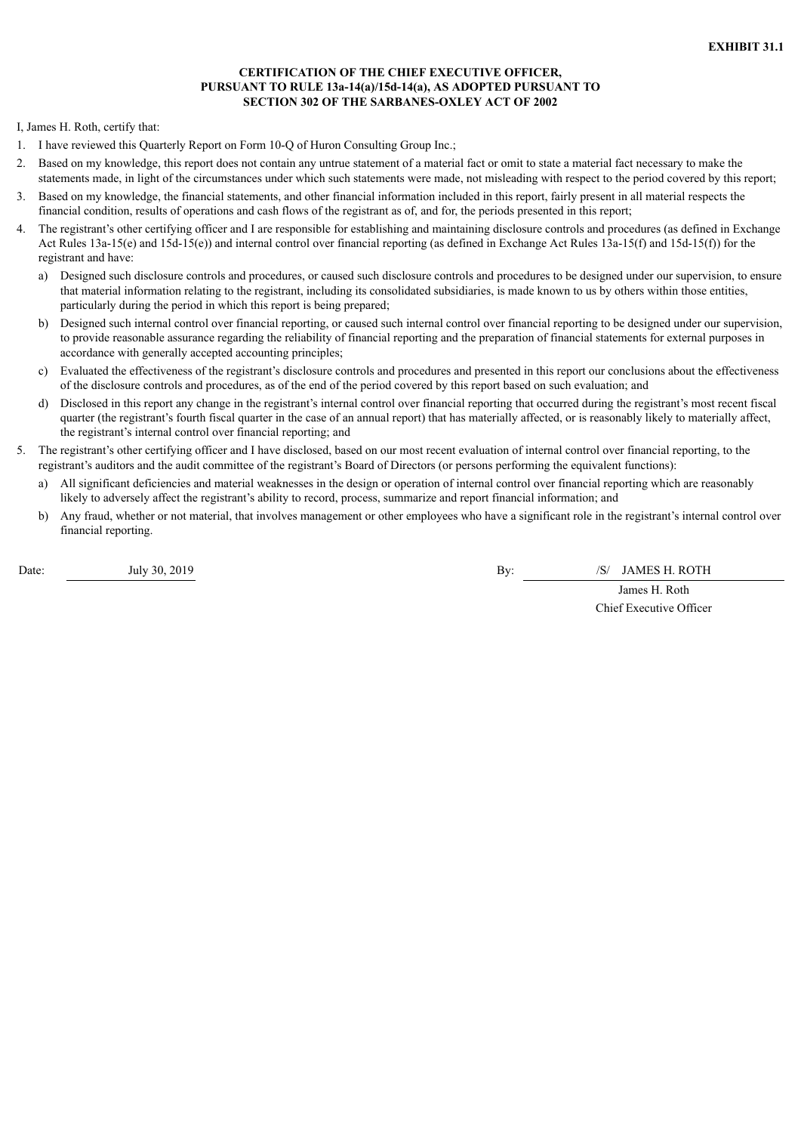# **CERTIFICATION OF THE CHIEF EXECUTIVE OFFICER, PURSUANT TO RULE 13a-14(a)/15d-14(a), AS ADOPTED PURSUANT TO SECTION 302 OF THE SARBANES-OXLEY ACT OF 2002**

<span id="page-48-0"></span>I, James H. Roth, certify that:

- 1. I have reviewed this Quarterly Report on Form 10-Q of Huron Consulting Group Inc.;
- 2. Based on my knowledge, this report does not contain any untrue statement of a material fact or omit to state a material fact necessary to make the statements made, in light of the circumstances under which such statements were made, not misleading with respect to the period covered by this report;
- 3. Based on my knowledge, the financial statements, and other financial information included in this report, fairly present in all material respects the financial condition, results of operations and cash flows of the registrant as of, and for, the periods presented in this report;
- 4. The registrant's other certifying officer and I are responsible for establishing and maintaining disclosure controls and procedures (as defined in Exchange Act Rules  $13a-15(e)$  and  $15d-15(e)$  and internal control over financial reporting (as defined in Exchange Act Rules  $13a-15(f)$  and  $15d-15(f)$ ) for the registrant and have:
	- a) Designed such disclosure controls and procedures, or caused such disclosure controls and procedures to be designed under our supervision, to ensure that material information relating to the registrant, including its consolidated subsidiaries, is made known to us by others within those entities, particularly during the period in which this report is being prepared;
	- b) Designed such internal control over financial reporting, or caused such internal control over financial reporting to be designed under our supervision, to provide reasonable assurance regarding the reliability of financial reporting and the preparation of financial statements for external purposes in accordance with generally accepted accounting principles;
	- c) Evaluated the effectiveness of the registrant's disclosure controls and procedures and presented in this report our conclusions about the effectiveness of the disclosure controls and procedures, as of the end of the period covered by this report based on such evaluation; and
	- d) Disclosed in this report any change in the registrant's internal control over financial reporting that occurred during the registrant's most recent fiscal quarter (the registrant's fourth fiscal quarter in the case of an annual report) that has materially affected, or is reasonably likely to materially affect, the registrant's internal control over financial reporting; and
- 5. The registrant's other certifying officer and I have disclosed, based on our most recent evaluation of internal control over financial reporting, to the registrant's auditors and the audit committee of the registrant's Board of Directors (or persons performing the equivalent functions):
	- a) All significant deficiencies and material weaknesses in the design or operation of internal control over financial reporting which are reasonably likely to adversely affect the registrant's ability to record, process, summarize and report financial information; and
	- b) Any fraud, whether or not material, that involves management or other employees who have a significant role in the registrant's internal control over financial reporting.

Date: July 30, 2019 July 30, 2019 July 30, 2019 By: */S/ JAMES H. ROTH* 

James H. Roth Chief Executive Officer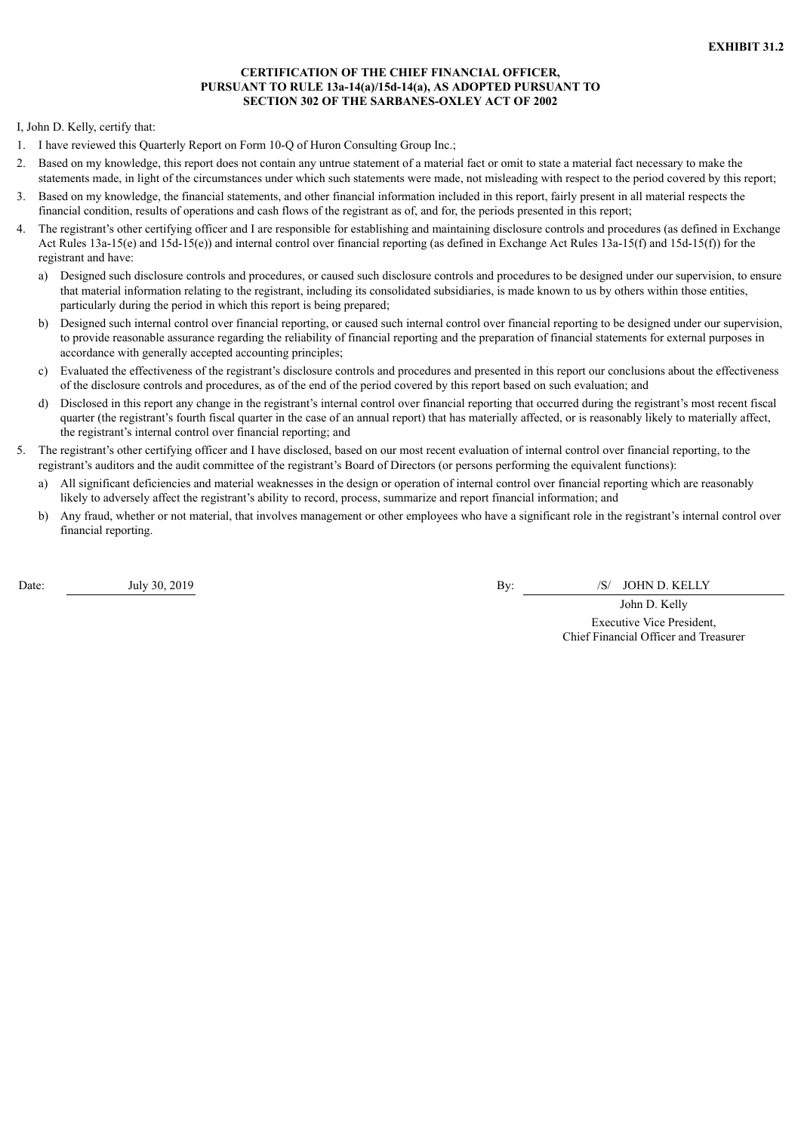# **CERTIFICATION OF THE CHIEF FINANCIAL OFFICER, PURSUANT TO RULE 13a-14(a)/15d-14(a), AS ADOPTED PURSUANT TO SECTION 302 OF THE SARBANES-OXLEY ACT OF 2002**

<span id="page-49-0"></span>I, John D. Kelly, certify that:

- 1. I have reviewed this Quarterly Report on Form 10-Q of Huron Consulting Group Inc.;
- 2. Based on my knowledge, this report does not contain any untrue statement of a material fact or omit to state a material fact necessary to make the statements made, in light of the circumstances under which such statements were made, not misleading with respect to the period covered by this report;
- 3. Based on my knowledge, the financial statements, and other financial information included in this report, fairly present in all material respects the financial condition, results of operations and cash flows of the registrant as of, and for, the periods presented in this report;
- 4. The registrant's other certifying officer and I are responsible for establishing and maintaining disclosure controls and procedures (as defined in Exchange Act Rules  $13a-15(e)$  and  $15d-15(e)$  and internal control over financial reporting (as defined in Exchange Act Rules  $13a-15(f)$  and  $15d-15(f)$ ) for the registrant and have:
	- a) Designed such disclosure controls and procedures, or caused such disclosure controls and procedures to be designed under our supervision, to ensure that material information relating to the registrant, including its consolidated subsidiaries, is made known to us by others within those entities, particularly during the period in which this report is being prepared;
	- b) Designed such internal control over financial reporting, or caused such internal control over financial reporting to be designed under our supervision, to provide reasonable assurance regarding the reliability of financial reporting and the preparation of financial statements for external purposes in accordance with generally accepted accounting principles;
	- c) Evaluated the effectiveness of the registrant's disclosure controls and procedures and presented in this report our conclusions about the effectiveness of the disclosure controls and procedures, as of the end of the period covered by this report based on such evaluation; and
	- d) Disclosed in this report any change in the registrant's internal control over financial reporting that occurred during the registrant's most recent fiscal quarter (the registrant's fourth fiscal quarter in the case of an annual report) that has materially affected, or is reasonably likely to materially affect, the registrant's internal control over financial reporting; and
- 5. The registrant's other certifying officer and I have disclosed, based on our most recent evaluation of internal control over financial reporting, to the registrant's auditors and the audit committee of the registrant's Board of Directors (or persons performing the equivalent functions):
	- a) All significant deficiencies and material weaknesses in the design or operation of internal control over financial reporting which are reasonably likely to adversely affect the registrant's ability to record, process, summarize and report financial information; and
	- b) Any fraud, whether or not material, that involves management or other employees who have a significant role in the registrant's internal control over financial reporting.

Date: July 30, 2019 **By:** /S/ JOHN D. KELLY

John D. Kelly Executive Vice President, Chief Financial Officer and Treasurer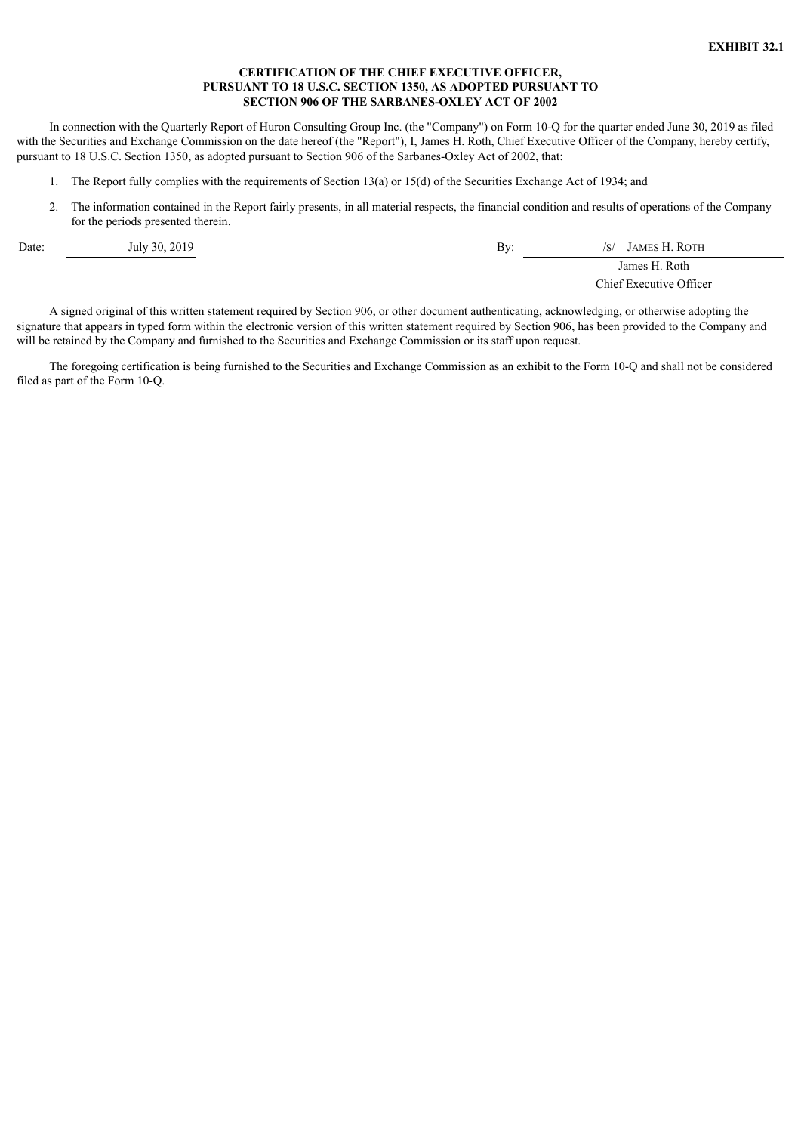# **CERTIFICATION OF THE CHIEF EXECUTIVE OFFICER, PURSUANT TO 18 U.S.C. SECTION 1350, AS ADOPTED PURSUANT TO SECTION 906 OF THE SARBANES-OXLEY ACT OF 2002**

<span id="page-50-0"></span>In connection with the Quarterly Report of Huron Consulting Group Inc. (the "Company") on Form 10-Q for the quarter ended June 30, 2019 as filed with the Securities and Exchange Commission on the date hereof (the "Report"), I, James H. Roth, Chief Executive Officer of the Company, hereby certify, pursuant to 18 U.S.C. Section 1350, as adopted pursuant to Section 906 of the Sarbanes-Oxley Act of 2002, that:

- 1. The Report fully complies with the requirements of Section 13(a) or 15(d) of the Securities Exchange Act of 1934; and
- 2. The information contained in the Report fairly presents, in all material respects, the financial condition and results of operations of the Company for the periods presented therein.

Date: July 30, 2019 July 30, 2019 July 30, 2019 By: /S/ JAMES H. ROTH

James H. Roth

Chief Executive Officer

A signed original of this written statement required by Section 906, or other document authenticating, acknowledging, or otherwise adopting the signature that appears in typed form within the electronic version of this written statement required by Section 906, has been provided to the Company and will be retained by the Company and furnished to the Securities and Exchange Commission or its staff upon request.

The foregoing certification is being furnished to the Securities and Exchange Commission as an exhibit to the Form 10-Q and shall not be considered filed as part of the Form 10-Q.